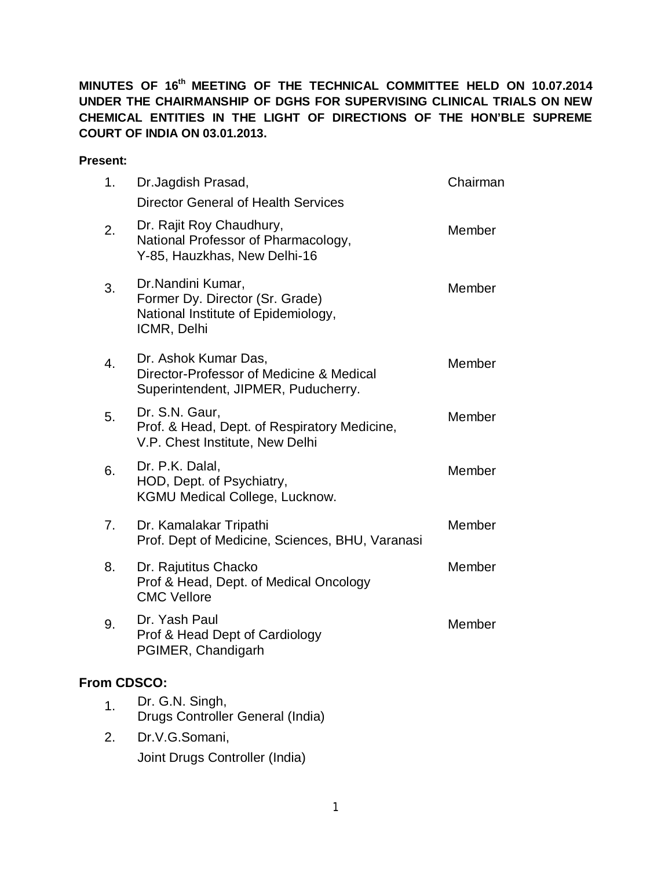**MINUTES OF 16 th MEETING OF THE TECHNICAL COMMITTEE HELD ON 10.07.2014 UNDER THE CHAIRMANSHIP OF DGHS FOR SUPERVISING CLINICAL TRIALS ON NEW CHEMICAL ENTITIES IN THE LIGHT OF DIRECTIONS OF THE HON'BLE SUPREME COURT OF INDIA ON 03.01.2013.**

#### **Present:**

| 1.               | Dr. Jagdish Prasad,<br><b>Director General of Health Services</b>                                          | Chairman |
|------------------|------------------------------------------------------------------------------------------------------------|----------|
| 2.               | Dr. Rajit Roy Chaudhury,<br>National Professor of Pharmacology,<br>Y-85, Hauzkhas, New Delhi-16            | Member   |
| 3.               | Dr.Nandini Kumar,<br>Former Dy. Director (Sr. Grade)<br>National Institute of Epidemiology,<br>ICMR, Delhi | Member   |
| $\overline{4}$ . | Dr. Ashok Kumar Das,<br>Director-Professor of Medicine & Medical<br>Superintendent, JIPMER, Puducherry.    | Member   |
| 5.               | Dr. S.N. Gaur,<br>Prof. & Head, Dept. of Respiratory Medicine,<br>V.P. Chest Institute, New Delhi          | Member   |
| 6.               | Dr. P.K. Dalal,<br>HOD, Dept. of Psychiatry,<br><b>KGMU Medical College, Lucknow.</b>                      | Member   |
| 7.               | Dr. Kamalakar Tripathi<br>Prof. Dept of Medicine, Sciences, BHU, Varanasi                                  | Member   |
| 8.               | Dr. Rajutitus Chacko<br>Prof & Head, Dept. of Medical Oncology<br><b>CMC Vellore</b>                       | Member   |
| 9.               | Dr. Yash Paul<br>Prof & Head Dept of Cardiology<br>PGIMER, Chandigarh                                      | Member   |
| From CDSCO:      |                                                                                                            |          |
| $\mathbf 1$ .    | Dr. G.N. Singh,<br>Drugs Controller General (India)                                                        |          |
| 2.               | Dr.V.G.Somani,                                                                                             |          |

Joint Drugs Controller (India)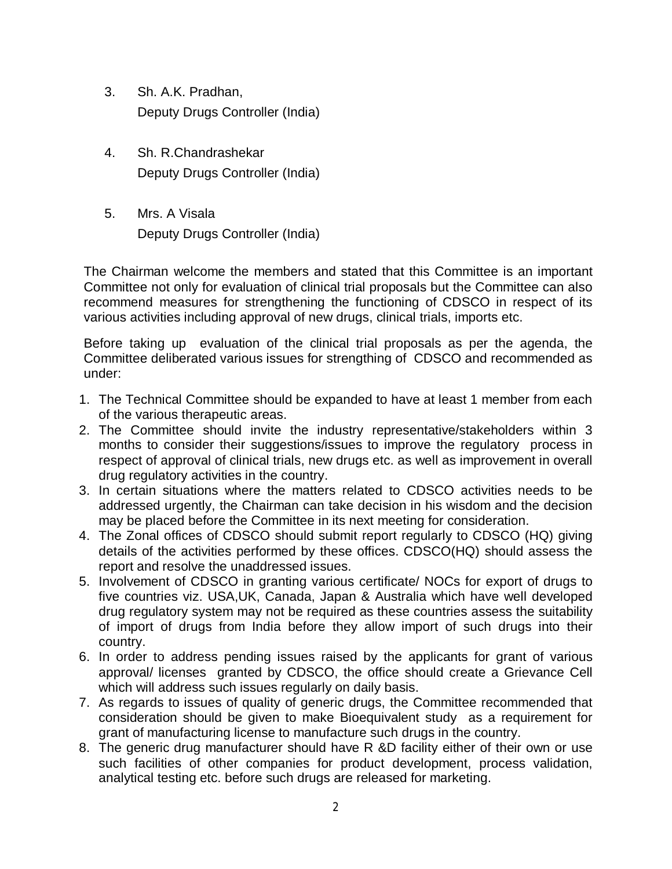- 3. Sh. A.K. Pradhan, Deputy Drugs Controller (India)
- 4. Sh. R.Chandrashekar Deputy Drugs Controller (India)
- 5. Mrs. A Visala Deputy Drugs Controller (India)

The Chairman welcome the members and stated that this Committee is an important Committee not only for evaluation of clinical trial proposals but the Committee can also recommend measures for strengthening the functioning of CDSCO in respect of its various activities including approval of new drugs, clinical trials, imports etc.

Before taking up evaluation of the clinical trial proposals as per the agenda, the Committee deliberated various issues for strengthing of CDSCO and recommended as under:

- 1. The Technical Committee should be expanded to have at least 1 member from each of the various therapeutic areas.
- 2. The Committee should invite the industry representative/stakeholders within 3 months to consider their suggestions/issues to improve the regulatory process in respect of approval of clinical trials, new drugs etc. as well as improvement in overall drug regulatory activities in the country.
- 3. In certain situations where the matters related to CDSCO activities needs to be addressed urgently, the Chairman can take decision in his wisdom and the decision may be placed before the Committee in its next meeting for consideration.
- 4. The Zonal offices of CDSCO should submit report regularly to CDSCO (HQ) giving details of the activities performed by these offices. CDSCO(HQ) should assess the report and resolve the unaddressed issues.
- 5. Involvement of CDSCO in granting various certificate/ NOCs for export of drugs to five countries viz. USA,UK, Canada, Japan & Australia which have well developed drug regulatory system may not be required as these countries assess the suitability of import of drugs from India before they allow import of such drugs into their country.
- 6. In order to address pending issues raised by the applicants for grant of various approval/ licenses granted by CDSCO, the office should create a Grievance Cell which will address such issues regularly on daily basis.
- 7. As regards to issues of quality of generic drugs, the Committee recommended that consideration should be given to make Bioequivalent study as a requirement for grant of manufacturing license to manufacture such drugs in the country.
- 8. The generic drug manufacturer should have R &D facility either of their own or use such facilities of other companies for product development, process validation, analytical testing etc. before such drugs are released for marketing.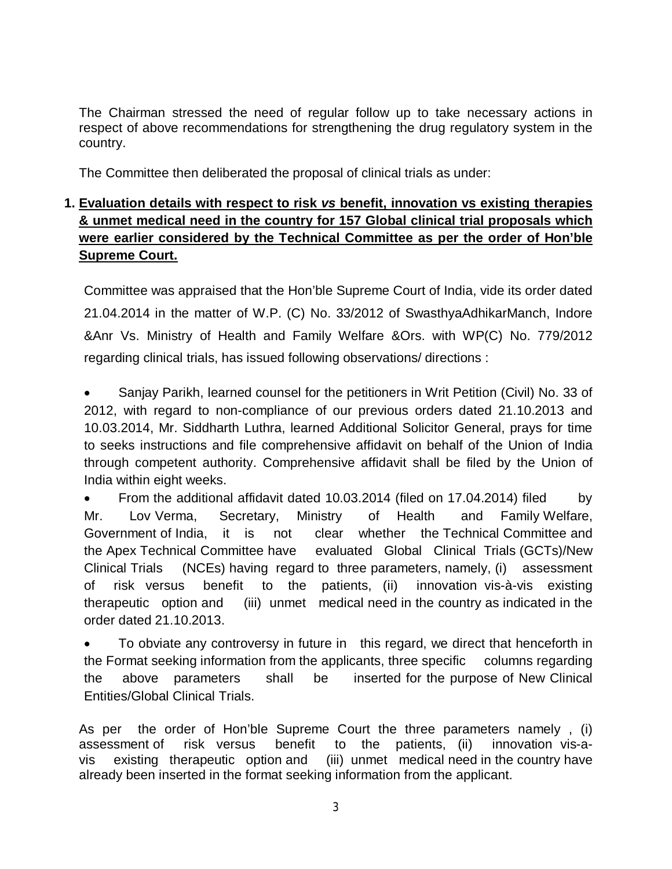The Chairman stressed the need of regular follow up to take necessary actions in respect of above recommendations for strengthening the drug regulatory system in the country.

The Committee then deliberated the proposal of clinical trials as under:

#### **1. Evaluation details with respect to risk** *vs* **benefit, innovation vs existing therapies & unmet medical need in the country for 157 Global clinical trial proposals which were earlier considered by the Technical Committee as per the order of Hon'ble Supreme Court.**

Committee was appraised that the Hon'ble Supreme Court of India, vide its order dated 21.04.2014 in the matter of W.P. (C) No. 33/2012 of SwasthyaAdhikarManch, Indore &Anr Vs. Ministry of Health and Family Welfare &Ors. with WP(C) No. 779/2012 regarding clinical trials, has issued following observations/ directions :

 Sanjay Parikh, learned counsel for the petitioners in Writ Petition (Civil) No. 33 of 2012, with regard to non-compliance of our previous orders dated 21.10.2013 and 10.03.2014, Mr. Siddharth Luthra, learned Additional Solicitor General, prays for time to seeks instructions and file comprehensive affidavit on behalf of the Union of India through competent authority. Comprehensive affidavit shall be filed by the Union of India within eight weeks.

• From the additional affidavit dated 10.03.2014 (filed on 17.04.2014) filed by Mr. Lov Verma, Secretary, Ministry of Health and Family Welfare, Government of India, it is not clear whether the Technical Committee and the Apex Technical Committee have evaluated Global Clinical Trials (GCTs)/New Clinical Trials (NCEs) having regard to three parameters, namely, (i) assessment of risk versus benefit to the patients, (ii) innovation vis-à-vis existing therapeutic option and (iii) unmet medical need in the country as indicated in the order dated 21.10.2013.

 To obviate any controversy in future in this regard, we direct that henceforth in the Format seeking information from the applicants, three specific columns regarding the above parameters shall be inserted for the purpose of New Clinical Entities/Global Clinical Trials.

As per the order of Hon'ble Supreme Court the three parameters namely , (i) assessment of risk versus benefit to the patients, (ii) innovation vis-avis existing therapeutic option and (iii) unmet medical need in the country have already been inserted in the format seeking information from the applicant.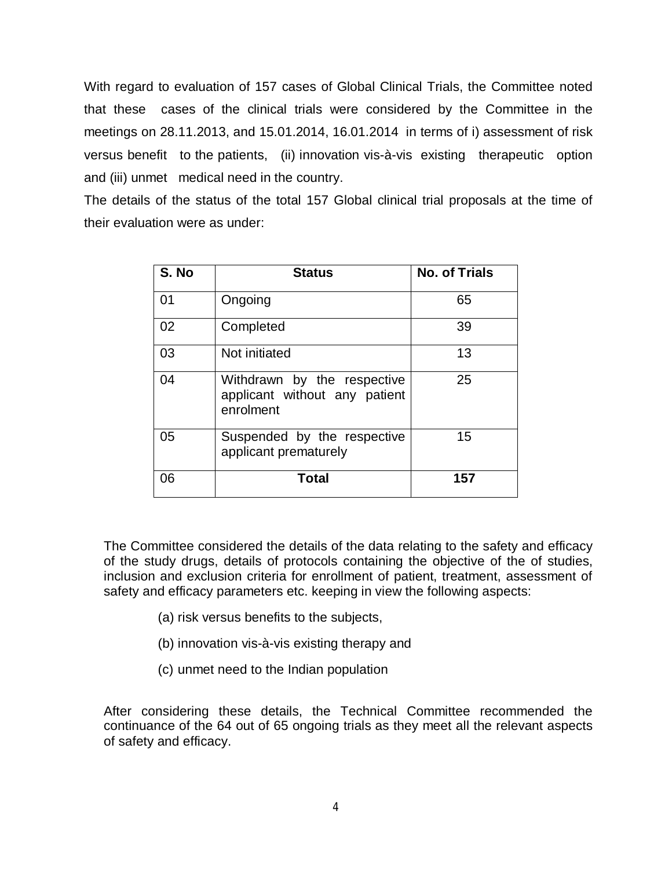With regard to evaluation of 157 cases of Global Clinical Trials, the Committee noted that these cases of the clinical trials were considered by the Committee in the meetings on 28.11.2013, and 15.01.2014, 16.01.2014 in terms of i) assessment of risk versus benefit to the patients, (ii) innovation vis-à-vis existing therapeutic option and (iii) unmet medical need in the country.

The details of the status of the total 157 Global clinical trial proposals at the time of their evaluation were as under:

| S. No | <b>Status</b>                                                             | <b>No. of Trials</b> |
|-------|---------------------------------------------------------------------------|----------------------|
| 01    | Ongoing                                                                   | 65                   |
| 02    | Completed                                                                 | 39                   |
| 03    | Not initiated                                                             | 13                   |
| 04    | Withdrawn by the respective<br>applicant without any patient<br>enrolment | 25                   |
| 05    | Suspended by the respective<br>applicant prematurely                      | 15                   |
| 06    | Total                                                                     | 157                  |

The Committee considered the details of the data relating to the safety and efficacy of the study drugs, details of protocols containing the objective of the of studies, inclusion and exclusion criteria for enrollment of patient, treatment, assessment of safety and efficacy parameters etc. keeping in view the following aspects:

- (a) risk versus benefits to the subjects,
- (b) innovation vis-à-vis existing therapy and
- (c) unmet need to the Indian population

After considering these details, the Technical Committee recommended the continuance of the 64 out of 65 ongoing trials as they meet all the relevant aspects of safety and efficacy.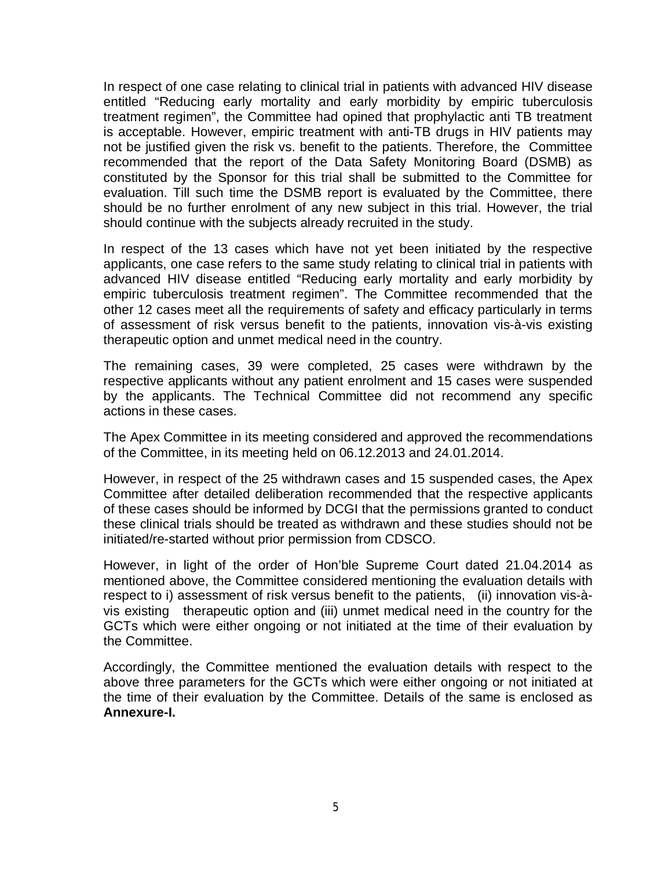In respect of one case relating to clinical trial in patients with advanced HIV disease entitled "Reducing early mortality and early morbidity by empiric tuberculosis treatment regimen", the Committee had opined that prophylactic anti TB treatment is acceptable. However, empiric treatment with anti-TB drugs in HIV patients may not be justified given the risk vs. benefit to the patients. Therefore, the Committee recommended that the report of the Data Safety Monitoring Board (DSMB) as constituted by the Sponsor for this trial shall be submitted to the Committee for evaluation. Till such time the DSMB report is evaluated by the Committee, there should be no further enrolment of any new subject in this trial. However, the trial should continue with the subjects already recruited in the study.

In respect of the 13 cases which have not yet been initiated by the respective applicants, one case refers to the same study relating to clinical trial in patients with advanced HIV disease entitled "Reducing early mortality and early morbidity by empiric tuberculosis treatment regimen". The Committee recommended that the other 12 cases meet all the requirements of safety and efficacy particularly in terms of assessment of risk versus benefit to the patients, innovation vis-à-vis existing therapeutic option and unmet medical need in the country.

The remaining cases, 39 were completed, 25 cases were withdrawn by the respective applicants without any patient enrolment and 15 cases were suspended by the applicants. The Technical Committee did not recommend any specific actions in these cases.

The Apex Committee in its meeting considered and approved the recommendations of the Committee, in its meeting held on 06.12.2013 and 24.01.2014.

However, in respect of the 25 withdrawn cases and 15 suspended cases, the Apex Committee after detailed deliberation recommended that the respective applicants of these cases should be informed by DCGI that the permissions granted to conduct these clinical trials should be treated as withdrawn and these studies should not be initiated/re-started without prior permission from CDSCO.

However, in light of the order of Hon'ble Supreme Court dated 21.04.2014 as mentioned above, the Committee considered mentioning the evaluation details with respect to i) assessment of risk versus benefit to the patients, (ii) innovation vis-àvis existing therapeutic option and (iii) unmet medical need in the country for the GCTs which were either ongoing or not initiated at the time of their evaluation by the Committee.

Accordingly, the Committee mentioned the evaluation details with respect to the above three parameters for the GCTs which were either ongoing or not initiated at the time of their evaluation by the Committee. Details of the same is enclosed as **Annexure-I.**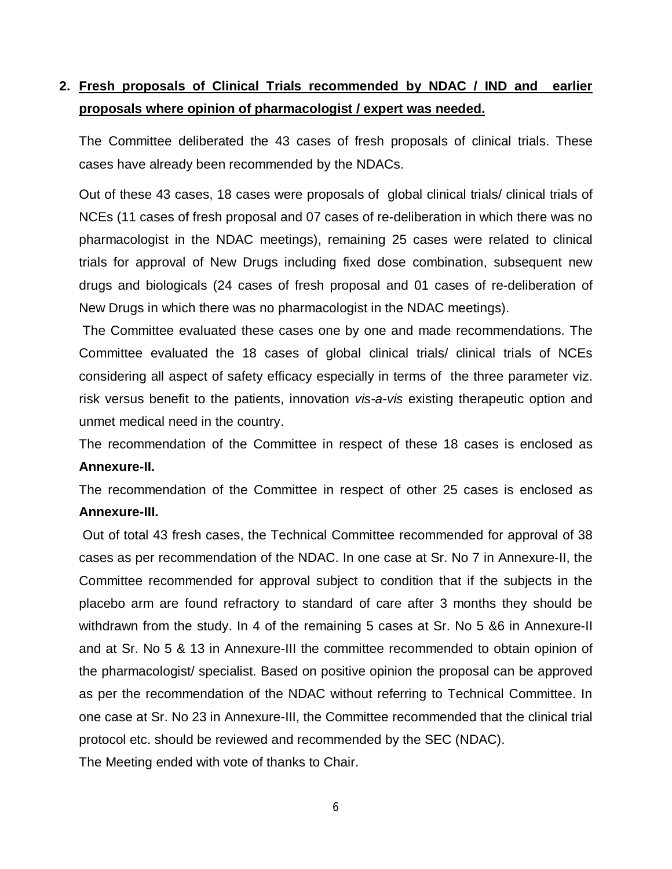## **2. Fresh proposals of Clinical Trials recommended by NDAC / IND and earlier proposals where opinion of pharmacologist / expert was needed.**

The Committee deliberated the 43 cases of fresh proposals of clinical trials. These cases have already been recommended by the NDACs.

Out of these 43 cases, 18 cases were proposals of global clinical trials/ clinical trials of NCEs (11 cases of fresh proposal and 07 cases of re-deliberation in which there was no pharmacologist in the NDAC meetings), remaining 25 cases were related to clinical trials for approval of New Drugs including fixed dose combination, subsequent new drugs and biologicals (24 cases of fresh proposal and 01 cases of re-deliberation of New Drugs in which there was no pharmacologist in the NDAC meetings).

The Committee evaluated these cases one by one and made recommendations. The Committee evaluated the 18 cases of global clinical trials/ clinical trials of NCEs considering all aspect of safety efficacy especially in terms of the three parameter viz. risk versus benefit to the patients, innovation *vis-a-vis* existing therapeutic option and unmet medical need in the country.

The recommendation of the Committee in respect of these 18 cases is enclosed as **Annexure-II.**

The recommendation of the Committee in respect of other 25 cases is enclosed as **Annexure-III.**

Out of total 43 fresh cases, the Technical Committee recommended for approval of 38 cases as per recommendation of the NDAC. In one case at Sr. No 7 in Annexure-II, the Committee recommended for approval subject to condition that if the subjects in the placebo arm are found refractory to standard of care after 3 months they should be withdrawn from the study. In 4 of the remaining 5 cases at Sr. No 5 &6 in Annexure-II and at Sr. No 5 & 13 in Annexure-III the committee recommended to obtain opinion of the pharmacologist/ specialist. Based on positive opinion the proposal can be approved as per the recommendation of the NDAC without referring to Technical Committee. In one case at Sr. No 23 in Annexure-III, the Committee recommended that the clinical trial protocol etc. should be reviewed and recommended by the SEC (NDAC). The Meeting ended with vote of thanks to Chair.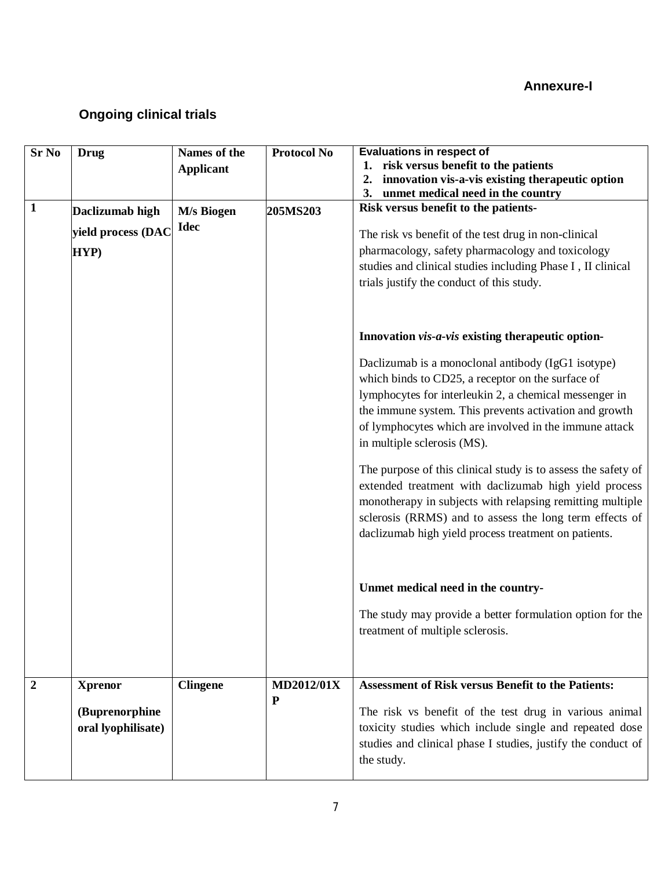#### **Annexure-I**

# **Ongoing clinical trials**

| <b>Sr No</b>     | <b>Drug</b>                          | Names of the              | <b>Protocol No</b> | <b>Evaluations in respect of</b>                                                                                                                                                                                                                                                                                                                                                                                                                                                                                                                                                                                                                                                    |
|------------------|--------------------------------------|---------------------------|--------------------|-------------------------------------------------------------------------------------------------------------------------------------------------------------------------------------------------------------------------------------------------------------------------------------------------------------------------------------------------------------------------------------------------------------------------------------------------------------------------------------------------------------------------------------------------------------------------------------------------------------------------------------------------------------------------------------|
|                  |                                      | <b>Applicant</b>          |                    | 1. risk versus benefit to the patients                                                                                                                                                                                                                                                                                                                                                                                                                                                                                                                                                                                                                                              |
|                  |                                      |                           |                    | innovation vis-a-vis existing therapeutic option<br>2.                                                                                                                                                                                                                                                                                                                                                                                                                                                                                                                                                                                                                              |
|                  |                                      |                           |                    | 3.<br>unmet medical need in the country                                                                                                                                                                                                                                                                                                                                                                                                                                                                                                                                                                                                                                             |
| $\mathbf{1}$     | Daclizumab high                      | M/s Biogen<br><b>Idec</b> | 205MS203           | Risk versus benefit to the patients-                                                                                                                                                                                                                                                                                                                                                                                                                                                                                                                                                                                                                                                |
|                  | yield process (DAC                   |                           |                    | The risk vs benefit of the test drug in non-clinical                                                                                                                                                                                                                                                                                                                                                                                                                                                                                                                                                                                                                                |
|                  | HYP)                                 |                           |                    | pharmacology, safety pharmacology and toxicology                                                                                                                                                                                                                                                                                                                                                                                                                                                                                                                                                                                                                                    |
|                  |                                      |                           |                    | studies and clinical studies including Phase I, II clinical                                                                                                                                                                                                                                                                                                                                                                                                                                                                                                                                                                                                                         |
|                  |                                      |                           |                    | trials justify the conduct of this study.                                                                                                                                                                                                                                                                                                                                                                                                                                                                                                                                                                                                                                           |
|                  |                                      |                           |                    | Innovation vis-a-vis existing therapeutic option-<br>Daclizumab is a monoclonal antibody (IgG1 isotype)<br>which binds to CD25, a receptor on the surface of<br>lymphocytes for interleukin 2, a chemical messenger in<br>the immune system. This prevents activation and growth<br>of lymphocytes which are involved in the immune attack<br>in multiple sclerosis (MS).<br>The purpose of this clinical study is to assess the safety of<br>extended treatment with daclizumab high yield process<br>monotherapy in subjects with relapsing remitting multiple<br>sclerosis (RRMS) and to assess the long term effects of<br>daclizumab high yield process treatment on patients. |
|                  |                                      |                           |                    | Unmet medical need in the country-                                                                                                                                                                                                                                                                                                                                                                                                                                                                                                                                                                                                                                                  |
|                  |                                      |                           |                    | The study may provide a better formulation option for the<br>treatment of multiple sclerosis.                                                                                                                                                                                                                                                                                                                                                                                                                                                                                                                                                                                       |
| $\boldsymbol{2}$ | <b>Xprenor</b>                       | <b>Clingene</b>           | <b>MD2012/01X</b>  | <b>Assessment of Risk versus Benefit to the Patients:</b>                                                                                                                                                                                                                                                                                                                                                                                                                                                                                                                                                                                                                           |
|                  | (Buprenorphine<br>oral lyophilisate) |                           | ${\bf P}$          | The risk vs benefit of the test drug in various animal<br>toxicity studies which include single and repeated dose<br>studies and clinical phase I studies, justify the conduct of<br>the study.                                                                                                                                                                                                                                                                                                                                                                                                                                                                                     |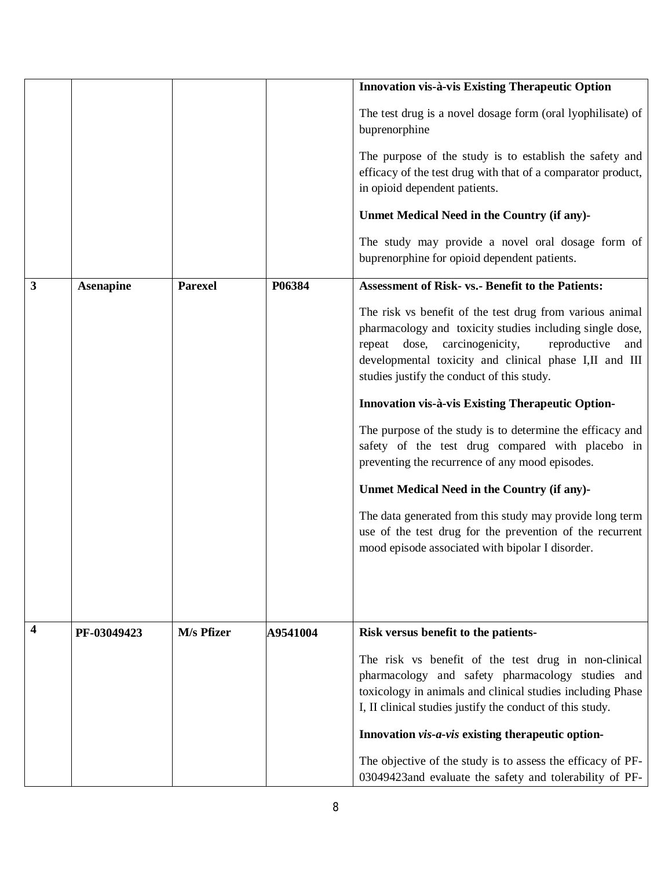|   |                  |                |          | Innovation vis-à-vis Existing Therapeutic Option                                                                                                                                                                                                                                        |
|---|------------------|----------------|----------|-----------------------------------------------------------------------------------------------------------------------------------------------------------------------------------------------------------------------------------------------------------------------------------------|
|   |                  |                |          | The test drug is a novel dosage form (oral lyophilisate) of<br>buprenorphine                                                                                                                                                                                                            |
|   |                  |                |          | The purpose of the study is to establish the safety and<br>efficacy of the test drug with that of a comparator product,<br>in opioid dependent patients.                                                                                                                                |
|   |                  |                |          | Unmet Medical Need in the Country (if any)-                                                                                                                                                                                                                                             |
|   |                  |                |          | The study may provide a novel oral dosage form of<br>buprenorphine for opioid dependent patients.                                                                                                                                                                                       |
| 3 | <b>Asenapine</b> | <b>Parexel</b> | P06384   | <b>Assessment of Risk- vs.- Benefit to the Patients:</b>                                                                                                                                                                                                                                |
|   |                  |                |          | The risk vs benefit of the test drug from various animal<br>pharmacology and toxicity studies including single dose,<br>repeat dose,<br>carcinogenicity,<br>reproductive<br>and<br>developmental toxicity and clinical phase I,II and III<br>studies justify the conduct of this study. |
|   |                  |                |          | Innovation vis-à-vis Existing Therapeutic Option-                                                                                                                                                                                                                                       |
|   |                  |                |          | The purpose of the study is to determine the efficacy and<br>safety of the test drug compared with placebo in<br>preventing the recurrence of any mood episodes.                                                                                                                        |
|   |                  |                |          | Unmet Medical Need in the Country (if any)-                                                                                                                                                                                                                                             |
|   |                  |                |          | The data generated from this study may provide long term<br>use of the test drug for the prevention of the recurrent<br>mood episode associated with bipolar I disorder.                                                                                                                |
|   |                  |                |          |                                                                                                                                                                                                                                                                                         |
| 4 | PF-03049423      | M/s Pfizer     | A9541004 | Risk versus benefit to the patients-                                                                                                                                                                                                                                                    |
|   |                  |                |          | The risk vs benefit of the test drug in non-clinical<br>pharmacology and safety pharmacology studies and<br>toxicology in animals and clinical studies including Phase<br>I, II clinical studies justify the conduct of this study.                                                     |
|   |                  |                |          | Innovation vis-a-vis existing therapeutic option-                                                                                                                                                                                                                                       |
|   |                  |                |          | The objective of the study is to assess the efficacy of PF-<br>03049423and evaluate the safety and tolerability of PF-                                                                                                                                                                  |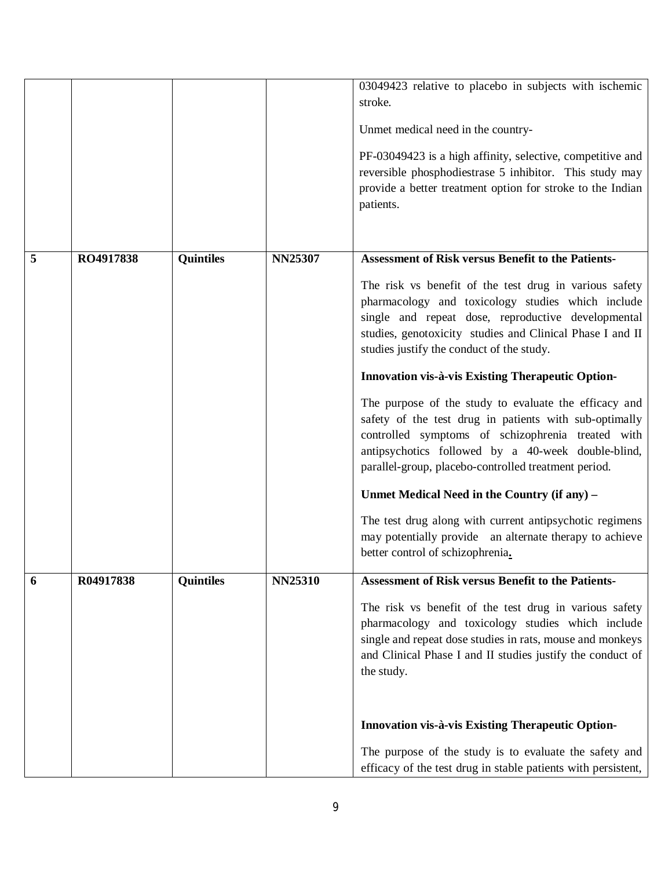|   |           |                  |                | 03049423 relative to placebo in subjects with ischemic<br>stroke.<br>Unmet medical need in the country-<br>PF-03049423 is a high affinity, selective, competitive and<br>reversible phosphodiestrase 5 inhibitor. This study may<br>provide a better treatment option for stroke to the Indian<br>patients.                                                                                                                                                                                                                                                                                                                                                                                                                                                                                                                                                                                   |
|---|-----------|------------------|----------------|-----------------------------------------------------------------------------------------------------------------------------------------------------------------------------------------------------------------------------------------------------------------------------------------------------------------------------------------------------------------------------------------------------------------------------------------------------------------------------------------------------------------------------------------------------------------------------------------------------------------------------------------------------------------------------------------------------------------------------------------------------------------------------------------------------------------------------------------------------------------------------------------------|
| 5 | RO4917838 | <b>Quintiles</b> | <b>NN25307</b> | <b>Assessment of Risk versus Benefit to the Patients-</b><br>The risk vs benefit of the test drug in various safety<br>pharmacology and toxicology studies which include<br>single and repeat dose, reproductive developmental<br>studies, genotoxicity studies and Clinical Phase I and II<br>studies justify the conduct of the study.<br>Innovation vis-à-vis Existing Therapeutic Option-<br>The purpose of the study to evaluate the efficacy and<br>safety of the test drug in patients with sub-optimally<br>controlled symptoms of schizophrenia treated with<br>antipsychotics followed by a 40-week double-blind,<br>parallel-group, placebo-controlled treatment period.<br>Unmet Medical Need in the Country (if any) -<br>The test drug along with current antipsychotic regimens<br>may potentially provide an alternate therapy to achieve<br>better control of schizophrenia. |
| 6 | R04917838 | <b>Quintiles</b> | <b>NN25310</b> | <b>Assessment of Risk versus Benefit to the Patients-</b><br>The risk vs benefit of the test drug in various safety<br>pharmacology and toxicology studies which include<br>single and repeat dose studies in rats, mouse and monkeys<br>and Clinical Phase I and II studies justify the conduct of<br>the study.<br>Innovation vis-à-vis Existing Therapeutic Option-<br>The purpose of the study is to evaluate the safety and<br>efficacy of the test drug in stable patients with persistent,                                                                                                                                                                                                                                                                                                                                                                                             |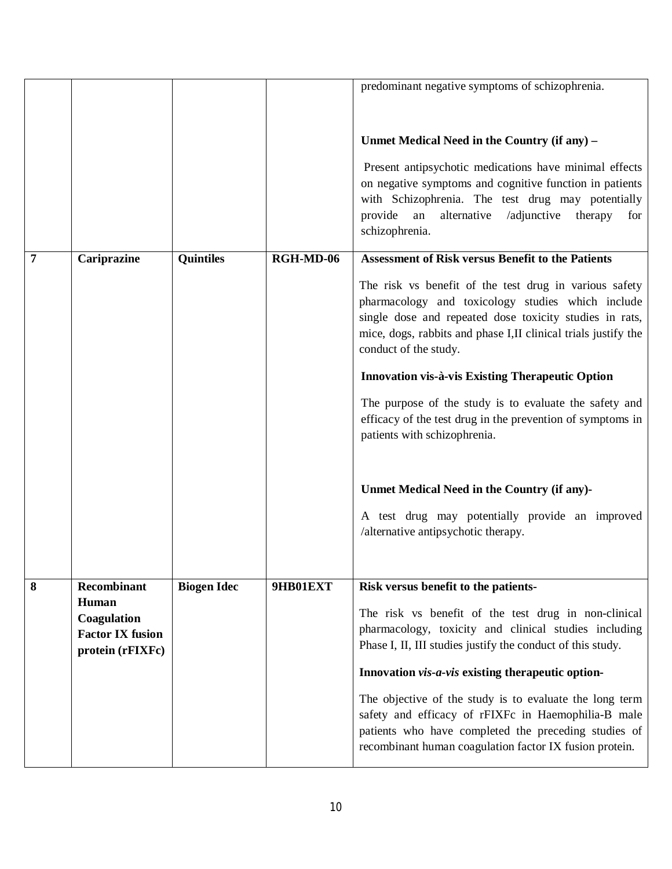|   |                                        |                    |           | predominant negative symptoms of schizophrenia.                |
|---|----------------------------------------|--------------------|-----------|----------------------------------------------------------------|
|   |                                        |                    |           |                                                                |
|   |                                        |                    |           |                                                                |
|   |                                        |                    |           | Unmet Medical Need in the Country (if any) -                   |
|   |                                        |                    |           | Present antipsychotic medications have minimal effects         |
|   |                                        |                    |           | on negative symptoms and cognitive function in patients        |
|   |                                        |                    |           | with Schizophrenia. The test drug may potentially              |
|   |                                        |                    |           | provide<br>an<br>alternative<br>/adjunctive<br>therapy<br>for  |
|   |                                        |                    |           | schizophrenia.                                                 |
| 7 | Cariprazine                            | <b>Quintiles</b>   | RGH-MD-06 | <b>Assessment of Risk versus Benefit to the Patients</b>       |
|   |                                        |                    |           | The risk vs benefit of the test drug in various safety         |
|   |                                        |                    |           | pharmacology and toxicology studies which include              |
|   |                                        |                    |           | single dose and repeated dose toxicity studies in rats,        |
|   |                                        |                    |           | mice, dogs, rabbits and phase I,II clinical trials justify the |
|   |                                        |                    |           | conduct of the study.                                          |
|   |                                        |                    |           | <b>Innovation vis-à-vis Existing Therapeutic Option</b>        |
|   |                                        |                    |           | The purpose of the study is to evaluate the safety and         |
|   |                                        |                    |           | efficacy of the test drug in the prevention of symptoms in     |
|   |                                        |                    |           | patients with schizophrenia.                                   |
|   |                                        |                    |           |                                                                |
|   |                                        |                    |           | Unmet Medical Need in the Country (if any)-                    |
|   |                                        |                    |           | A test drug may potentially provide an improved                |
|   |                                        |                    |           | /alternative antipsychotic therapy.                            |
|   |                                        |                    |           |                                                                |
|   |                                        |                    |           |                                                                |
| 8 | Recombinant                            | <b>Biogen Idec</b> | 9HB01EXT  | Risk versus benefit to the patients-                           |
|   | Human                                  |                    |           | The risk vs benefit of the test drug in non-clinical           |
|   | Coagulation<br><b>Factor IX fusion</b> |                    |           | pharmacology, toxicity and clinical studies including          |
|   | protein (rFIXFc)                       |                    |           | Phase I, II, III studies justify the conduct of this study.    |
|   |                                        |                    |           | Innovation vis-a-vis existing therapeutic option-              |
|   |                                        |                    |           | The objective of the study is to evaluate the long term        |
|   |                                        |                    |           | safety and efficacy of rFIXFc in Haemophilia-B male            |
|   |                                        |                    |           | patients who have completed the preceding studies of           |
|   |                                        |                    |           | recombinant human coagulation factor IX fusion protein.        |
|   |                                        |                    |           |                                                                |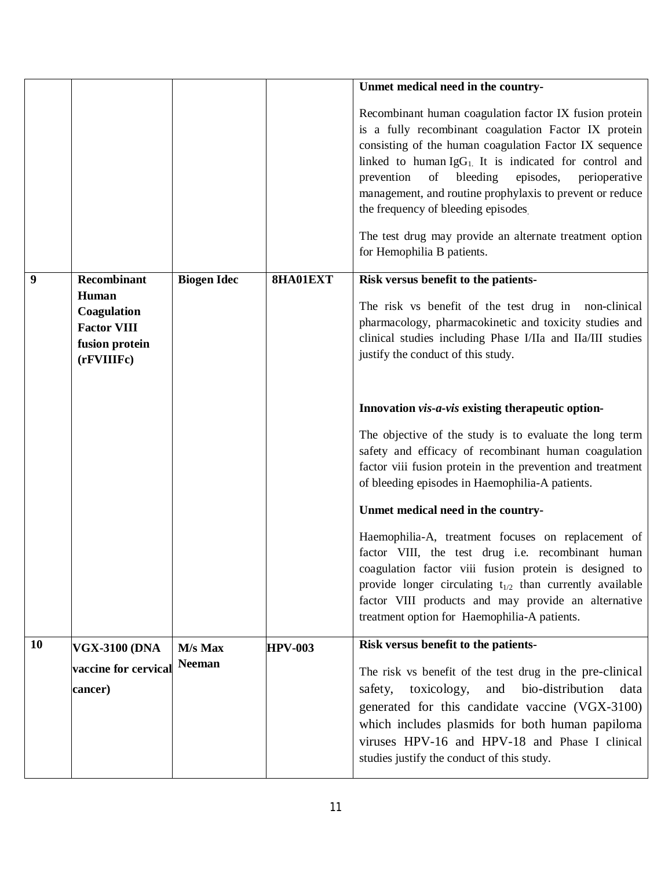|    |                                                                            |                    |                | Unmet medical need in the country-                                                                                                                                                                                                                                                                                                                                                                                                                                                            |
|----|----------------------------------------------------------------------------|--------------------|----------------|-----------------------------------------------------------------------------------------------------------------------------------------------------------------------------------------------------------------------------------------------------------------------------------------------------------------------------------------------------------------------------------------------------------------------------------------------------------------------------------------------|
|    |                                                                            |                    |                | Recombinant human coagulation factor IX fusion protein<br>is a fully recombinant coagulation Factor IX protein<br>consisting of the human coagulation Factor IX sequence<br>linked to human $\lg G_1$ . It is indicated for control and<br>prevention<br>of bleeding<br>episodes,<br>perioperative<br>management, and routine prophylaxis to prevent or reduce<br>the frequency of bleeding episodes<br>The test drug may provide an alternate treatment option<br>for Hemophilia B patients. |
| 9  | <b>Recombinant</b>                                                         | <b>Biogen Idec</b> | 8HA01EXT       | Risk versus benefit to the patients-                                                                                                                                                                                                                                                                                                                                                                                                                                                          |
|    | Human<br>Coagulation<br><b>Factor VIII</b><br>fusion protein<br>(rFVIIIFc) |                    |                | The risk vs benefit of the test drug in non-clinical<br>pharmacology, pharmacokinetic and toxicity studies and<br>clinical studies including Phase I/IIa and IIa/III studies<br>justify the conduct of this study.                                                                                                                                                                                                                                                                            |
|    |                                                                            |                    |                | Innovation vis-a-vis existing therapeutic option-                                                                                                                                                                                                                                                                                                                                                                                                                                             |
|    |                                                                            |                    |                | The objective of the study is to evaluate the long term<br>safety and efficacy of recombinant human coagulation<br>factor viii fusion protein in the prevention and treatment<br>of bleeding episodes in Haemophilia-A patients.                                                                                                                                                                                                                                                              |
|    |                                                                            |                    |                | Unmet medical need in the country-                                                                                                                                                                                                                                                                                                                                                                                                                                                            |
|    |                                                                            |                    |                | Haemophilia-A, treatment focuses on replacement of<br>factor VIII, the test drug i.e. recombinant human<br>coagulation factor viii fusion protein is designed to<br>provide longer circulating $t_{1/2}$ than currently available<br>factor VIII products and may provide an alternative<br>treatment option for Haemophilia-A patients.                                                                                                                                                      |
| 10 | <b>VGX-3100 (DNA</b>                                                       | M/s Max            | <b>HPV-003</b> | Risk versus benefit to the patients-                                                                                                                                                                                                                                                                                                                                                                                                                                                          |
|    | vaccine for cervical<br>cancer)                                            | <b>Neeman</b>      |                | The risk vs benefit of the test drug in the pre-clinical<br>bio-distribution<br>toxicology,<br>and<br>safety,<br>data<br>generated for this candidate vaccine (VGX-3100)<br>which includes plasmids for both human papiloma<br>viruses HPV-16 and HPV-18 and Phase I clinical<br>studies justify the conduct of this study.                                                                                                                                                                   |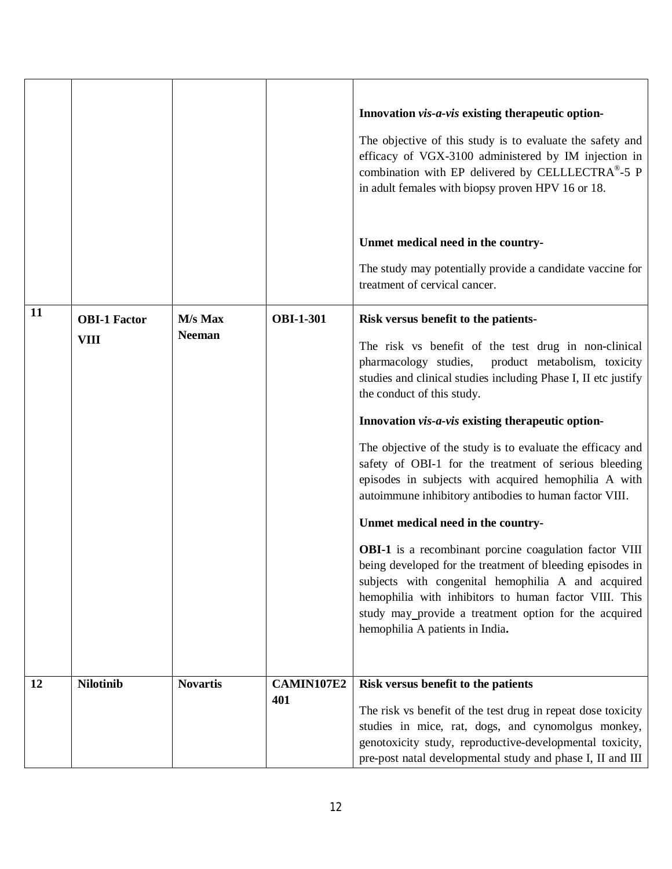| 11 | <b>OBI-1 Factor</b><br><b>VIII</b> | M/s Max<br><b>Neeman</b> | <b>OBI-1-301</b>  | Innovation vis-a-vis existing therapeutic option-<br>The objective of this study is to evaluate the safety and<br>efficacy of VGX-3100 administered by IM injection in<br>combination with EP delivered by CELLLECTRA®-5 P<br>in adult females with biopsy proven HPV 16 or 18.<br>Unmet medical need in the country-<br>The study may potentially provide a candidate vaccine for<br>treatment of cervical cancer.<br>Risk versus benefit to the patients-<br>The risk vs benefit of the test drug in non-clinical<br>pharmacology studies,<br>product metabolism, toxicity<br>studies and clinical studies including Phase I, II etc justify<br>the conduct of this study.<br>Innovation vis-a-vis existing therapeutic option-<br>The objective of the study is to evaluate the efficacy and<br>safety of OBI-1 for the treatment of serious bleeding<br>episodes in subjects with acquired hemophilia A with<br>autoimmune inhibitory antibodies to human factor VIII.<br>Unmet medical need in the country-<br><b>OBI-1</b> is a recombinant porcine coagulation factor VIII<br>being developed for the treatment of bleeding episodes in<br>subjects with congenital hemophilia A and acquired<br>hemophilia with inhibitors to human factor VIII. This<br>study may_provide a treatment option for the acquired<br>hemophilia A patients in India. |
|----|------------------------------------|--------------------------|-------------------|-----------------------------------------------------------------------------------------------------------------------------------------------------------------------------------------------------------------------------------------------------------------------------------------------------------------------------------------------------------------------------------------------------------------------------------------------------------------------------------------------------------------------------------------------------------------------------------------------------------------------------------------------------------------------------------------------------------------------------------------------------------------------------------------------------------------------------------------------------------------------------------------------------------------------------------------------------------------------------------------------------------------------------------------------------------------------------------------------------------------------------------------------------------------------------------------------------------------------------------------------------------------------------------------------------------------------------------------------------------|
| 12 | <b>Nilotinib</b>                   | <b>Novartis</b>          | CAMIN107E2<br>401 | Risk versus benefit to the patients<br>The risk vs benefit of the test drug in repeat dose toxicity<br>studies in mice, rat, dogs, and cynomolgus monkey,<br>genotoxicity study, reproductive-developmental toxicity,<br>pre-post natal developmental study and phase I, II and III                                                                                                                                                                                                                                                                                                                                                                                                                                                                                                                                                                                                                                                                                                                                                                                                                                                                                                                                                                                                                                                                       |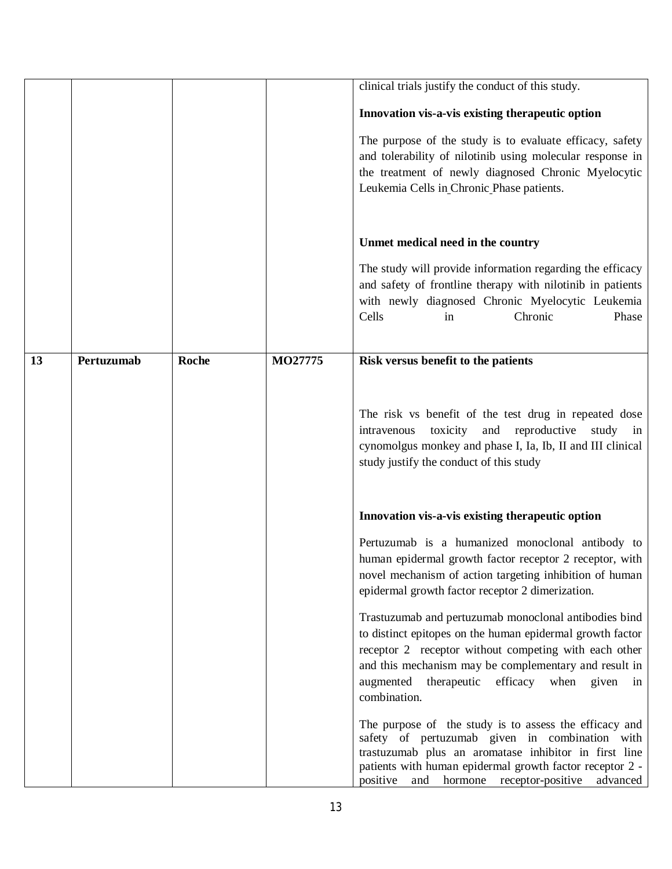|    |            |       |         | clinical trials justify the conduct of this study.                                                                                                                                                                                                                                                         |
|----|------------|-------|---------|------------------------------------------------------------------------------------------------------------------------------------------------------------------------------------------------------------------------------------------------------------------------------------------------------------|
|    |            |       |         | Innovation vis-a-vis existing therapeutic option                                                                                                                                                                                                                                                           |
|    |            |       |         | The purpose of the study is to evaluate efficacy, safety<br>and tolerability of nilotinib using molecular response in<br>the treatment of newly diagnosed Chronic Myelocytic<br>Leukemia Cells in Chronic Phase patients.                                                                                  |
|    |            |       |         | Unmet medical need in the country                                                                                                                                                                                                                                                                          |
|    |            |       |         | The study will provide information regarding the efficacy<br>and safety of frontline therapy with nilotinib in patients<br>with newly diagnosed Chronic Myelocytic Leukemia<br>Chronic<br>Cells<br>Phase<br>in                                                                                             |
| 13 | Pertuzumab | Roche | MO27775 | Risk versus benefit to the patients                                                                                                                                                                                                                                                                        |
|    |            |       |         | The risk vs benefit of the test drug in repeated dose<br>toxicity and reproductive<br>study in<br>intravenous<br>cynomolgus monkey and phase I, Ia, Ib, II and III clinical<br>study justify the conduct of this study                                                                                     |
|    |            |       |         | Innovation vis-a-vis existing therapeutic option                                                                                                                                                                                                                                                           |
|    |            |       |         | Pertuzumab is a humanized monoclonal antibody to<br>human epidermal growth factor receptor 2 receptor, with<br>novel mechanism of action targeting inhibition of human<br>epidermal growth factor receptor 2 dimerization.                                                                                 |
|    |            |       |         | Trastuzumab and pertuzumab monoclonal antibodies bind<br>to distinct epitopes on the human epidermal growth factor<br>receptor 2 receptor without competing with each other<br>and this mechanism may be complementary and result in<br>therapeutic efficacy when given<br>augmented<br>in<br>combination. |
|    |            |       |         | The purpose of the study is to assess the efficacy and<br>safety of pertuzumab given in combination with<br>trastuzumab plus an aromatase inhibitor in first line<br>patients with human epidermal growth factor receptor 2 -<br>positive<br>hormone receptor-positive<br>advanced<br>and                  |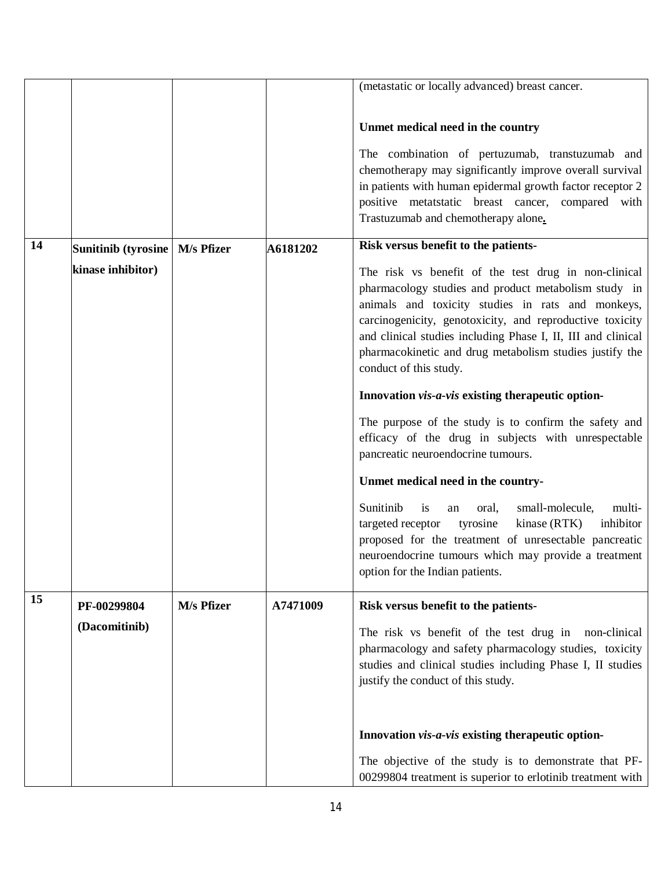|    |                                  |            |          | (metastatic or locally advanced) breast cancer.              |
|----|----------------------------------|------------|----------|--------------------------------------------------------------|
|    |                                  |            |          |                                                              |
|    |                                  |            |          | Unmet medical need in the country                            |
|    |                                  |            |          | The combination of pertuzumab, transtuzumab and              |
|    |                                  |            |          | chemotherapy may significantly improve overall survival      |
|    |                                  |            |          | in patients with human epidermal growth factor receptor 2    |
|    |                                  |            |          | positive metatstatic breast cancer, compared with            |
|    |                                  |            |          | Trastuzumab and chemotherapy alone.                          |
| 14 | Sunitinib (tyrosine   M/s Pfizer |            | A6181202 | Risk versus benefit to the patients-                         |
|    | kinase inhibitor)                |            |          | The risk vs benefit of the test drug in non-clinical         |
|    |                                  |            |          | pharmacology studies and product metabolism study in         |
|    |                                  |            |          | animals and toxicity studies in rats and monkeys,            |
|    |                                  |            |          | carcinogenicity, genotoxicity, and reproductive toxicity     |
|    |                                  |            |          | and clinical studies including Phase I, II, III and clinical |
|    |                                  |            |          | pharmacokinetic and drug metabolism studies justify the      |
|    |                                  |            |          | conduct of this study.                                       |
|    |                                  |            |          | Innovation vis-a-vis existing therapeutic option-            |
|    |                                  |            |          | The purpose of the study is to confirm the safety and        |
|    |                                  |            |          | efficacy of the drug in subjects with unrespectable          |
|    |                                  |            |          | pancreatic neuroendocrine tumours.                           |
|    |                                  |            |          | Unmet medical need in the country-                           |
|    |                                  |            |          | Sunitinib<br>is<br>small-molecule,<br>multi-<br>oral,<br>an  |
|    |                                  |            |          | tyrosine<br>inhibitor<br>targeted receptor<br>kinase (RTK)   |
|    |                                  |            |          | proposed for the treatment of unresectable pancreatic        |
|    |                                  |            |          | neuroendocrine tumours which may provide a treatment         |
|    |                                  |            |          | option for the Indian patients.                              |
| 15 | PF-00299804                      | M/s Pfizer | A7471009 | Risk versus benefit to the patients-                         |
|    | (Dacomitinib)                    |            |          | The risk vs benefit of the test drug in non-clinical         |
|    |                                  |            |          | pharmacology and safety pharmacology studies, toxicity       |
|    |                                  |            |          | studies and clinical studies including Phase I, II studies   |
|    |                                  |            |          | justify the conduct of this study.                           |
|    |                                  |            |          |                                                              |
|    |                                  |            |          |                                                              |
|    |                                  |            |          | Innovation vis-a-vis existing therapeutic option-            |
|    |                                  |            |          | The objective of the study is to demonstrate that PF-        |
|    |                                  |            |          | 00299804 treatment is superior to erlotinib treatment with   |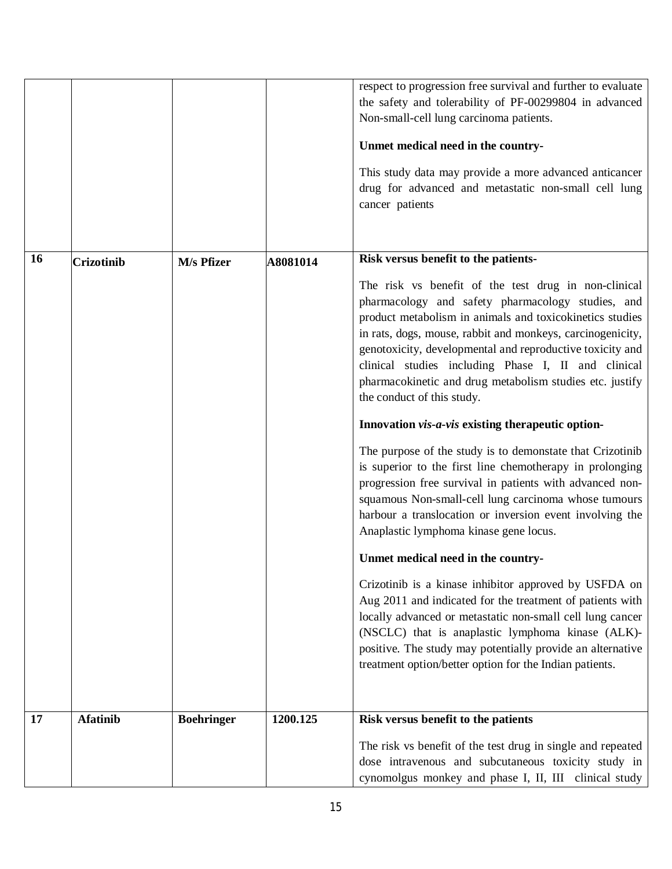|    |                   |                   |          | respect to progression free survival and further to evaluate<br>the safety and tolerability of PF-00299804 in advanced<br>Non-small-cell lung carcinoma patients.<br>Unmet medical need in the country-<br>This study data may provide a more advanced anticancer<br>drug for advanced and metastatic non-small cell lung<br>cancer patients                                                                                                      |
|----|-------------------|-------------------|----------|---------------------------------------------------------------------------------------------------------------------------------------------------------------------------------------------------------------------------------------------------------------------------------------------------------------------------------------------------------------------------------------------------------------------------------------------------|
| 16 | <b>Crizotinib</b> | M/s Pfizer        | A8081014 | Risk versus benefit to the patients-                                                                                                                                                                                                                                                                                                                                                                                                              |
|    |                   |                   |          | The risk vs benefit of the test drug in non-clinical<br>pharmacology and safety pharmacology studies, and<br>product metabolism in animals and toxicokinetics studies<br>in rats, dogs, mouse, rabbit and monkeys, carcinogenicity,<br>genotoxicity, developmental and reproductive toxicity and<br>clinical studies including Phase I, II and clinical<br>pharmacokinetic and drug metabolism studies etc. justify<br>the conduct of this study. |
|    |                   |                   |          | Innovation vis-a-vis existing therapeutic option-                                                                                                                                                                                                                                                                                                                                                                                                 |
|    |                   |                   |          | The purpose of the study is to demonstate that Crizotinib<br>is superior to the first line chemotherapy in prolonging<br>progression free survival in patients with advanced non-<br>squamous Non-small-cell lung carcinoma whose tumours<br>harbour a translocation or inversion event involving the<br>Anaplastic lymphoma kinase gene locus.                                                                                                   |
|    |                   |                   |          | Unmet medical need in the country-                                                                                                                                                                                                                                                                                                                                                                                                                |
|    |                   |                   |          | Crizotinib is a kinase inhibitor approved by USFDA on<br>Aug 2011 and indicated for the treatment of patients with<br>locally advanced or metastatic non-small cell lung cancer<br>(NSCLC) that is anaplastic lymphoma kinase (ALK)-<br>positive. The study may potentially provide an alternative<br>treatment option/better option for the Indian patients.                                                                                     |
| 17 | <b>Afatinib</b>   | <b>Boehringer</b> | 1200.125 | Risk versus benefit to the patients                                                                                                                                                                                                                                                                                                                                                                                                               |
|    |                   |                   |          | The risk vs benefit of the test drug in single and repeated<br>dose intravenous and subcutaneous toxicity study in<br>cynomolgus monkey and phase I, II, III clinical study                                                                                                                                                                                                                                                                       |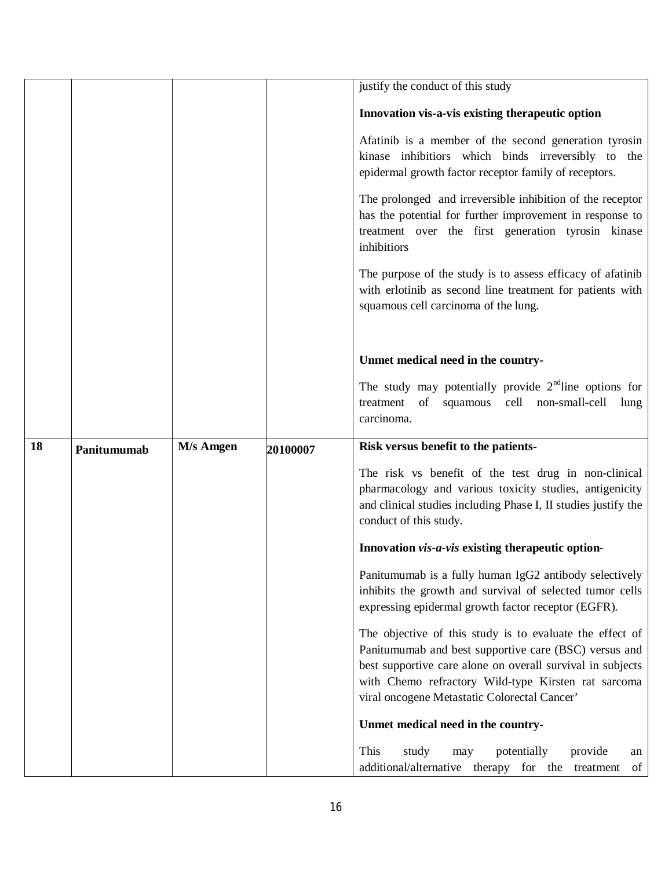|    |             |           |          | justify the conduct of this study                                                                                                                                                                           |
|----|-------------|-----------|----------|-------------------------------------------------------------------------------------------------------------------------------------------------------------------------------------------------------------|
|    |             |           |          |                                                                                                                                                                                                             |
|    |             |           |          | Innovation vis-a-vis existing therapeutic option                                                                                                                                                            |
|    |             |           |          | Afatinib is a member of the second generation tyrosin<br>kinase inhibitiors which binds irreversibly to the<br>epidermal growth factor receptor family of receptors.                                        |
|    |             |           |          | The prolonged and irreversible inhibition of the receptor<br>has the potential for further improvement in response to<br>treatment over the first generation tyrosin kinase<br>inhibitiors                  |
|    |             |           |          | The purpose of the study is to assess efficacy of afatinib<br>with erlotinib as second line treatment for patients with<br>squamous cell carcinoma of the lung.                                             |
|    |             |           |          | Unmet medical need in the country-                                                                                                                                                                          |
|    |             |           |          | The study may potentially provide $2nd$ line options for<br>treatment of squamous cell non-small-cell<br>lung<br>carcinoma.                                                                                 |
| 18 | Panitumumab | M/s Amgen | 20100007 | Risk versus benefit to the patients-                                                                                                                                                                        |
|    |             |           |          | The risk vs benefit of the test drug in non-clinical<br>pharmacology and various toxicity studies, antigenicity<br>and clinical studies including Phase I, II studies justify the<br>conduct of this study. |
|    |             |           |          | Innovation vis-a-vis existing therapeutic option-                                                                                                                                                           |
|    |             |           |          | Panitumumab is a fully human IgG2 antibody selectively<br>inhibits the growth and survival of selected tumor cells<br>expressing epidermal growth factor receptor (EGFR).                                   |
|    |             |           |          | The objective of this study is to evaluate the effect of<br>Panitumumab and best supportive care (BSC) versus and<br>best supportive care alone on overall survival in subjects                             |
|    |             |           |          | with Chemo refractory Wild-type Kirsten rat sarcoma                                                                                                                                                         |
|    |             |           |          | viral oncogene Metastatic Colorectal Cancer'                                                                                                                                                                |
|    |             |           |          | Unmet medical need in the country-                                                                                                                                                                          |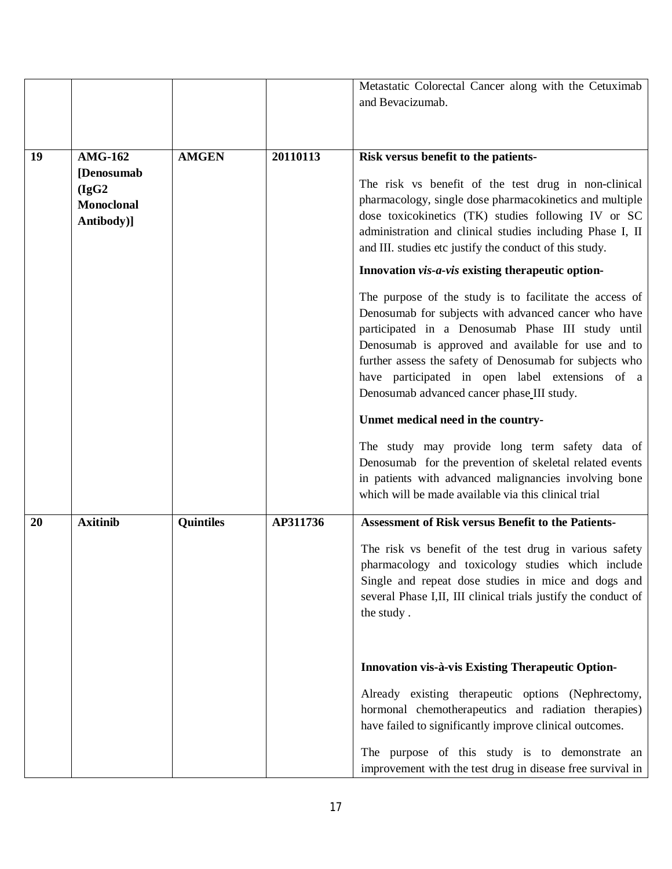|    |                   |                  |          | Metastatic Colorectal Cancer along with the Cetuximab          |
|----|-------------------|------------------|----------|----------------------------------------------------------------|
|    |                   |                  |          | and Bevacizumab.                                               |
|    |                   |                  |          |                                                                |
|    |                   |                  |          |                                                                |
| 19 | <b>AMG-162</b>    | <b>AMGEN</b>     | 20110113 | Risk versus benefit to the patients-                           |
|    | [Denosumab]       |                  |          |                                                                |
|    | (IgG2)            |                  |          | The risk vs benefit of the test drug in non-clinical           |
|    | <b>Monoclonal</b> |                  |          | pharmacology, single dose pharmacokinetics and multiple        |
|    | Antibody)]        |                  |          | dose toxicokinetics (TK) studies following IV or SC            |
|    |                   |                  |          | administration and clinical studies including Phase I, II      |
|    |                   |                  |          | and III. studies etc justify the conduct of this study.        |
|    |                   |                  |          | Innovation vis-a-vis existing therapeutic option-              |
|    |                   |                  |          | The purpose of the study is to facilitate the access of        |
|    |                   |                  |          | Denosumab for subjects with advanced cancer who have           |
|    |                   |                  |          | participated in a Denosumab Phase III study until              |
|    |                   |                  |          | Denosumab is approved and available for use and to             |
|    |                   |                  |          | further assess the safety of Denosumab for subjects who        |
|    |                   |                  |          | have participated in open label extensions of a                |
|    |                   |                  |          | Denosumab advanced cancer phase III study.                     |
|    |                   |                  |          | Unmet medical need in the country-                             |
|    |                   |                  |          | The study may provide long term safety data of                 |
|    |                   |                  |          | Denosumab for the prevention of skeletal related events        |
|    |                   |                  |          | in patients with advanced malignancies involving bone          |
|    |                   |                  |          | which will be made available via this clinical trial           |
|    |                   |                  |          |                                                                |
| 20 | <b>Axitinib</b>   | <b>Quintiles</b> | AP311736 | <b>Assessment of Risk versus Benefit to the Patients-</b>      |
|    |                   |                  |          | The risk vs benefit of the test drug in various safety         |
|    |                   |                  |          | pharmacology and toxicology studies which include              |
|    |                   |                  |          | Single and repeat dose studies in mice and dogs and            |
|    |                   |                  |          | several Phase I,II, III clinical trials justify the conduct of |
|    |                   |                  |          | the study.                                                     |
|    |                   |                  |          |                                                                |
|    |                   |                  |          | Innovation vis-à-vis Existing Therapeutic Option-              |
|    |                   |                  |          |                                                                |
|    |                   |                  |          | Already existing therapeutic options (Nephrectomy,             |
|    |                   |                  |          | hormonal chemotherapeutics and radiation therapies)            |
|    |                   |                  |          | have failed to significantly improve clinical outcomes.        |
|    |                   |                  |          | The purpose of this study is to demonstrate an                 |
|    |                   |                  |          | improvement with the test drug in disease free survival in     |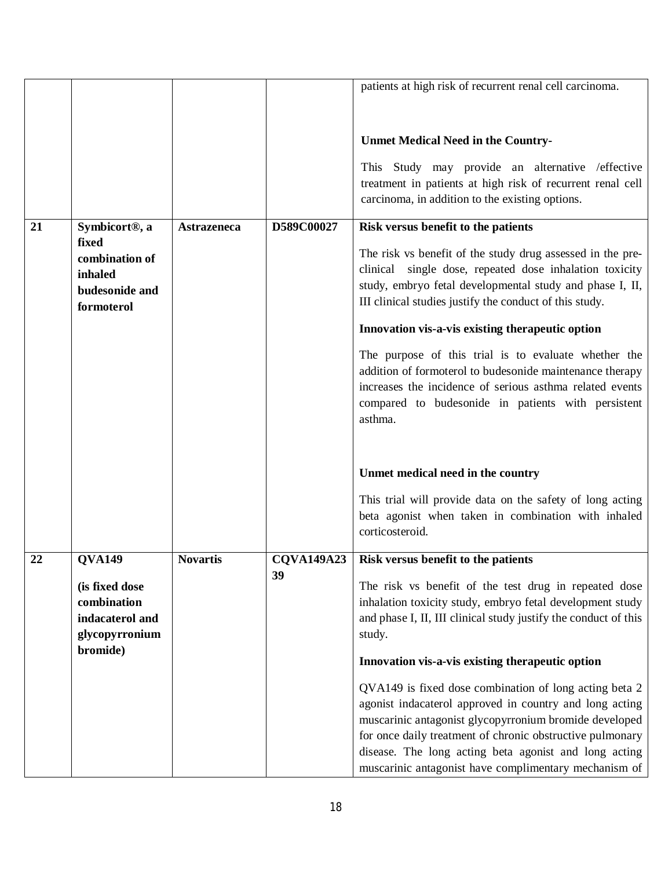|    |                                                                                |                    |                   | patients at high risk of recurrent renal cell carcinoma.                                                                                                                                                                                                                                                                                                   |
|----|--------------------------------------------------------------------------------|--------------------|-------------------|------------------------------------------------------------------------------------------------------------------------------------------------------------------------------------------------------------------------------------------------------------------------------------------------------------------------------------------------------------|
|    |                                                                                |                    |                   | <b>Unmet Medical Need in the Country-</b>                                                                                                                                                                                                                                                                                                                  |
|    |                                                                                |                    |                   | This Study may provide an alternative / effective<br>treatment in patients at high risk of recurrent renal cell<br>carcinoma, in addition to the existing options.                                                                                                                                                                                         |
| 21 | Symbicort <sup>®</sup> , a                                                     | <b>Astrazeneca</b> | D589C00027        | Risk versus benefit to the patients                                                                                                                                                                                                                                                                                                                        |
|    | fixed<br>combination of<br>inhaled<br>budesonide and<br>formoterol             |                    |                   | The risk vs benefit of the study drug assessed in the pre-<br>clinical single dose, repeated dose inhalation toxicity<br>study, embryo fetal developmental study and phase I, II,<br>III clinical studies justify the conduct of this study.                                                                                                               |
|    |                                                                                |                    |                   | Innovation vis-a-vis existing therapeutic option                                                                                                                                                                                                                                                                                                           |
|    |                                                                                |                    |                   | The purpose of this trial is to evaluate whether the<br>addition of formoterol to budesonide maintenance therapy<br>increases the incidence of serious asthma related events<br>compared to budesonide in patients with persistent<br>asthma.                                                                                                              |
|    |                                                                                |                    |                   | Unmet medical need in the country                                                                                                                                                                                                                                                                                                                          |
|    |                                                                                |                    |                   | This trial will provide data on the safety of long acting<br>beta agonist when taken in combination with inhaled<br>corticosteroid.                                                                                                                                                                                                                        |
| 22 | <b>QVA149</b>                                                                  | <b>Novartis</b>    | <b>CQVA149A23</b> | Risk versus benefit to the patients                                                                                                                                                                                                                                                                                                                        |
|    | (is fixed dose<br>combination<br>indacaterol and<br>glycopyrronium<br>bromide) |                    | 39                | The risk vs benefit of the test drug in repeated dose<br>inhalation toxicity study, embryo fetal development study<br>and phase I, II, III clinical study justify the conduct of this<br>study.                                                                                                                                                            |
|    |                                                                                |                    |                   | Innovation vis-a-vis existing therapeutic option                                                                                                                                                                                                                                                                                                           |
|    |                                                                                |                    |                   | QVA149 is fixed dose combination of long acting beta 2<br>agonist indacaterol approved in country and long acting<br>muscarinic antagonist glycopyrronium bromide developed<br>for once daily treatment of chronic obstructive pulmonary<br>disease. The long acting beta agonist and long acting<br>muscarinic antagonist have complimentary mechanism of |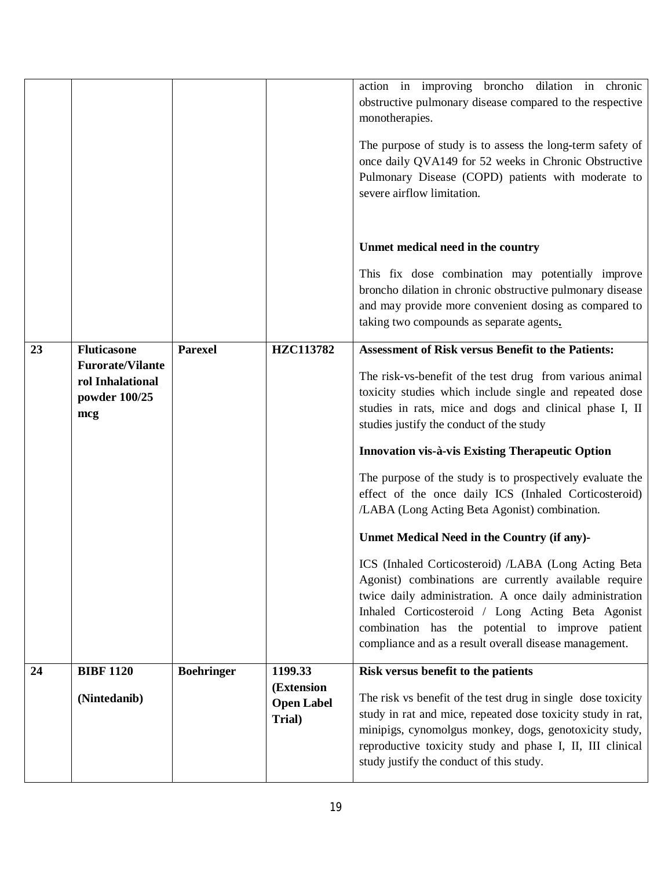|    | (Nintedanib)                                                        |                   | (Extension<br><b>Open Label</b><br>Trial) | The risk vs benefit of the test drug in single dose toxicity<br>study in rat and mice, repeated dose toxicity study in rat,<br>minipigs, cynomolgus monkey, dogs, genotoxicity study,<br>reproductive toxicity study and phase I, II, III clinical<br>study justify the conduct of this study. |
|----|---------------------------------------------------------------------|-------------------|-------------------------------------------|------------------------------------------------------------------------------------------------------------------------------------------------------------------------------------------------------------------------------------------------------------------------------------------------|
| 24 | <b>BIBF 1120</b>                                                    | <b>Boehringer</b> | 1199.33                                   | combination has the potential to improve patient<br>compliance and as a result overall disease management.<br>Risk versus benefit to the patients                                                                                                                                              |
|    |                                                                     |                   |                                           | ICS (Inhaled Corticosteroid) /LABA (Long Acting Beta<br>Agonist) combinations are currently available require<br>twice daily administration. A once daily administration<br>Inhaled Corticosteroid / Long Acting Beta Agonist                                                                  |
|    |                                                                     |                   |                                           | The purpose of the study is to prospectively evaluate the<br>effect of the once daily ICS (Inhaled Corticosteroid)<br>/LABA (Long Acting Beta Agonist) combination.<br>Unmet Medical Need in the Country (if any)-                                                                             |
|    |                                                                     |                   |                                           | Innovation vis-à-vis Existing Therapeutic Option                                                                                                                                                                                                                                               |
|    | <b>Furorate/Vilante</b><br>rol Inhalational<br>powder 100/25<br>mcg |                   |                                           | The risk-vs-benefit of the test drug from various animal<br>toxicity studies which include single and repeated dose<br>studies in rats, mice and dogs and clinical phase I, II<br>studies justify the conduct of the study                                                                     |
| 23 | <b>Fluticasone</b>                                                  | <b>Parexel</b>    | HZC113782                                 | taking two compounds as separate agents.<br><b>Assessment of Risk versus Benefit to the Patients:</b>                                                                                                                                                                                          |
|    |                                                                     |                   |                                           | This fix dose combination may potentially improve<br>broncho dilation in chronic obstructive pulmonary disease<br>and may provide more convenient dosing as compared to                                                                                                                        |
|    |                                                                     |                   |                                           | Unmet medical need in the country                                                                                                                                                                                                                                                              |
|    |                                                                     |                   |                                           | The purpose of study is to assess the long-term safety of<br>once daily QVA149 for 52 weeks in Chronic Obstructive<br>Pulmonary Disease (COPD) patients with moderate to<br>severe airflow limitation.                                                                                         |
|    |                                                                     |                   |                                           | action in improving broncho dilation in chronic<br>obstructive pulmonary disease compared to the respective<br>monotherapies.                                                                                                                                                                  |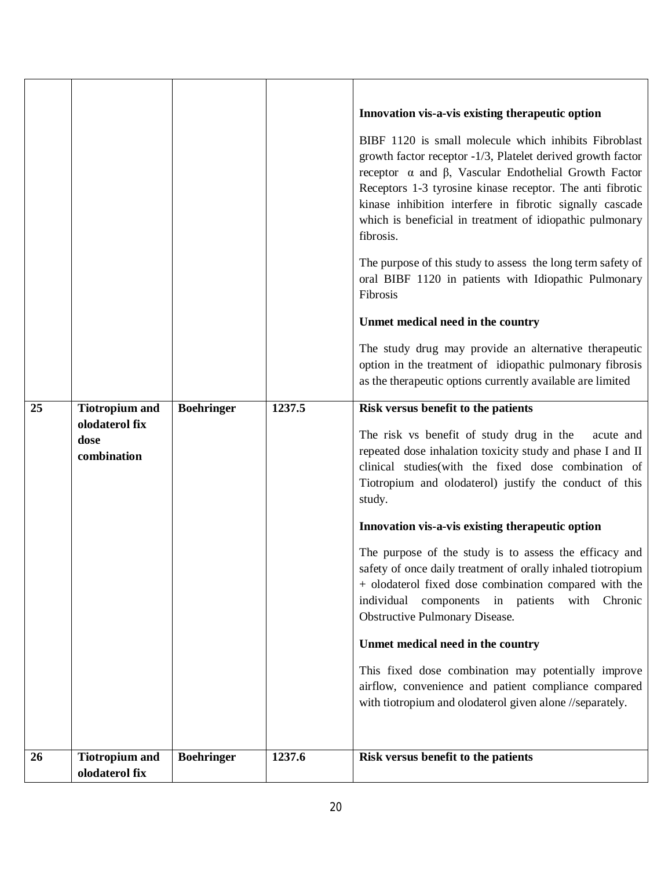|    |                                                                |                   |        | Innovation vis-a-vis existing therapeutic option<br>BIBF 1120 is small molecule which inhibits Fibroblast<br>growth factor receptor -1/3, Platelet derived growth factor<br>receptor $\alpha$ and $\beta$ , Vascular Endothelial Growth Factor<br>Receptors 1-3 tyrosine kinase receptor. The anti fibrotic<br>kinase inhibition interfere in fibrotic signally cascade<br>which is beneficial in treatment of idiopathic pulmonary<br>fibrosis.<br>The purpose of this study to assess the long term safety of<br>oral BIBF 1120 in patients with Idiopathic Pulmonary<br>Fibrosis<br>Unmet medical need in the country<br>The study drug may provide an alternative therapeutic<br>option in the treatment of idiopathic pulmonary fibrosis<br>as the therapeutic options currently available are limited                            |
|----|----------------------------------------------------------------|-------------------|--------|----------------------------------------------------------------------------------------------------------------------------------------------------------------------------------------------------------------------------------------------------------------------------------------------------------------------------------------------------------------------------------------------------------------------------------------------------------------------------------------------------------------------------------------------------------------------------------------------------------------------------------------------------------------------------------------------------------------------------------------------------------------------------------------------------------------------------------------|
| 25 | <b>Tiotropium and</b><br>olodaterol fix<br>dose<br>combination | <b>Boehringer</b> | 1237.5 | Risk versus benefit to the patients<br>The risk vs benefit of study drug in the<br>acute and<br>repeated dose inhalation toxicity study and phase I and II<br>clinical studies (with the fixed dose combination of<br>Tiotropium and olodaterol) justify the conduct of this<br>study.<br>Innovation vis-a-vis existing therapeutic option<br>The purpose of the study is to assess the efficacy and<br>safety of once daily treatment of orally inhaled tiotropium<br>+ olodaterol fixed dose combination compared with the<br>components in patients with<br>individual<br>Chronic<br>Obstructive Pulmonary Disease.<br>Unmet medical need in the country<br>This fixed dose combination may potentially improve<br>airflow, convenience and patient compliance compared<br>with tiotropium and olodaterol given alone //separately. |
| 26 | <b>Tiotropium and</b><br>olodaterol fix                        | <b>Boehringer</b> | 1237.6 | Risk versus benefit to the patients                                                                                                                                                                                                                                                                                                                                                                                                                                                                                                                                                                                                                                                                                                                                                                                                    |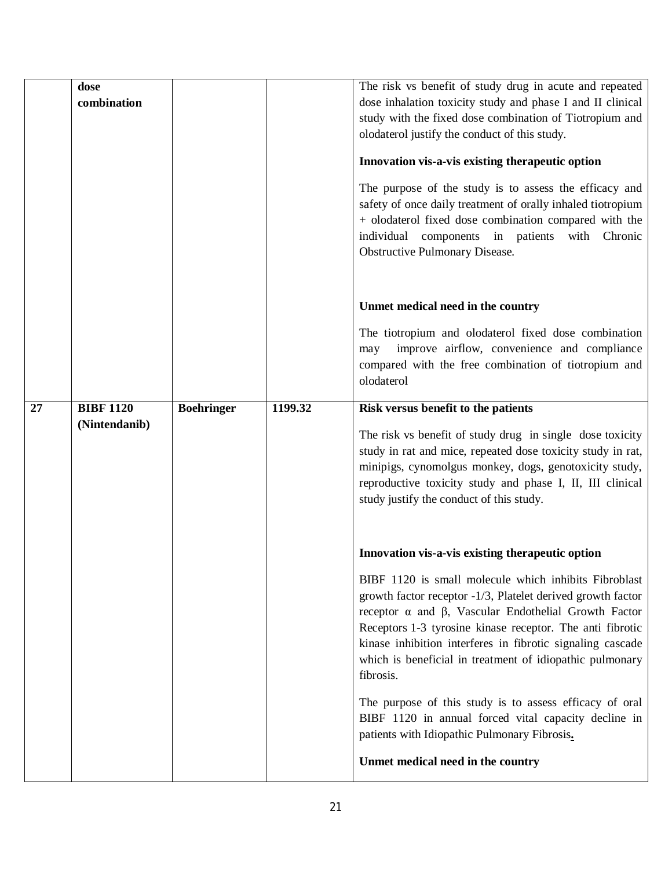|    | dose<br>combination               |                   |         | The risk vs benefit of study drug in acute and repeated<br>dose inhalation toxicity study and phase I and II clinical<br>study with the fixed dose combination of Tiotropium and<br>olodaterol justify the conduct of this study.<br>Innovation vis-a-vis existing therapeutic option<br>The purpose of the study is to assess the efficacy and<br>safety of once daily treatment of orally inhaled tiotropium<br>+ olodaterol fixed dose combination compared with the<br>individual components in patients with<br>Chronic<br><b>Obstructive Pulmonary Disease.</b>                                                                                      |
|----|-----------------------------------|-------------------|---------|------------------------------------------------------------------------------------------------------------------------------------------------------------------------------------------------------------------------------------------------------------------------------------------------------------------------------------------------------------------------------------------------------------------------------------------------------------------------------------------------------------------------------------------------------------------------------------------------------------------------------------------------------------|
|    |                                   |                   |         | Unmet medical need in the country<br>The tiotropium and olodaterol fixed dose combination<br>improve airflow, convenience and compliance<br>may<br>compared with the free combination of tiotropium and<br>olodaterol                                                                                                                                                                                                                                                                                                                                                                                                                                      |
| 27 | <b>BIBF 1120</b><br>(Nintendanib) | <b>Boehringer</b> | 1199.32 | Risk versus benefit to the patients<br>The risk vs benefit of study drug in single dose toxicity<br>study in rat and mice, repeated dose toxicity study in rat,<br>minipigs, cynomolgus monkey, dogs, genotoxicity study,<br>reproductive toxicity study and phase I, II, III clinical<br>study justify the conduct of this study.                                                                                                                                                                                                                                                                                                                         |
|    |                                   |                   |         | Innovation vis-a-vis existing therapeutic option<br>BIBF 1120 is small molecule which inhibits Fibroblast<br>growth factor receptor -1/3, Platelet derived growth factor<br>receptor $\alpha$ and $\beta$ , Vascular Endothelial Growth Factor<br>Receptors 1-3 tyrosine kinase receptor. The anti fibrotic<br>kinase inhibition interferes in fibrotic signaling cascade<br>which is beneficial in treatment of idiopathic pulmonary<br>fibrosis.<br>The purpose of this study is to assess efficacy of oral<br>BIBF 1120 in annual forced vital capacity decline in<br>patients with Idiopathic Pulmonary Fibrosis.<br>Unmet medical need in the country |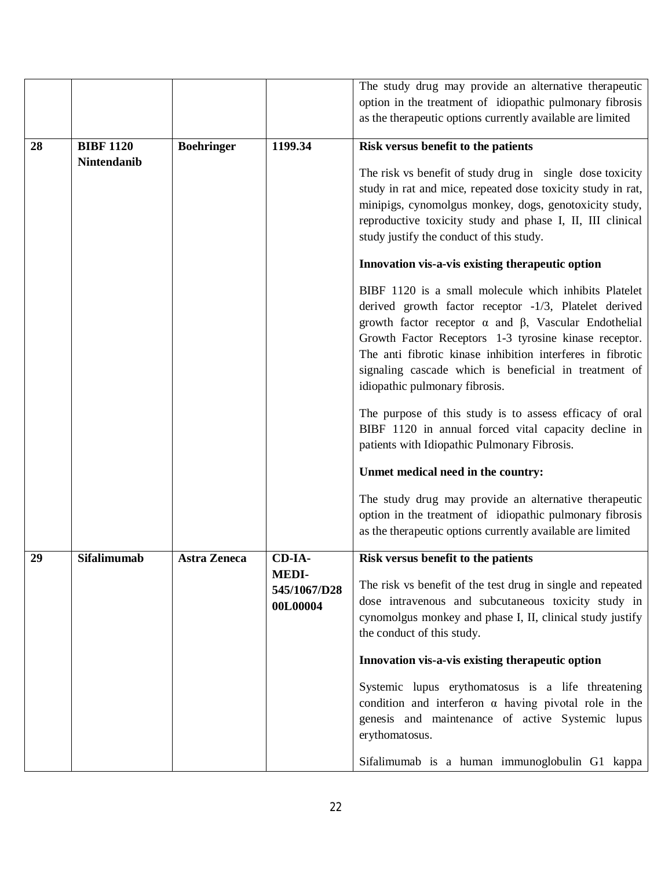|    |                    |                     |              | The study drug may provide an alternative therapeutic              |
|----|--------------------|---------------------|--------------|--------------------------------------------------------------------|
|    |                    |                     |              | option in the treatment of idiopathic pulmonary fibrosis           |
|    |                    |                     |              | as the therapeutic options currently available are limited         |
|    |                    |                     |              |                                                                    |
| 28 | <b>BIBF 1120</b>   | <b>Boehringer</b>   | 1199.34      | Risk versus benefit to the patients                                |
|    | <b>Nintendanib</b> |                     |              |                                                                    |
|    |                    |                     |              | The risk vs benefit of study drug in single dose toxicity          |
|    |                    |                     |              | study in rat and mice, repeated dose toxicity study in rat,        |
|    |                    |                     |              | minipigs, cynomolgus monkey, dogs, genotoxicity study,             |
|    |                    |                     |              | reproductive toxicity study and phase I, II, III clinical          |
|    |                    |                     |              | study justify the conduct of this study.                           |
|    |                    |                     |              |                                                                    |
|    |                    |                     |              | Innovation vis-a-vis existing therapeutic option                   |
|    |                    |                     |              | BIBF 1120 is a small molecule which inhibits Platelet              |
|    |                    |                     |              | derived growth factor receptor -1/3, Platelet derived              |
|    |                    |                     |              | growth factor receptor $\alpha$ and $\beta$ , Vascular Endothelial |
|    |                    |                     |              |                                                                    |
|    |                    |                     |              | Growth Factor Receptors 1-3 tyrosine kinase receptor.              |
|    |                    |                     |              | The anti fibrotic kinase inhibition interferes in fibrotic         |
|    |                    |                     |              | signaling cascade which is beneficial in treatment of              |
|    |                    |                     |              | idiopathic pulmonary fibrosis.                                     |
|    |                    |                     |              | The purpose of this study is to assess efficacy of oral            |
|    |                    |                     |              | BIBF 1120 in annual forced vital capacity decline in               |
|    |                    |                     |              | patients with Idiopathic Pulmonary Fibrosis.                       |
|    |                    |                     |              |                                                                    |
|    |                    |                     |              | Unmet medical need in the country:                                 |
|    |                    |                     |              | The study drug may provide an alternative therapeutic              |
|    |                    |                     |              | option in the treatment of idiopathic pulmonary fibrosis           |
|    |                    |                     |              | as the therapeutic options currently available are limited         |
|    |                    |                     |              |                                                                    |
| 29 | <b>Sifalimumab</b> | <b>Astra Zeneca</b> | CD-IA-       | Risk versus benefit to the patients                                |
|    |                    |                     | <b>MEDI-</b> | The risk vs benefit of the test drug in single and repeated        |
|    |                    |                     | 545/1067/D28 | dose intravenous and subcutaneous toxicity study in                |
|    |                    |                     | 00L00004     | cynomolgus monkey and phase I, II, clinical study justify          |
|    |                    |                     |              |                                                                    |
|    |                    |                     |              | the conduct of this study.                                         |
|    |                    |                     |              | Innovation vis-a-vis existing therapeutic option                   |
|    |                    |                     |              | Systemic lupus erythomatosus is a life threatening                 |
|    |                    |                     |              | condition and interferon $\alpha$ having pivotal role in the       |
|    |                    |                     |              |                                                                    |
|    |                    |                     |              | genesis and maintenance of active Systemic lupus                   |
|    |                    |                     |              | erythomatosus.                                                     |
|    |                    |                     |              | Sifalimumab is a human immunoglobulin G1 kappa                     |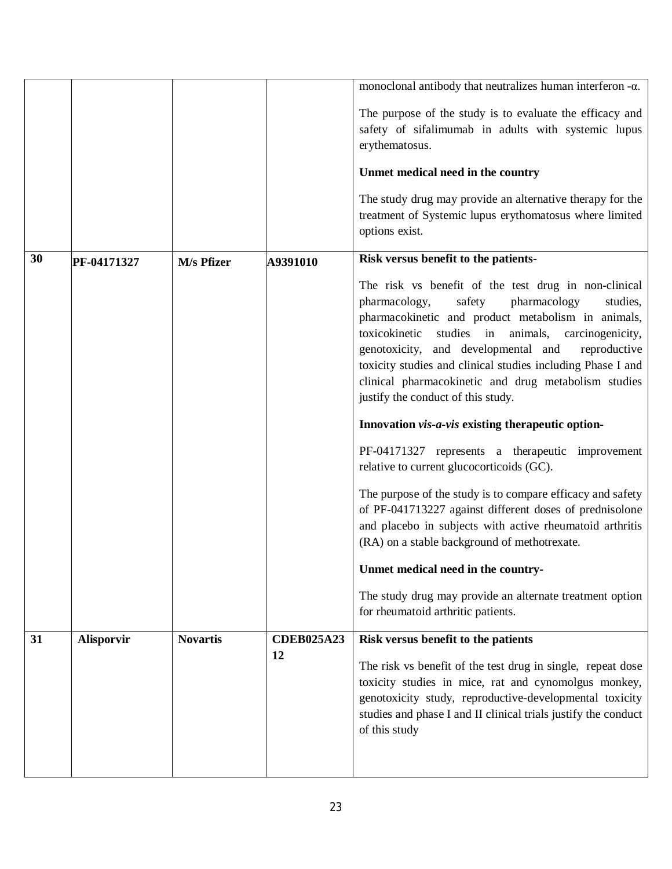|    |                   |                 |                   | monoclonal antibody that neutralizes human interferon $-\alpha$ .                                               |
|----|-------------------|-----------------|-------------------|-----------------------------------------------------------------------------------------------------------------|
|    |                   |                 |                   | The purpose of the study is to evaluate the efficacy and                                                        |
|    |                   |                 |                   | safety of sifalimumab in adults with systemic lupus                                                             |
|    |                   |                 |                   | erythematosus.                                                                                                  |
|    |                   |                 |                   | Unmet medical need in the country                                                                               |
|    |                   |                 |                   | The study drug may provide an alternative therapy for the                                                       |
|    |                   |                 |                   | treatment of Systemic lupus erythomatosus where limited                                                         |
|    |                   |                 |                   | options exist.                                                                                                  |
| 30 | PF-04171327       | M/s Pfizer      | A9391010          | Risk versus benefit to the patients-                                                                            |
|    |                   |                 |                   | The risk vs benefit of the test drug in non-clinical                                                            |
|    |                   |                 |                   | pharmacology,<br>safety<br>pharmacology<br>studies,                                                             |
|    |                   |                 |                   | pharmacokinetic and product metabolism in animals,                                                              |
|    |                   |                 |                   | studies in animals,<br>toxicokinetic<br>carcinogenicity,<br>genotoxicity, and developmental and<br>reproductive |
|    |                   |                 |                   | toxicity studies and clinical studies including Phase I and                                                     |
|    |                   |                 |                   | clinical pharmacokinetic and drug metabolism studies                                                            |
|    |                   |                 |                   | justify the conduct of this study.                                                                              |
|    |                   |                 |                   | Innovation vis-a-vis existing therapeutic option-                                                               |
|    |                   |                 |                   | PF-04171327 represents a therapeutic improvement                                                                |
|    |                   |                 |                   | relative to current glucocorticoids (GC).                                                                       |
|    |                   |                 |                   | The purpose of the study is to compare efficacy and safety                                                      |
|    |                   |                 |                   | of PF-041713227 against different doses of prednisolone                                                         |
|    |                   |                 |                   | and placebo in subjects with active rheumatoid arthritis<br>(RA) on a stable background of methotrexate.        |
|    |                   |                 |                   | Unmet medical need in the country-                                                                              |
|    |                   |                 |                   | The study drug may provide an alternate treatment option                                                        |
|    |                   |                 |                   | for rheumatoid arthritic patients.                                                                              |
| 31 | <b>Alisporvir</b> | <b>Novartis</b> | <b>CDEB025A23</b> | Risk versus benefit to the patients                                                                             |
|    |                   |                 | 12                | The risk vs benefit of the test drug in single, repeat dose                                                     |
|    |                   |                 |                   | toxicity studies in mice, rat and cynomolgus monkey,                                                            |
|    |                   |                 |                   | genotoxicity study, reproductive-developmental toxicity                                                         |
|    |                   |                 |                   | studies and phase I and II clinical trials justify the conduct                                                  |
|    |                   |                 |                   | of this study                                                                                                   |
|    |                   |                 |                   |                                                                                                                 |
|    |                   |                 |                   |                                                                                                                 |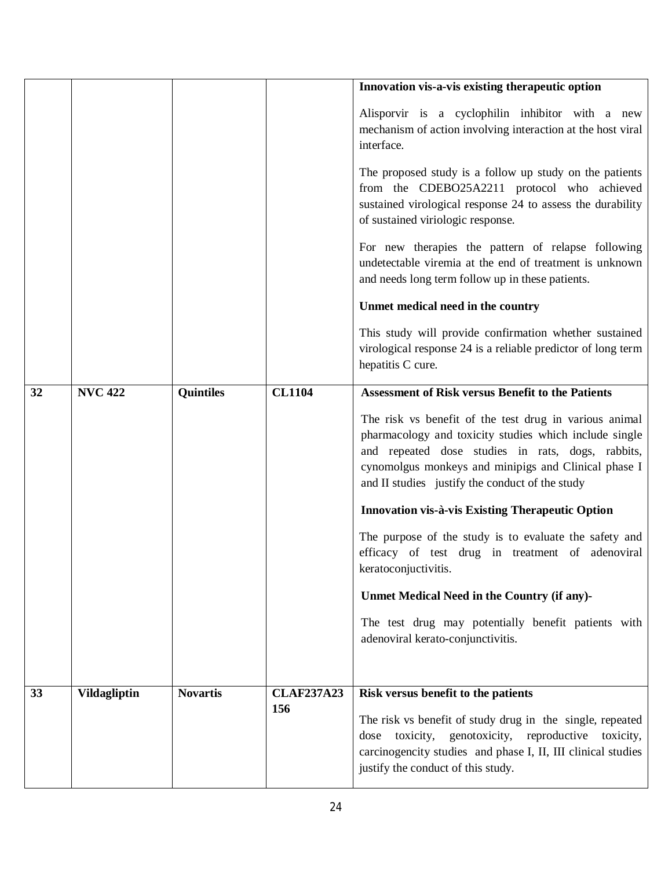|    |                     |                  |                          | Innovation vis-a-vis existing therapeutic option                                                                                                                                                                                                                                 |
|----|---------------------|------------------|--------------------------|----------------------------------------------------------------------------------------------------------------------------------------------------------------------------------------------------------------------------------------------------------------------------------|
|    |                     |                  |                          | Alisporvir is a cyclophilin inhibitor with a new<br>mechanism of action involving interaction at the host viral<br>interface.                                                                                                                                                    |
|    |                     |                  |                          | The proposed study is a follow up study on the patients<br>from the CDEBO25A2211 protocol who achieved<br>sustained virological response 24 to assess the durability<br>of sustained viriologic response.                                                                        |
|    |                     |                  |                          | For new therapies the pattern of relapse following<br>undetectable viremia at the end of treatment is unknown<br>and needs long term follow up in these patients.                                                                                                                |
|    |                     |                  |                          | Unmet medical need in the country                                                                                                                                                                                                                                                |
|    |                     |                  |                          | This study will provide confirmation whether sustained<br>virological response 24 is a reliable predictor of long term<br>hepatitis C cure.                                                                                                                                      |
| 32 | <b>NVC 422</b>      | <b>Quintiles</b> | <b>CL1104</b>            | <b>Assessment of Risk versus Benefit to the Patients</b>                                                                                                                                                                                                                         |
|    |                     |                  |                          | The risk vs benefit of the test drug in various animal<br>pharmacology and toxicity studies which include single<br>and repeated dose studies in rats, dogs, rabbits,<br>cynomolgus monkeys and minipigs and Clinical phase I<br>and II studies justify the conduct of the study |
|    |                     |                  |                          | Innovation vis-à-vis Existing Therapeutic Option                                                                                                                                                                                                                                 |
|    |                     |                  |                          | The purpose of the study is to evaluate the safety and<br>efficacy of test drug in treatment of adenoviral<br>keratoconjuctivitis.                                                                                                                                               |
|    |                     |                  |                          | Unmet Medical Need in the Country (if any)-                                                                                                                                                                                                                                      |
|    |                     |                  |                          | The test drug may potentially benefit patients with<br>adenoviral kerato-conjunctivitis.                                                                                                                                                                                         |
|    |                     |                  |                          |                                                                                                                                                                                                                                                                                  |
| 33 | <b>Vildagliptin</b> | <b>Novartis</b>  | <b>CLAF237A23</b><br>156 | Risk versus benefit to the patients<br>The risk vs benefit of study drug in the single, repeated<br>dose toxicity, genotoxicity, reproductive toxicity,<br>carcinogencity studies and phase I, II, III clinical studies<br>justify the conduct of this study.                    |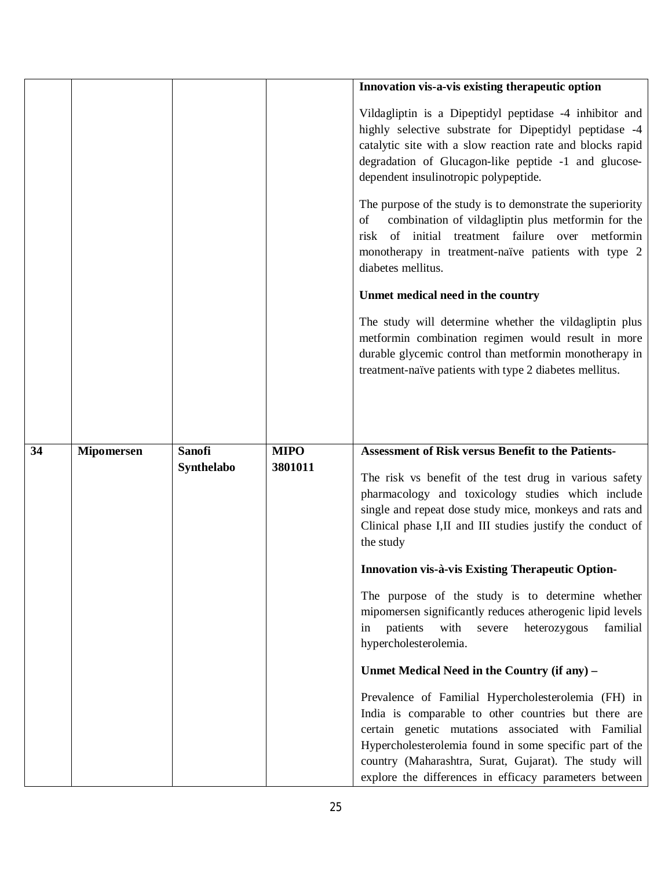|    |                   |                             |                        | Innovation vis-a-vis existing therapeutic option                                                                                                                                                                                                                                |
|----|-------------------|-----------------------------|------------------------|---------------------------------------------------------------------------------------------------------------------------------------------------------------------------------------------------------------------------------------------------------------------------------|
|    |                   |                             |                        | Vildagliptin is a Dipeptidyl peptidase -4 inhibitor and<br>highly selective substrate for Dipeptidyl peptidase -4<br>catalytic site with a slow reaction rate and blocks rapid<br>degradation of Glucagon-like peptide -1 and glucose-<br>dependent insulinotropic polypeptide. |
|    |                   |                             |                        | The purpose of the study is to demonstrate the superiority<br>combination of vildagliptin plus metformin for the<br>of<br>risk of initial treatment failure over metformin<br>monotherapy in treatment-naïve patients with type 2<br>diabetes mellitus.                         |
|    |                   |                             |                        | Unmet medical need in the country                                                                                                                                                                                                                                               |
|    |                   |                             |                        | The study will determine whether the vildagliptin plus<br>metformin combination regimen would result in more<br>durable glycemic control than metformin monotherapy in<br>treatment-naïve patients with type 2 diabetes mellitus.                                               |
|    |                   |                             |                        |                                                                                                                                                                                                                                                                                 |
| 34 | <b>Mipomersen</b> | <b>Sanofi</b><br>Synthelabo | <b>MIPO</b><br>3801011 | Assessment of Risk versus Benefit to the Patients-<br>The risk vs benefit of the test drug in various safety<br>pharmacology and toxicology studies which include                                                                                                               |
|    |                   |                             |                        | single and repeat dose study mice, monkeys and rats and<br>Clinical phase I,II and III studies justify the conduct of<br>the study                                                                                                                                              |
|    |                   |                             |                        | Innovation vis-à-vis Existing Therapeutic Option-                                                                                                                                                                                                                               |
|    |                   |                             |                        | The purpose of the study is to determine whether<br>mipomersen significantly reduces atherogenic lipid levels<br>patients<br>with<br>heterozygous<br>severe<br>familial<br>in<br>hypercholesterolemia.                                                                          |
|    |                   |                             |                        | Unmet Medical Need in the Country (if any) -                                                                                                                                                                                                                                    |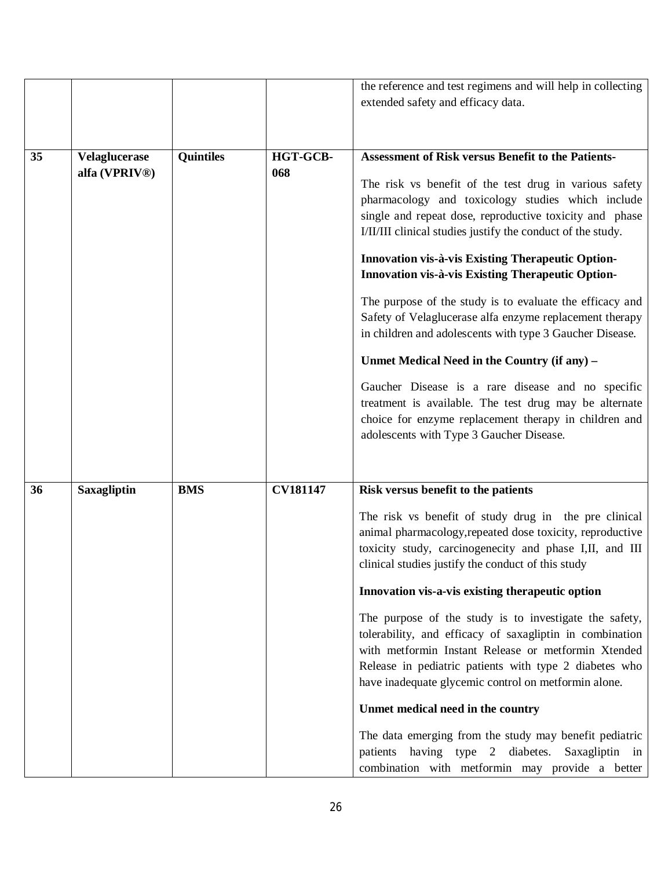|    |                      |                  |                 | the reference and test regimens and will help in collecting |
|----|----------------------|------------------|-----------------|-------------------------------------------------------------|
|    |                      |                  |                 | extended safety and efficacy data.                          |
|    |                      |                  |                 |                                                             |
|    |                      |                  |                 |                                                             |
| 35 | <b>Velaglucerase</b> | <b>Quintiles</b> | HGT-GCB-        | <b>Assessment of Risk versus Benefit to the Patients-</b>   |
|    | alfa (VPRIV®)        |                  | 068             |                                                             |
|    |                      |                  |                 | The risk vs benefit of the test drug in various safety      |
|    |                      |                  |                 | pharmacology and toxicology studies which include           |
|    |                      |                  |                 | single and repeat dose, reproductive toxicity and phase     |
|    |                      |                  |                 | I/II/III clinical studies justify the conduct of the study. |
|    |                      |                  |                 | Innovation vis-à-vis Existing Therapeutic Option-           |
|    |                      |                  |                 | Innovation vis-à-vis Existing Therapeutic Option-           |
|    |                      |                  |                 | The purpose of the study is to evaluate the efficacy and    |
|    |                      |                  |                 | Safety of Velaglucerase alfa enzyme replacement therapy     |
|    |                      |                  |                 | in children and adolescents with type 3 Gaucher Disease.    |
|    |                      |                  |                 | Unmet Medical Need in the Country (if any) –                |
|    |                      |                  |                 | Gaucher Disease is a rare disease and no specific           |
|    |                      |                  |                 | treatment is available. The test drug may be alternate      |
|    |                      |                  |                 | choice for enzyme replacement therapy in children and       |
|    |                      |                  |                 | adolescents with Type 3 Gaucher Disease.                    |
|    |                      |                  |                 |                                                             |
|    |                      |                  |                 |                                                             |
| 36 | Saxagliptin          | <b>BMS</b>       | <b>CV181147</b> | Risk versus benefit to the patients                         |
|    |                      |                  |                 | The risk vs benefit of study drug in the pre clinical       |
|    |                      |                  |                 | animal pharmacology, repeated dose toxicity, reproductive   |
|    |                      |                  |                 | toxicity study, carcinogenecity and phase I,II, and III     |
|    |                      |                  |                 | clinical studies justify the conduct of this study          |
|    |                      |                  |                 | Innovation vis-a-vis existing therapeutic option            |
|    |                      |                  |                 | The purpose of the study is to investigate the safety,      |
|    |                      |                  |                 | tolerability, and efficacy of saxagliptin in combination    |
|    |                      |                  |                 | with metformin Instant Release or metformin Xtended         |
|    |                      |                  |                 | Release in pediatric patients with type 2 diabetes who      |
|    |                      |                  |                 | have inadequate glycemic control on metformin alone.        |
|    |                      |                  |                 | Unmet medical need in the country                           |
|    |                      |                  |                 | The data emerging from the study may benefit pediatric      |
|    |                      |                  |                 | patients having type 2 diabetes. Saxagliptin in             |
|    |                      |                  |                 | combination with metformin may provide a better             |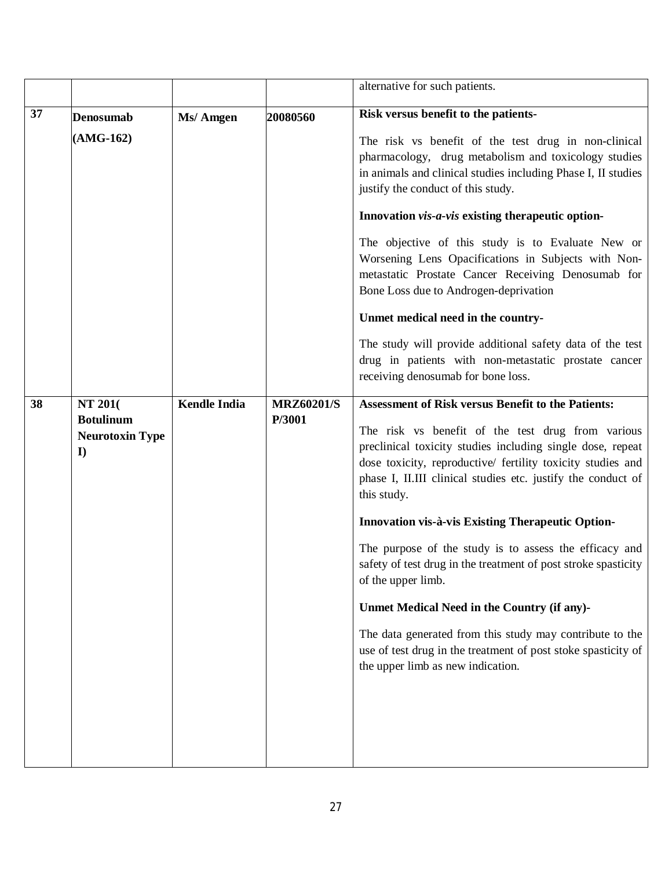|    |                                                                           |                     |                             | alternative for such patients.                                                                                                                                                                                                                                                                                                                                                                                                                                                                                                                                                                                                                                                                                                                            |
|----|---------------------------------------------------------------------------|---------------------|-----------------------------|-----------------------------------------------------------------------------------------------------------------------------------------------------------------------------------------------------------------------------------------------------------------------------------------------------------------------------------------------------------------------------------------------------------------------------------------------------------------------------------------------------------------------------------------------------------------------------------------------------------------------------------------------------------------------------------------------------------------------------------------------------------|
| 37 | <b>Denosumab</b><br>$(AMG-162)$                                           | Ms/ Amgen           | 20080560                    | Risk versus benefit to the patients-<br>The risk vs benefit of the test drug in non-clinical<br>pharmacology, drug metabolism and toxicology studies<br>in animals and clinical studies including Phase I, II studies<br>justify the conduct of this study.<br>Innovation <i>vis-a-vis</i> existing the rapeutic option-<br>The objective of this study is to Evaluate New or<br>Worsening Lens Opacifications in Subjects with Non-<br>metastatic Prostate Cancer Receiving Denosumab for<br>Bone Loss due to Androgen-deprivation<br>Unmet medical need in the country-                                                                                                                                                                                 |
|    |                                                                           |                     |                             | The study will provide additional safety data of the test<br>drug in patients with non-metastatic prostate cancer<br>receiving denosumab for bone loss.                                                                                                                                                                                                                                                                                                                                                                                                                                                                                                                                                                                                   |
| 38 | <b>NT 201</b> (<br><b>Botulinum</b><br><b>Neurotoxin Type</b><br>$\bf{I}$ | <b>Kendle India</b> | <b>MRZ60201/S</b><br>P/3001 | <b>Assessment of Risk versus Benefit to the Patients:</b><br>The risk vs benefit of the test drug from various<br>preclinical toxicity studies including single dose, repeat<br>dose toxicity, reproductive/ fertility toxicity studies and<br>phase I, II.III clinical studies etc. justify the conduct of<br>this study.<br><b>Innovation vis-à-vis Existing Therapeutic Option-</b><br>The purpose of the study is to assess the efficacy and<br>safety of test drug in the treatment of post stroke spasticity<br>of the upper limb.<br>Unmet Medical Need in the Country (if any)-<br>The data generated from this study may contribute to the<br>use of test drug in the treatment of post stoke spasticity of<br>the upper limb as new indication. |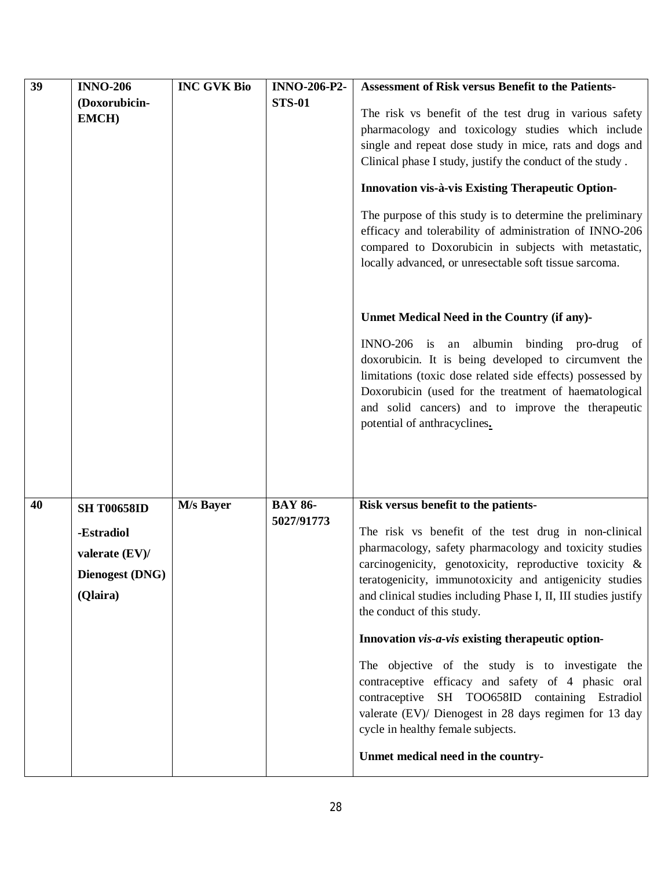| 39 | <b>INNO-206</b>        | <b>INC GVK Bio</b> | <b>INNO-206-P2-</b> | <b>Assessment of Risk versus Benefit to the Patients-</b>                                                                                                                                                                                                                                                         |
|----|------------------------|--------------------|---------------------|-------------------------------------------------------------------------------------------------------------------------------------------------------------------------------------------------------------------------------------------------------------------------------------------------------------------|
|    | (Doxorubicin-          |                    | <b>STS-01</b>       |                                                                                                                                                                                                                                                                                                                   |
|    | <b>EMCH)</b>           |                    |                     | The risk vs benefit of the test drug in various safety                                                                                                                                                                                                                                                            |
|    |                        |                    |                     | pharmacology and toxicology studies which include                                                                                                                                                                                                                                                                 |
|    |                        |                    |                     | single and repeat dose study in mice, rats and dogs and                                                                                                                                                                                                                                                           |
|    |                        |                    |                     | Clinical phase I study, justify the conduct of the study.                                                                                                                                                                                                                                                         |
|    |                        |                    |                     | Innovation vis-à-vis Existing Therapeutic Option-                                                                                                                                                                                                                                                                 |
|    |                        |                    |                     | The purpose of this study is to determine the preliminary<br>efficacy and tolerability of administration of INNO-206<br>compared to Doxorubicin in subjects with metastatic,                                                                                                                                      |
|    |                        |                    |                     | locally advanced, or unresectable soft tissue sarcoma.                                                                                                                                                                                                                                                            |
|    |                        |                    |                     | Unmet Medical Need in the Country (if any)-                                                                                                                                                                                                                                                                       |
|    |                        |                    |                     | INNO-206 is an albumin binding pro-drug<br>of<br>doxorubicin. It is being developed to circumvent the<br>limitations (toxic dose related side effects) possessed by<br>Doxorubicin (used for the treatment of haematological<br>and solid cancers) and to improve the therapeutic<br>potential of anthracyclines. |
|    |                        |                    |                     |                                                                                                                                                                                                                                                                                                                   |
| 40 | <b>SH T00658ID</b>     | M/s Bayer          | <b>BAY 86-</b>      | Risk versus benefit to the patients-                                                                                                                                                                                                                                                                              |
|    | -Estradiol             |                    | 5027/91773          | The risk vs benefit of the test drug in non-clinical                                                                                                                                                                                                                                                              |
|    |                        |                    |                     | pharmacology, safety pharmacology and toxicity studies                                                                                                                                                                                                                                                            |
|    | valerate (EV)/         |                    |                     | carcinogenicity, genotoxicity, reproductive toxicity &                                                                                                                                                                                                                                                            |
|    | <b>Dienogest (DNG)</b> |                    |                     | teratogenicity, immunotoxicity and antigenicity studies                                                                                                                                                                                                                                                           |
|    | (Qlaira)               |                    |                     | and clinical studies including Phase I, II, III studies justify                                                                                                                                                                                                                                                   |
|    |                        |                    |                     | the conduct of this study.                                                                                                                                                                                                                                                                                        |
|    |                        |                    |                     | Innovation vis-a-vis existing therapeutic option-                                                                                                                                                                                                                                                                 |
|    |                        |                    |                     | The objective of the study is to investigate the<br>contraceptive efficacy and safety of 4 phasic oral<br>contraceptive SH TOO658ID containing Estradiol<br>valerate (EV)/ Dienogest in 28 days regimen for 13 day<br>cycle in healthy female subjects.                                                           |
|    |                        |                    |                     | Unmet medical need in the country-                                                                                                                                                                                                                                                                                |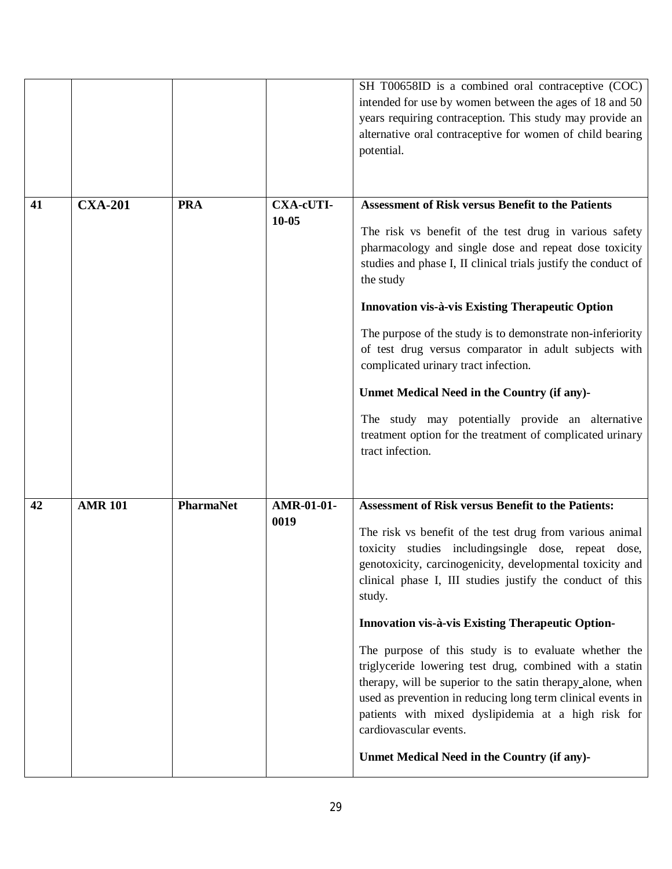|    |                |                  |                               | SH T00658ID is a combined oral contraceptive (COC)<br>intended for use by women between the ages of 18 and 50<br>years requiring contraception. This study may provide an<br>alternative oral contraceptive for women of child bearing<br>potential.                                                                                                                                                                                                                                                                                                                                                                                                                                                                                                         |
|----|----------------|------------------|-------------------------------|--------------------------------------------------------------------------------------------------------------------------------------------------------------------------------------------------------------------------------------------------------------------------------------------------------------------------------------------------------------------------------------------------------------------------------------------------------------------------------------------------------------------------------------------------------------------------------------------------------------------------------------------------------------------------------------------------------------------------------------------------------------|
| 41 | <b>CXA-201</b> | <b>PRA</b>       | <b>CXA-cUTI-</b><br>$10 - 05$ | <b>Assessment of Risk versus Benefit to the Patients</b><br>The risk vs benefit of the test drug in various safety<br>pharmacology and single dose and repeat dose toxicity<br>studies and phase I, II clinical trials justify the conduct of<br>the study<br>Innovation vis-à-vis Existing Therapeutic Option<br>The purpose of the study is to demonstrate non-inferiority<br>of test drug versus comparator in adult subjects with<br>complicated urinary tract infection.<br>Unmet Medical Need in the Country (if any)-<br>The study may potentially provide an alternative<br>treatment option for the treatment of complicated urinary<br>tract infection.                                                                                            |
| 42 | <b>AMR 101</b> | <b>PharmaNet</b> | AMR-01-01-<br>0019            | <b>Assessment of Risk versus Benefit to the Patients:</b><br>The risk vs benefit of the test drug from various animal<br>toxicity studies includingsingle dose, repeat dose,<br>genotoxicity, carcinogenicity, developmental toxicity and<br>clinical phase I, III studies justify the conduct of this<br>study.<br><b>Innovation vis-à-vis Existing Therapeutic Option-</b><br>The purpose of this study is to evaluate whether the<br>triglyceride lowering test drug, combined with a statin<br>therapy, will be superior to the satin therapy alone, when<br>used as prevention in reducing long term clinical events in<br>patients with mixed dyslipidemia at a high risk for<br>cardiovascular events.<br>Unmet Medical Need in the Country (if any)- |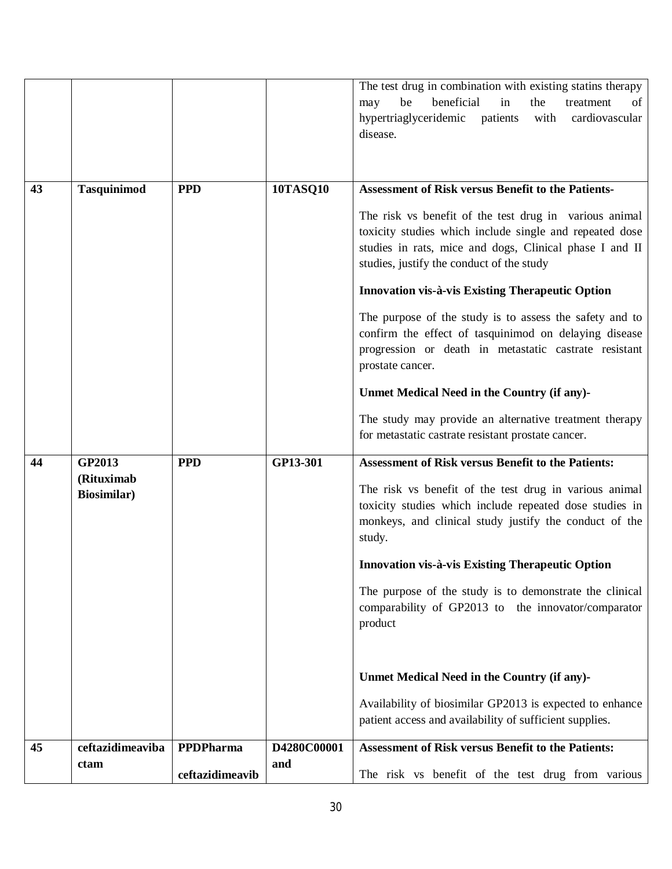|    |                                   |                 |                 | The test drug in combination with existing statins therapy<br>beneficial<br>be<br>in<br>the<br>treatment<br>of<br>may<br>hypertriaglyceridemic<br>patients with<br>cardiovascular<br>disease.                             |
|----|-----------------------------------|-----------------|-----------------|---------------------------------------------------------------------------------------------------------------------------------------------------------------------------------------------------------------------------|
| 43 | <b>Tasquinimod</b>                | <b>PPD</b>      | <b>10TASQ10</b> | <b>Assessment of Risk versus Benefit to the Patients-</b>                                                                                                                                                                 |
|    |                                   |                 |                 | The risk vs benefit of the test drug in various animal<br>toxicity studies which include single and repeated dose<br>studies in rats, mice and dogs, Clinical phase I and II<br>studies, justify the conduct of the study |
|    |                                   |                 |                 | Innovation vis-à-vis Existing Therapeutic Option                                                                                                                                                                          |
|    |                                   |                 |                 | The purpose of the study is to assess the safety and to<br>confirm the effect of tasquinimod on delaying disease<br>progression or death in metastatic castrate resistant<br>prostate cancer.                             |
|    |                                   |                 |                 | Unmet Medical Need in the Country (if any)-                                                                                                                                                                               |
|    |                                   |                 |                 | The study may provide an alternative treatment therapy<br>for metastatic castrate resistant prostate cancer.                                                                                                              |
| 44 | GP2013                            | <b>PPD</b>      | GP13-301        | <b>Assessment of Risk versus Benefit to the Patients:</b>                                                                                                                                                                 |
|    | (Rituximab<br><b>Biosimilar</b> ) |                 |                 | The risk vs benefit of the test drug in various animal<br>toxicity studies which include repeated dose studies in<br>monkeys, and clinical study justify the conduct of the<br>study.                                     |
|    |                                   |                 |                 | Innovation vis-à-vis Existing Therapeutic Option                                                                                                                                                                          |
|    |                                   |                 |                 | The purpose of the study is to demonstrate the clinical<br>comparability of GP2013 to the innovator/comparator<br>product                                                                                                 |
|    |                                   |                 |                 | Unmet Medical Need in the Country (if any)-                                                                                                                                                                               |
|    |                                   |                 |                 | Availability of biosimilar GP2013 is expected to enhance<br>patient access and availability of sufficient supplies.                                                                                                       |
| 45 | ceftazidimeaviba                  | PPDPharma       | D4280C00001     | <b>Assessment of Risk versus Benefit to the Patients:</b>                                                                                                                                                                 |
|    | ctam                              | ceftazidimeavib | and             | The risk vs benefit of the test drug from various                                                                                                                                                                         |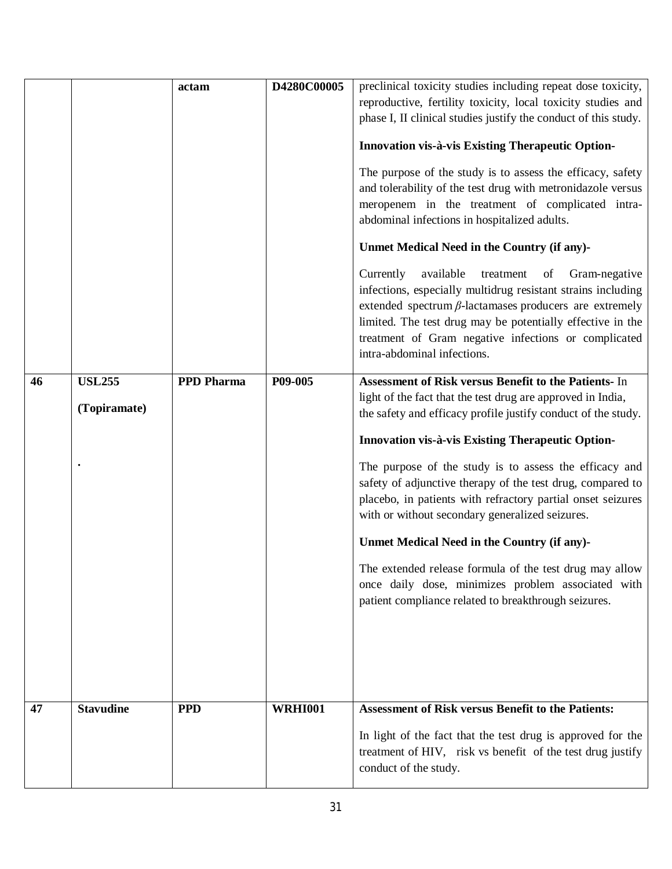|    |                  | actam             | D4280C00005    | preclinical toxicity studies including repeat dose toxicity,    |
|----|------------------|-------------------|----------------|-----------------------------------------------------------------|
|    |                  |                   |                | reproductive, fertility toxicity, local toxicity studies and    |
|    |                  |                   |                | phase I, II clinical studies justify the conduct of this study. |
|    |                  |                   |                |                                                                 |
|    |                  |                   |                | Innovation vis-à-vis Existing Therapeutic Option-               |
|    |                  |                   |                | The purpose of the study is to assess the efficacy, safety      |
|    |                  |                   |                | and tolerability of the test drug with metronidazole versus     |
|    |                  |                   |                | meropenem in the treatment of complicated intra-                |
|    |                  |                   |                | abdominal infections in hospitalized adults.                    |
|    |                  |                   |                | Unmet Medical Need in the Country (if any)-                     |
|    |                  |                   |                | Currently<br>available<br>treatment<br>Gram-negative<br>of      |
|    |                  |                   |                | infections, especially multidrug resistant strains including    |
|    |                  |                   |                | extended spectrum $\beta$ -lactamases producers are extremely   |
|    |                  |                   |                | limited. The test drug may be potentially effective in the      |
|    |                  |                   |                | treatment of Gram negative infections or complicated            |
|    |                  |                   |                | intra-abdominal infections.                                     |
| 46 | <b>USL255</b>    | <b>PPD Pharma</b> | P09-005        | Assessment of Risk versus Benefit to the Patients- In           |
|    |                  |                   |                | light of the fact that the test drug are approved in India,     |
|    | (Topiramate)     |                   |                | the safety and efficacy profile justify conduct of the study.   |
|    |                  |                   |                |                                                                 |
|    |                  |                   |                | Innovation vis-à-vis Existing Therapeutic Option-               |
|    |                  |                   |                | The purpose of the study is to assess the efficacy and          |
|    |                  |                   |                | safety of adjunctive therapy of the test drug, compared to      |
|    |                  |                   |                | placebo, in patients with refractory partial onset seizures     |
|    |                  |                   |                | with or without secondary generalized seizures.                 |
|    |                  |                   |                | Unmet Medical Need in the Country (if any)-                     |
|    |                  |                   |                | The extended release formula of the test drug may allow         |
|    |                  |                   |                | once daily dose, minimizes problem associated with              |
|    |                  |                   |                | patient compliance related to breakthrough seizures.            |
|    |                  |                   |                |                                                                 |
|    |                  |                   |                |                                                                 |
|    |                  |                   |                |                                                                 |
|    |                  |                   |                |                                                                 |
|    |                  |                   |                |                                                                 |
| 47 | <b>Stavudine</b> | <b>PPD</b>        | <b>WRHI001</b> | <b>Assessment of Risk versus Benefit to the Patients:</b>       |
|    |                  |                   |                | In light of the fact that the test drug is approved for the     |
|    |                  |                   |                | treatment of HIV, risk vs benefit of the test drug justify      |
|    |                  |                   |                | conduct of the study.                                           |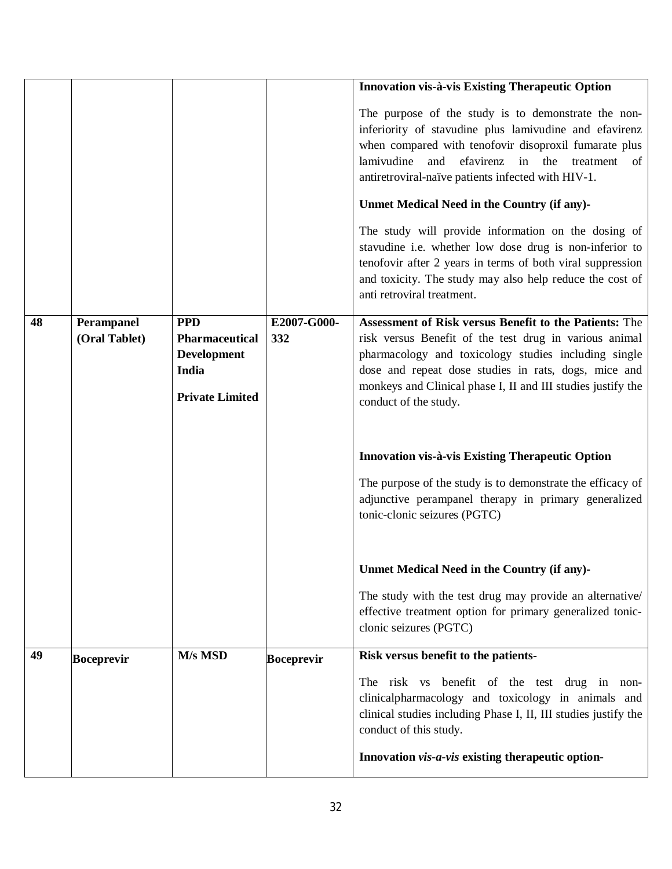|    |                             |                                                                                              |                    | Innovation vis-à-vis Existing Therapeutic Option                                                                                                                                                                                                                                                                          |
|----|-----------------------------|----------------------------------------------------------------------------------------------|--------------------|---------------------------------------------------------------------------------------------------------------------------------------------------------------------------------------------------------------------------------------------------------------------------------------------------------------------------|
|    |                             |                                                                                              |                    | The purpose of the study is to demonstrate the non-<br>inferiority of stavudine plus lamivudine and efavirenz<br>when compared with tenofovir disoproxil fumarate plus<br>lamivudine<br>efavirenz in the treatment<br>and<br>of<br>antiretroviral-naïve patients infected with HIV-1.                                     |
|    |                             |                                                                                              |                    | Unmet Medical Need in the Country (if any)-                                                                                                                                                                                                                                                                               |
|    |                             |                                                                                              |                    | The study will provide information on the dosing of<br>stavudine i.e. whether low dose drug is non-inferior to<br>tenofovir after 2 years in terms of both viral suppression<br>and toxicity. The study may also help reduce the cost of<br>anti retroviral treatment.                                                    |
| 48 | Perampanel<br>(Oral Tablet) | <b>PPD</b><br><b>Pharmaceutical</b><br><b>Development</b><br>India<br><b>Private Limited</b> | E2007-G000-<br>332 | Assessment of Risk versus Benefit to the Patients: The<br>risk versus Benefit of the test drug in various animal<br>pharmacology and toxicology studies including single<br>dose and repeat dose studies in rats, dogs, mice and<br>monkeys and Clinical phase I, II and III studies justify the<br>conduct of the study. |
|    |                             |                                                                                              |                    | Innovation vis-à-vis Existing Therapeutic Option                                                                                                                                                                                                                                                                          |
|    |                             |                                                                                              |                    | The purpose of the study is to demonstrate the efficacy of<br>adjunctive perampanel therapy in primary generalized<br>tonic-clonic seizures (PGTC)                                                                                                                                                                        |
|    |                             |                                                                                              |                    | Unmet Medical Need in the Country (if any)-                                                                                                                                                                                                                                                                               |
|    |                             |                                                                                              |                    | The study with the test drug may provide an alternative/<br>effective treatment option for primary generalized tonic-<br>clonic seizures (PGTC)                                                                                                                                                                           |
| 49 | <b>Boceprevir</b>           | M/s MSD                                                                                      | <b>Boceprevir</b>  | Risk versus benefit to the patients-                                                                                                                                                                                                                                                                                      |
|    |                             |                                                                                              |                    | The risk vs benefit of the test drug in non-<br>clinicalpharmacology and toxicology in animals and<br>clinical studies including Phase I, II, III studies justify the<br>conduct of this study.                                                                                                                           |
|    |                             |                                                                                              |                    | Innovation vis-a-vis existing therapeutic option-                                                                                                                                                                                                                                                                         |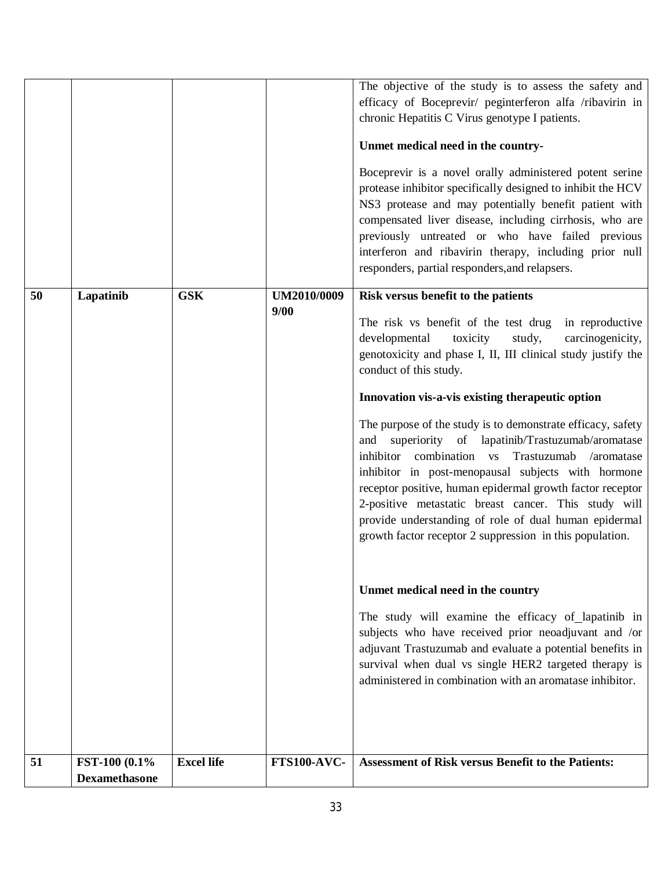| 51 | FST-100 (0.1%) | <b>Excel life</b> | <b>FTS100-AVC-</b>  | <b>Assessment of Risk versus Benefit to the Patients:</b>                                                                                                                                                                                                                                                                                                                                                                                                                                                                                                                                                                |
|----|----------------|-------------------|---------------------|--------------------------------------------------------------------------------------------------------------------------------------------------------------------------------------------------------------------------------------------------------------------------------------------------------------------------------------------------------------------------------------------------------------------------------------------------------------------------------------------------------------------------------------------------------------------------------------------------------------------------|
|    |                |                   |                     | Unmet medical need in the country<br>The study will examine the efficacy of lapatinib in<br>subjects who have received prior neoadjuvant and /or<br>adjuvant Trastuzumab and evaluate a potential benefits in<br>survival when dual vs single HER2 targeted therapy is<br>administered in combination with an aromatase inhibitor.                                                                                                                                                                                                                                                                                       |
|    |                |                   |                     | Innovation vis-a-vis existing therapeutic option<br>The purpose of the study is to demonstrate efficacy, safety<br>and superiority of lapatinib/Trastuzumab/aromatase<br>inhibitor combination vs Trastuzumab<br>/aromatase<br>inhibitor in post-menopausal subjects with hormone<br>receptor positive, human epidermal growth factor receptor<br>2-positive metastatic breast cancer. This study will<br>provide understanding of role of dual human epidermal<br>growth factor receptor 2 suppression in this population.                                                                                              |
| 50 | Lapatinib      | <b>GSK</b>        | UM2010/0009<br>9/00 | Risk versus benefit to the patients<br>The risk vs benefit of the test drug<br>in reproductive<br>developmental<br>toxicity<br>study,<br>carcinogenicity,<br>genotoxicity and phase I, II, III clinical study justify the<br>conduct of this study.                                                                                                                                                                                                                                                                                                                                                                      |
|    |                |                   |                     | The objective of the study is to assess the safety and<br>efficacy of Boceprevir/ peginterferon alfa /ribavirin in<br>chronic Hepatitis C Virus genotype I patients.<br>Unmet medical need in the country-<br>Boceprevir is a novel orally administered potent serine<br>protease inhibitor specifically designed to inhibit the HCV<br>NS3 protease and may potentially benefit patient with<br>compensated liver disease, including cirrhosis, who are<br>previously untreated or who have failed previous<br>interferon and ribavirin therapy, including prior null<br>responders, partial responders, and relapsers. |
|    |                |                   |                     |                                                                                                                                                                                                                                                                                                                                                                                                                                                                                                                                                                                                                          |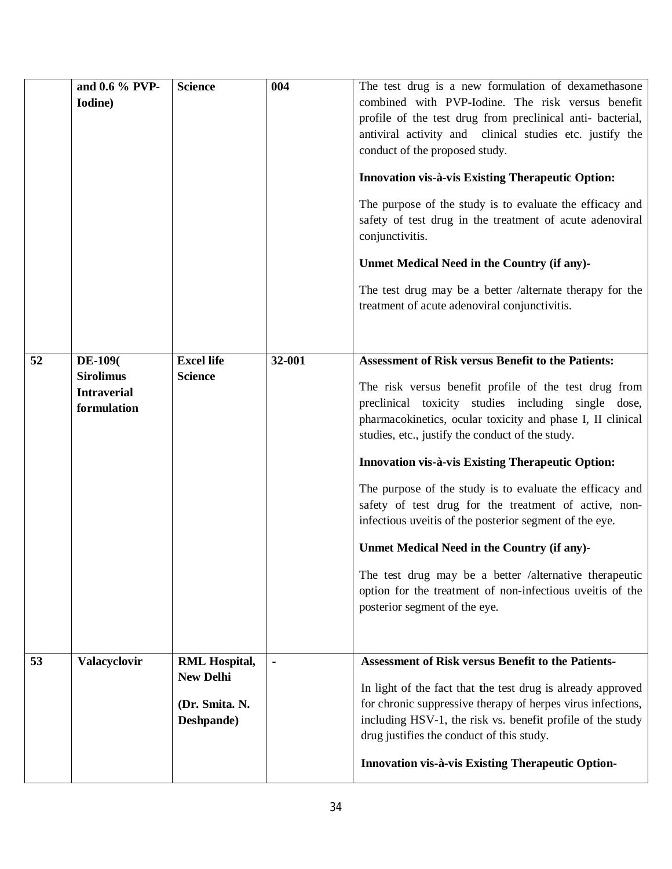|    | and 0.6 % PVP-<br>Iodine)                                                | <b>Science</b>                                                           | 004    | The test drug is a new formulation of dexamethasone<br>combined with PVP-Iodine. The risk versus benefit<br>profile of the test drug from preclinical anti- bacterial,<br>antiviral activity and clinical studies etc. justify the<br>conduct of the proposed study.<br>Innovation vis-à-vis Existing Therapeutic Option:<br>The purpose of the study is to evaluate the efficacy and<br>safety of test drug in the treatment of acute adenoviral<br>conjunctivitis.<br>Unmet Medical Need in the Country (if any)-<br>The test drug may be a better /alternate therapy for the<br>treatment of acute adenoviral conjunctivitis.                                                                                                        |
|----|--------------------------------------------------------------------------|--------------------------------------------------------------------------|--------|-----------------------------------------------------------------------------------------------------------------------------------------------------------------------------------------------------------------------------------------------------------------------------------------------------------------------------------------------------------------------------------------------------------------------------------------------------------------------------------------------------------------------------------------------------------------------------------------------------------------------------------------------------------------------------------------------------------------------------------------|
| 52 | <b>DE-109</b> (<br><b>Sirolimus</b><br><b>Intraverial</b><br>formulation | <b>Excel life</b><br><b>Science</b>                                      | 32-001 | <b>Assessment of Risk versus Benefit to the Patients:</b><br>The risk versus benefit profile of the test drug from<br>preclinical toxicity studies including single dose,<br>pharmacokinetics, ocular toxicity and phase I, II clinical<br>studies, etc., justify the conduct of the study.<br>Innovation vis-à-vis Existing Therapeutic Option:<br>The purpose of the study is to evaluate the efficacy and<br>safety of test drug for the treatment of active, non-<br>infectious uveitis of the posterior segment of the eye.<br>Unmet Medical Need in the Country (if any)-<br>The test drug may be a better /alternative therapeutic<br>option for the treatment of non-infectious uveitis of the<br>posterior segment of the eye. |
| 53 | Valacyclovir                                                             | <b>RML Hospital,</b><br><b>New Delhi</b><br>(Dr. Smita. N.<br>Deshpande) |        | <b>Assessment of Risk versus Benefit to the Patients-</b><br>In light of the fact that the test drug is already approved<br>for chronic suppressive therapy of herpes virus infections,<br>including HSV-1, the risk vs. benefit profile of the study<br>drug justifies the conduct of this study.<br>Innovation vis-à-vis Existing Therapeutic Option-                                                                                                                                                                                                                                                                                                                                                                                 |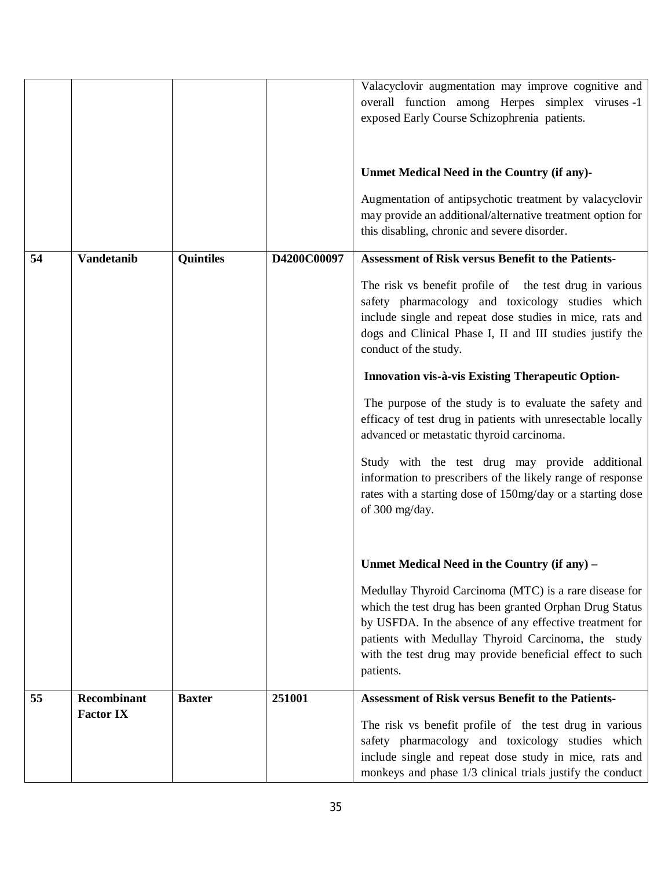|    |                    |                  |             | Valacyclovir augmentation may improve cognitive and<br>overall function among Herpes simplex viruses -1<br>exposed Early Course Schizophrenia patients.                                                                                                                                                      |
|----|--------------------|------------------|-------------|--------------------------------------------------------------------------------------------------------------------------------------------------------------------------------------------------------------------------------------------------------------------------------------------------------------|
|    |                    |                  |             | Unmet Medical Need in the Country (if any)-<br>Augmentation of antipsychotic treatment by valacyclovir<br>may provide an additional/alternative treatment option for<br>this disabling, chronic and severe disorder.                                                                                         |
| 54 | <b>Vandetanib</b>  | <b>Quintiles</b> | D4200C00097 | <b>Assessment of Risk versus Benefit to the Patients-</b>                                                                                                                                                                                                                                                    |
|    |                    |                  |             | The risk vs benefit profile of the test drug in various<br>safety pharmacology and toxicology studies which<br>include single and repeat dose studies in mice, rats and<br>dogs and Clinical Phase I, II and III studies justify the<br>conduct of the study.                                                |
|    |                    |                  |             | Innovation vis-à-vis Existing Therapeutic Option-                                                                                                                                                                                                                                                            |
|    |                    |                  |             | The purpose of the study is to evaluate the safety and<br>efficacy of test drug in patients with unresectable locally<br>advanced or metastatic thyroid carcinoma.                                                                                                                                           |
|    |                    |                  |             | Study with the test drug may provide additional<br>information to prescribers of the likely range of response<br>rates with a starting dose of 150mg/day or a starting dose<br>of 300 mg/day.                                                                                                                |
|    |                    |                  |             |                                                                                                                                                                                                                                                                                                              |
|    |                    |                  |             | Unmet Medical Need in the Country (if any) –                                                                                                                                                                                                                                                                 |
|    |                    |                  |             | Medullay Thyroid Carcinoma (MTC) is a rare disease for<br>which the test drug has been granted Orphan Drug Status<br>by USFDA. In the absence of any effective treatment for<br>patients with Medullay Thyroid Carcinoma, the study<br>with the test drug may provide beneficial effect to such<br>patients. |
| 55 | <b>Recombinant</b> | <b>Baxter</b>    | 251001      | <b>Assessment of Risk versus Benefit to the Patients-</b>                                                                                                                                                                                                                                                    |
|    | <b>Factor IX</b>   |                  |             | The risk vs benefit profile of the test drug in various<br>safety pharmacology and toxicology studies which<br>include single and repeat dose study in mice, rats and<br>monkeys and phase 1/3 clinical trials justify the conduct                                                                           |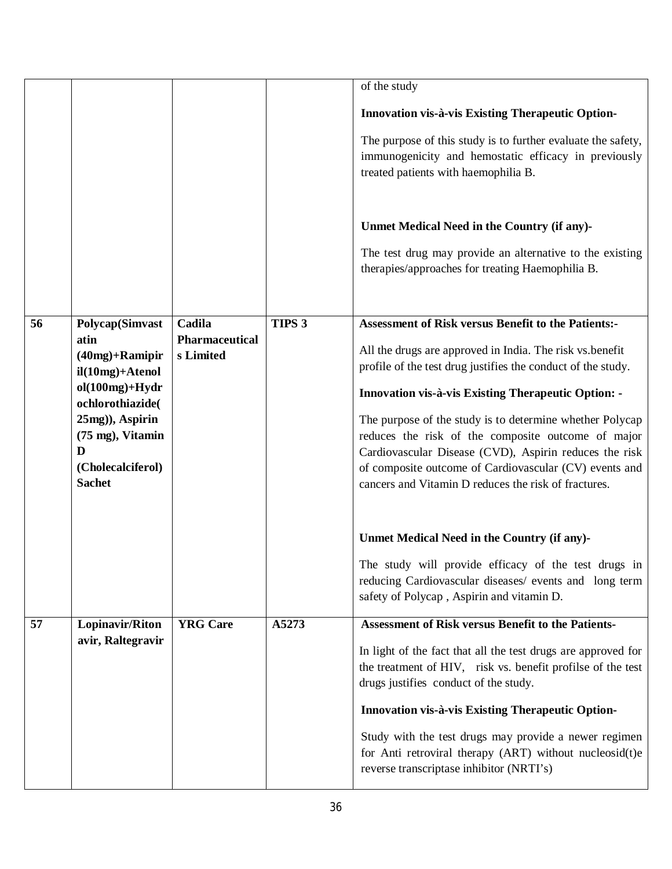|    |                                      |                                    |                   | of the study                                                                                                   |
|----|--------------------------------------|------------------------------------|-------------------|----------------------------------------------------------------------------------------------------------------|
|    |                                      |                                    |                   |                                                                                                                |
|    |                                      |                                    |                   | Innovation vis-à-vis Existing Therapeutic Option-                                                              |
|    |                                      |                                    |                   | The purpose of this study is to further evaluate the safety,                                                   |
|    |                                      |                                    |                   | immunogenicity and hemostatic efficacy in previously                                                           |
|    |                                      |                                    |                   | treated patients with haemophilia B.                                                                           |
|    |                                      |                                    |                   |                                                                                                                |
|    |                                      |                                    |                   | Unmet Medical Need in the Country (if any)-                                                                    |
|    |                                      |                                    |                   |                                                                                                                |
|    |                                      |                                    |                   | The test drug may provide an alternative to the existing<br>therapies/approaches for treating Haemophilia B.   |
|    |                                      |                                    |                   |                                                                                                                |
|    |                                      |                                    |                   |                                                                                                                |
| 56 | <b>Polycap(Simvast</b>               | Cadila                             | TIPS <sub>3</sub> | <b>Assessment of Risk versus Benefit to the Patients:-</b>                                                     |
|    | atin<br>$(40mg) +$ Ramipir           | <b>Pharmaceutical</b><br>s Limited |                   | All the drugs are approved in India. The risk vs.benefit                                                       |
|    | $il(10mg) + Atenol$                  |                                    |                   | profile of the test drug justifies the conduct of the study.                                                   |
|    | $ol(100mg)+Hydr$                     |                                    |                   | <b>Innovation vis-à-vis Existing Therapeutic Option: -</b>                                                     |
|    | ochlorothiazide(                     |                                    |                   |                                                                                                                |
|    | 25mg)), Aspirin<br>(75 mg), Vitamin  |                                    |                   | The purpose of the study is to determine whether Polycap<br>reduces the risk of the composite outcome of major |
|    | D                                    |                                    |                   | Cardiovascular Disease (CVD), Aspirin reduces the risk                                                         |
|    | (Cholecalciferol)                    |                                    |                   | of composite outcome of Cardiovascular (CV) events and                                                         |
|    | <b>Sachet</b>                        |                                    |                   | cancers and Vitamin D reduces the risk of fractures.                                                           |
|    |                                      |                                    |                   |                                                                                                                |
|    |                                      |                                    |                   | Unmet Medical Need in the Country (if any)-                                                                    |
|    |                                      |                                    |                   |                                                                                                                |
|    |                                      |                                    |                   | The study will provide efficacy of the test drugs in<br>reducing Cardiovascular diseases/ events and long term |
|    |                                      |                                    |                   | safety of Polycap, Aspirin and vitamin D.                                                                      |
|    |                                      | <b>YRG</b> Care                    | A5273             | <b>Assessment of Risk versus Benefit to the Patients-</b>                                                      |
| 57 | Lopinavir/Riton<br>avir, Raltegravir |                                    |                   |                                                                                                                |
|    |                                      |                                    |                   | In light of the fact that all the test drugs are approved for                                                  |
|    |                                      |                                    |                   | the treatment of HIV, risk vs. benefit profilse of the test<br>drugs justifies conduct of the study.           |
|    |                                      |                                    |                   |                                                                                                                |
|    |                                      |                                    |                   | Innovation vis-à-vis Existing Therapeutic Option-                                                              |
|    |                                      |                                    |                   | Study with the test drugs may provide a newer regimen                                                          |
|    |                                      |                                    |                   | for Anti retroviral therapy (ART) without nucleosid(t)e<br>reverse transcriptase inhibitor (NRTI's)            |
|    |                                      |                                    |                   |                                                                                                                |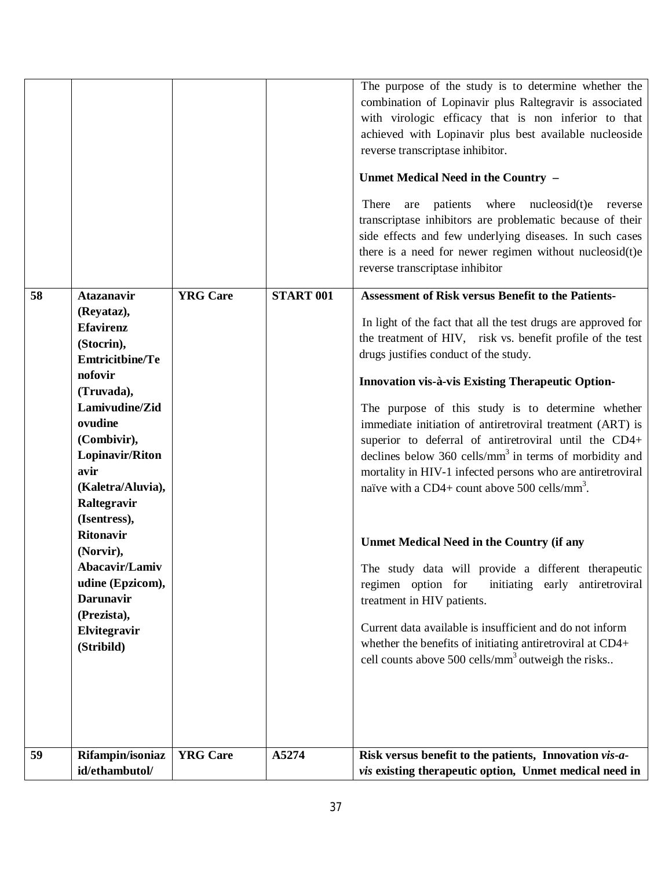|    |                                                                                                                                                                                                                                                                                                                                                                                         |                 |                  | The purpose of the study is to determine whether the<br>combination of Lopinavir plus Raltegravir is associated<br>with virologic efficacy that is non inferior to that<br>achieved with Lopinavir plus best available nucleoside<br>reverse transcriptase inhibitor.<br>Unmet Medical Need in the Country -<br>are patients where nucleosid(t)e<br>There<br>reverse<br>transcriptase inhibitors are problematic because of their<br>side effects and few underlying diseases. In such cases<br>there is a need for newer regimen without nucleosid(t)e<br>reverse transcriptase inhibitor                                                                                                                                                                                                                                                                                                                                                                                                                                                                        |
|----|-----------------------------------------------------------------------------------------------------------------------------------------------------------------------------------------------------------------------------------------------------------------------------------------------------------------------------------------------------------------------------------------|-----------------|------------------|-------------------------------------------------------------------------------------------------------------------------------------------------------------------------------------------------------------------------------------------------------------------------------------------------------------------------------------------------------------------------------------------------------------------------------------------------------------------------------------------------------------------------------------------------------------------------------------------------------------------------------------------------------------------------------------------------------------------------------------------------------------------------------------------------------------------------------------------------------------------------------------------------------------------------------------------------------------------------------------------------------------------------------------------------------------------|
| 58 | <b>Atazanavir</b><br>(Reyataz),<br><b>Efavirenz</b><br>(Stocrin),<br><b>Emtricitbine/Te</b><br>nofovir<br>(Truvada),<br>Lamivudine/Zid<br>ovudine<br>(Combivir),<br>Lopinavir/Riton<br>avir<br>(Kaletra/Aluvia),<br>Raltegravir<br>(Isentress),<br><b>Ritonavir</b><br>(Norvir),<br>Abacavir/Lamiv<br>udine (Epzicom),<br><b>Darunavir</b><br>(Prezista),<br>Elvitegravir<br>(Stribild) | <b>YRG</b> Care | <b>START 001</b> | <b>Assessment of Risk versus Benefit to the Patients-</b><br>In light of the fact that all the test drugs are approved for<br>the treatment of HIV, risk vs. benefit profile of the test<br>drugs justifies conduct of the study.<br>Innovation vis-à-vis Existing Therapeutic Option-<br>The purpose of this study is to determine whether<br>immediate initiation of antiretroviral treatment (ART) is<br>superior to deferral of antiretroviral until the CD4+<br>declines below $360$ cells/mm <sup>3</sup> in terms of morbidity and<br>mortality in HIV-1 infected persons who are antiretroviral<br>naïve with a CD4+ count above 500 cells/mm <sup>3</sup> .<br><b>Unmet Medical Need in the Country (if any</b><br>The study data will provide a different therapeutic<br>regimen option for<br>initiating early antiretroviral<br>treatment in HIV patients.<br>Current data available is insufficient and do not inform<br>whether the benefits of initiating antiretroviral at CD4+<br>cell counts above 500 cells/mm <sup>3</sup> outweigh the risks |
| 59 | Rifampin/isoniaz<br>id/ethambutol/                                                                                                                                                                                                                                                                                                                                                      | <b>YRG</b> Care | A5274            | Risk versus benefit to the patients, Innovation vis-a-<br><i>vis</i> existing therapeutic option, Unmet medical need in                                                                                                                                                                                                                                                                                                                                                                                                                                                                                                                                                                                                                                                                                                                                                                                                                                                                                                                                           |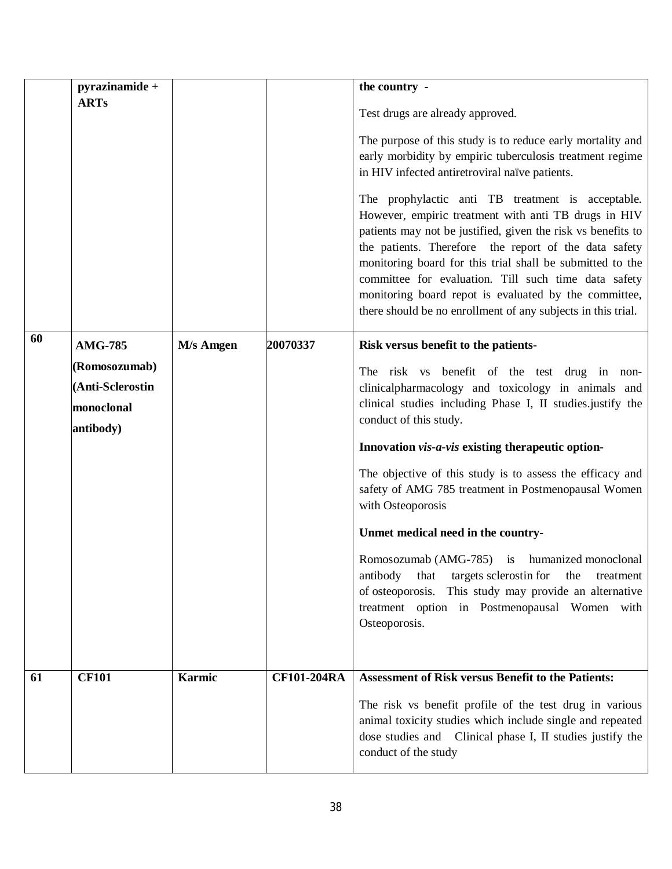|    | pyrazinamide +   |               |                    | the country -                                                                                                                                                                                                                                                                                                                                                                                                                                                                    |
|----|------------------|---------------|--------------------|----------------------------------------------------------------------------------------------------------------------------------------------------------------------------------------------------------------------------------------------------------------------------------------------------------------------------------------------------------------------------------------------------------------------------------------------------------------------------------|
|    | <b>ARTs</b>      |               |                    |                                                                                                                                                                                                                                                                                                                                                                                                                                                                                  |
|    |                  |               |                    | Test drugs are already approved.                                                                                                                                                                                                                                                                                                                                                                                                                                                 |
|    |                  |               |                    | The purpose of this study is to reduce early mortality and                                                                                                                                                                                                                                                                                                                                                                                                                       |
|    |                  |               |                    | early morbidity by empiric tuberculosis treatment regime                                                                                                                                                                                                                                                                                                                                                                                                                         |
|    |                  |               |                    | in HIV infected antiretroviral naïve patients.                                                                                                                                                                                                                                                                                                                                                                                                                                   |
|    |                  |               |                    | The prophylactic anti TB treatment is acceptable.<br>However, empiric treatment with anti TB drugs in HIV<br>patients may not be justified, given the risk vs benefits to<br>the patients. Therefore the report of the data safety<br>monitoring board for this trial shall be submitted to the<br>committee for evaluation. Till such time data safety<br>monitoring board repot is evaluated by the committee,<br>there should be no enrollment of any subjects in this trial. |
| 60 | <b>AMG-785</b>   | M/s Amgen     | 20070337           | Risk versus benefit to the patients-                                                                                                                                                                                                                                                                                                                                                                                                                                             |
|    | (Romosozumab)    |               |                    | The risk vs benefit of the test drug in non-                                                                                                                                                                                                                                                                                                                                                                                                                                     |
|    | (Anti-Sclerostin |               |                    | clinicalpharmacology and toxicology in animals and                                                                                                                                                                                                                                                                                                                                                                                                                               |
|    | monoclonal       |               |                    | clinical studies including Phase I, II studies justify the                                                                                                                                                                                                                                                                                                                                                                                                                       |
|    | antibody)        |               |                    | conduct of this study.                                                                                                                                                                                                                                                                                                                                                                                                                                                           |
|    |                  |               |                    | Innovation vis-a-vis existing therapeutic option-                                                                                                                                                                                                                                                                                                                                                                                                                                |
|    |                  |               |                    | The objective of this study is to assess the efficacy and<br>safety of AMG 785 treatment in Postmenopausal Women<br>with Osteoporosis                                                                                                                                                                                                                                                                                                                                            |
|    |                  |               |                    | Unmet medical need in the country-                                                                                                                                                                                                                                                                                                                                                                                                                                               |
|    |                  |               |                    | Romosozumab (AMG-785) is humanized monoclonal<br>antibody<br>that targets sclerostin for<br>the<br>treatment<br>of osteoporosis. This study may provide an alternative<br>treatment option in Postmenopausal Women with<br>Osteoporosis.                                                                                                                                                                                                                                         |
|    |                  |               |                    |                                                                                                                                                                                                                                                                                                                                                                                                                                                                                  |
| 61 | <b>CF101</b>     | <b>Karmic</b> | <b>CF101-204RA</b> | <b>Assessment of Risk versus Benefit to the Patients:</b>                                                                                                                                                                                                                                                                                                                                                                                                                        |
|    |                  |               |                    | The risk vs benefit profile of the test drug in various<br>animal toxicity studies which include single and repeated<br>dose studies and Clinical phase I, II studies justify the<br>conduct of the study                                                                                                                                                                                                                                                                        |
|    |                  |               |                    |                                                                                                                                                                                                                                                                                                                                                                                                                                                                                  |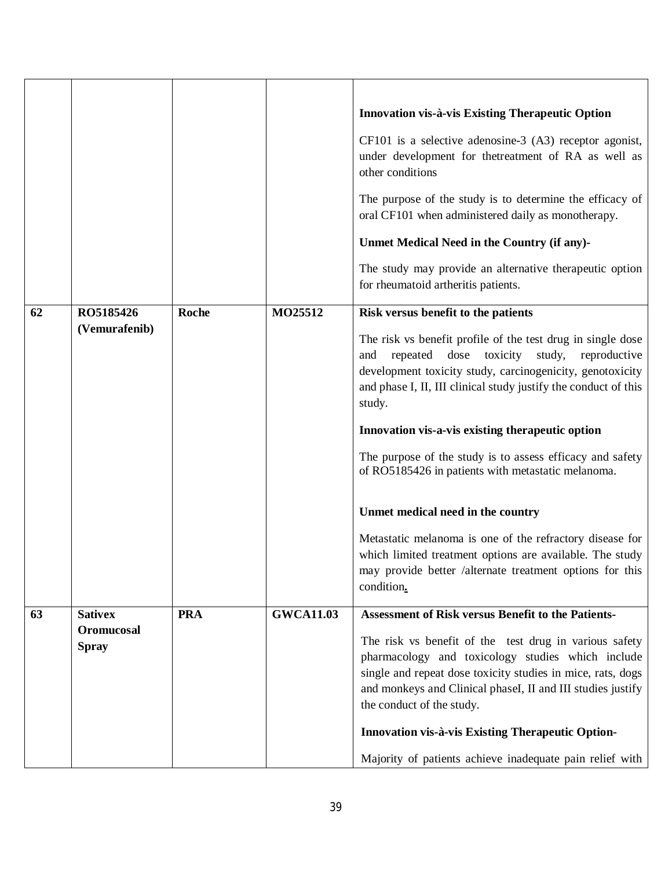|    |                            |              |                  | Innovation vis-à-vis Existing Therapeutic Option<br>$CF101$ is a selective adenosine-3 $(A3)$ receptor agonist,<br>under development for thetreatment of RA as well as<br>other conditions<br>The purpose of the study is to determine the efficacy of<br>oral CF101 when administered daily as monotherapy.<br>Unmet Medical Need in the Country (if any)-<br>The study may provide an alternative therapeutic option<br>for rheumatoid artheritis patients. |
|----|----------------------------|--------------|------------------|---------------------------------------------------------------------------------------------------------------------------------------------------------------------------------------------------------------------------------------------------------------------------------------------------------------------------------------------------------------------------------------------------------------------------------------------------------------|
| 62 | RO5185426<br>(Vemurafenib) | <b>Roche</b> | MO25512          | Risk versus benefit to the patients                                                                                                                                                                                                                                                                                                                                                                                                                           |
|    |                            |              |                  | The risk vs benefit profile of the test drug in single dose<br>dose<br>toxicity<br>repeated<br>study,<br>reproductive<br>and<br>development toxicity study, carcinogenicity, genotoxicity<br>and phase I, II, III clinical study justify the conduct of this<br>study.                                                                                                                                                                                        |
|    |                            |              |                  | Innovation vis-a-vis existing therapeutic option                                                                                                                                                                                                                                                                                                                                                                                                              |
|    |                            |              |                  | The purpose of the study is to assess efficacy and safety<br>of RO5185426 in patients with metastatic melanoma.                                                                                                                                                                                                                                                                                                                                               |
|    |                            |              |                  | Unmet medical need in the country                                                                                                                                                                                                                                                                                                                                                                                                                             |
|    |                            |              |                  | Metastatic melanoma is one of the refractory disease for<br>which limited treatment options are available. The study<br>may provide better /alternate treatment options for this<br>condition.                                                                                                                                                                                                                                                                |
| 63 | <b>Sativex</b>             | <b>PRA</b>   | <b>GWCA11.03</b> | <b>Assessment of Risk versus Benefit to the Patients-</b>                                                                                                                                                                                                                                                                                                                                                                                                     |
|    | Oromucosal<br><b>Spray</b> |              |                  | The risk vs benefit of the test drug in various safety<br>pharmacology and toxicology studies which include<br>single and repeat dose toxicity studies in mice, rats, dogs<br>and monkeys and Clinical phaseI, II and III studies justify<br>the conduct of the study.                                                                                                                                                                                        |
|    |                            |              |                  | Innovation vis-à-vis Existing Therapeutic Option-                                                                                                                                                                                                                                                                                                                                                                                                             |
|    |                            |              |                  | Majority of patients achieve inadequate pain relief with                                                                                                                                                                                                                                                                                                                                                                                                      |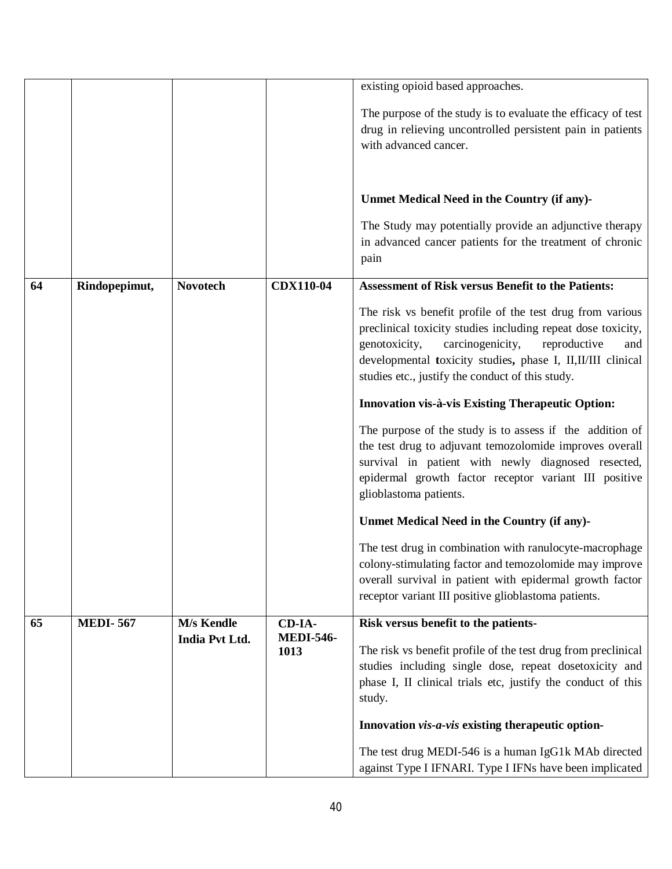|    |                 |                 |                  | existing opioid based approaches.                                                                                                                                                                                                                                                                         |
|----|-----------------|-----------------|------------------|-----------------------------------------------------------------------------------------------------------------------------------------------------------------------------------------------------------------------------------------------------------------------------------------------------------|
|    |                 |                 |                  | The purpose of the study is to evaluate the efficacy of test                                                                                                                                                                                                                                              |
|    |                 |                 |                  | drug in relieving uncontrolled persistent pain in patients                                                                                                                                                                                                                                                |
|    |                 |                 |                  | with advanced cancer.                                                                                                                                                                                                                                                                                     |
|    |                 |                 |                  |                                                                                                                                                                                                                                                                                                           |
|    |                 |                 |                  |                                                                                                                                                                                                                                                                                                           |
|    |                 |                 |                  | Unmet Medical Need in the Country (if any)-                                                                                                                                                                                                                                                               |
|    |                 |                 |                  | The Study may potentially provide an adjunctive therapy                                                                                                                                                                                                                                                   |
|    |                 |                 |                  | in advanced cancer patients for the treatment of chronic                                                                                                                                                                                                                                                  |
|    |                 |                 |                  | pain                                                                                                                                                                                                                                                                                                      |
| 64 |                 | <b>Novotech</b> | <b>CDX110-04</b> | <b>Assessment of Risk versus Benefit to the Patients:</b>                                                                                                                                                                                                                                                 |
|    | Rindopepimut,   |                 |                  |                                                                                                                                                                                                                                                                                                           |
|    |                 |                 |                  | The risk vs benefit profile of the test drug from various<br>preclinical toxicity studies including repeat dose toxicity,<br>carcinogenicity,<br>genotoxicity,<br>reproductive<br>and<br>developmental toxicity studies, phase I, II, II/III clinical<br>studies etc., justify the conduct of this study. |
|    |                 |                 |                  | <b>Innovation vis-à-vis Existing Therapeutic Option:</b>                                                                                                                                                                                                                                                  |
|    |                 |                 |                  | The purpose of the study is to assess if the addition of<br>the test drug to adjuvant temozolomide improves overall<br>survival in patient with newly diagnosed resected,<br>epidermal growth factor receptor variant III positive<br>glioblastoma patients.                                              |
|    |                 |                 |                  | Unmet Medical Need in the Country (if any)-                                                                                                                                                                                                                                                               |
|    |                 |                 |                  | The test drug in combination with ranulocyte-macrophage<br>colony-stimulating factor and temozolomide may improve<br>overall survival in patient with epidermal growth factor<br>receptor variant III positive glioblastoma patients.                                                                     |
| 65 | <b>MEDI-567</b> | M/s Kendle      | CD-IA-           | Risk versus benefit to the patients-                                                                                                                                                                                                                                                                      |
|    |                 | India Pvt Ltd.  | <b>MEDI-546-</b> |                                                                                                                                                                                                                                                                                                           |
|    |                 |                 | 1013             | The risk vs benefit profile of the test drug from preclinical<br>studies including single dose, repeat dosetoxicity and                                                                                                                                                                                   |
|    |                 |                 |                  | phase I, II clinical trials etc, justify the conduct of this                                                                                                                                                                                                                                              |
|    |                 |                 |                  | study.                                                                                                                                                                                                                                                                                                    |
|    |                 |                 |                  |                                                                                                                                                                                                                                                                                                           |
|    |                 |                 |                  | Innovation vis-a-vis existing therapeutic option-                                                                                                                                                                                                                                                         |
|    |                 |                 |                  | The test drug MEDI-546 is a human IgG1k MAb directed                                                                                                                                                                                                                                                      |
|    |                 |                 |                  | against Type I IFNARI. Type I IFNs have been implicated                                                                                                                                                                                                                                                   |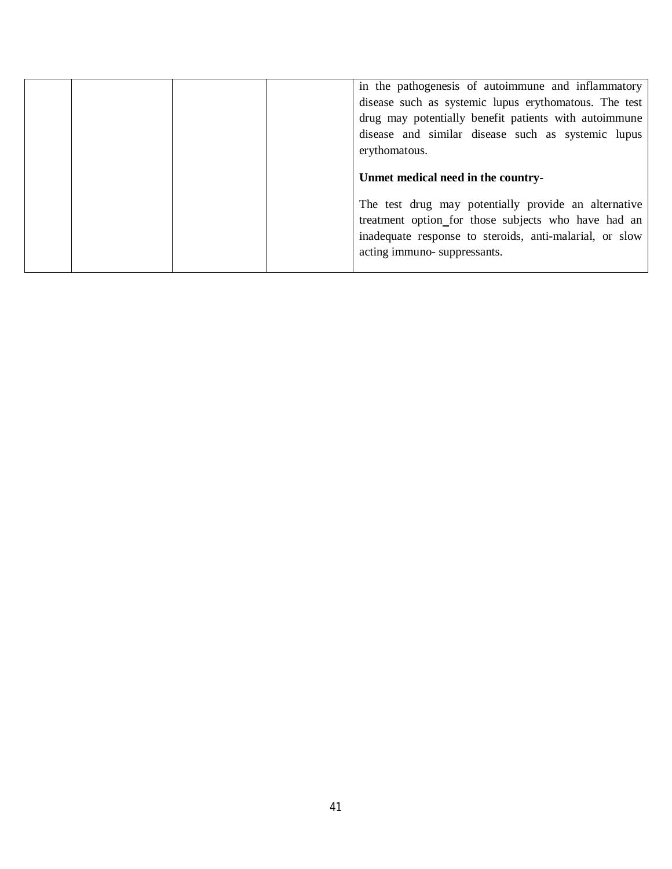|  | in the pathogenesis of autoimmune and inflammatory<br>disease such as systemic lupus erythomatous. The test<br>drug may potentially benefit patients with autoimmune<br>disease and similar disease such as systemic lupus<br>erythomatous. |
|--|---------------------------------------------------------------------------------------------------------------------------------------------------------------------------------------------------------------------------------------------|
|  | Unmet medical need in the country-                                                                                                                                                                                                          |
|  | The test drug may potentially provide an alternative<br>treatment option_for those subjects who have had an<br>inadequate response to steroids, anti-malarial, or slow<br>acting immuno-suppressants.                                       |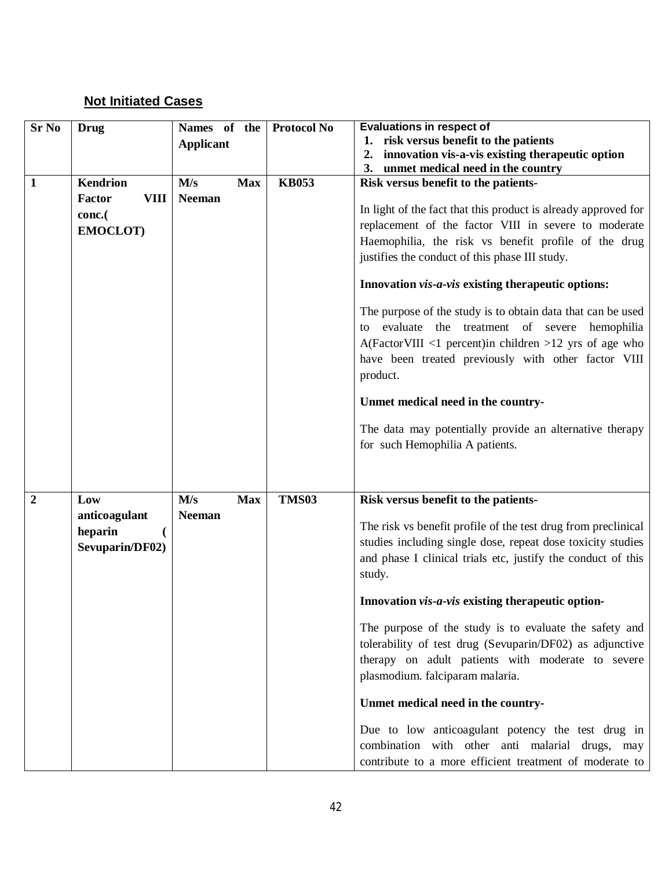### **Not Initiated Cases**

| <b>Sr No</b>   | <b>Drug</b>           | Names of the      | <b>Protocol No</b> | <b>Evaluations in respect of</b>                                |
|----------------|-----------------------|-------------------|--------------------|-----------------------------------------------------------------|
|                |                       | <b>Applicant</b>  |                    | 1. risk versus benefit to the patients                          |
|                |                       |                   |                    | innovation vis-a-vis existing therapeutic option<br>2.          |
|                | <b>Kendrion</b>       |                   | <b>KB053</b>       | 3. unmet medical need in the country                            |
| $\mathbf{1}$   |                       | M/s<br><b>Max</b> |                    | Risk versus benefit to the patients-                            |
|                | Factor<br><b>VIII</b> | <b>Neeman</b>     |                    | In light of the fact that this product is already approved for  |
|                | conc.(                |                   |                    | replacement of the factor VIII in severe to moderate            |
|                | EMOCLOT)              |                   |                    | Haemophilia, the risk vs benefit profile of the drug            |
|                |                       |                   |                    | justifies the conduct of this phase III study.                  |
|                |                       |                   |                    |                                                                 |
|                |                       |                   |                    | Innovation vis-a-vis existing therapeutic options:              |
|                |                       |                   |                    | The purpose of the study is to obtain data that can be used     |
|                |                       |                   |                    | evaluate the treatment of severe hemophilia<br>to               |
|                |                       |                   |                    | $A(Factor VIII \leq 1$ percent) in children > 12 yrs of age who |
|                |                       |                   |                    | have been treated previously with other factor VIII             |
|                |                       |                   |                    | product.                                                        |
|                |                       |                   |                    |                                                                 |
|                |                       |                   |                    | Unmet medical need in the country-                              |
|                |                       |                   |                    | The data may potentially provide an alternative therapy         |
|                |                       |                   |                    | for such Hemophilia A patients.                                 |
|                |                       |                   |                    |                                                                 |
|                |                       |                   |                    |                                                                 |
| $\overline{2}$ | Low                   | M/s<br><b>Max</b> | <b>TMS03</b>       | Risk versus benefit to the patients-                            |
|                | anticoagulant         | <b>Neeman</b>     |                    |                                                                 |
|                | heparin               |                   |                    | The risk vs benefit profile of the test drug from preclinical   |
|                | Sevuparin/DF02)       |                   |                    | studies including single dose, repeat dose toxicity studies     |
|                |                       |                   |                    | and phase I clinical trials etc, justify the conduct of this    |
|                |                       |                   |                    | study.                                                          |
|                |                       |                   |                    | Innovation vis-a-vis existing therapeutic option-               |
|                |                       |                   |                    | The purpose of the study is to evaluate the safety and          |
|                |                       |                   |                    | tolerability of test drug (Sevuparin/DF02) as adjunctive        |
|                |                       |                   |                    | therapy on adult patients with moderate to severe               |
|                |                       |                   |                    | plasmodium. falciparam malaria.                                 |
|                |                       |                   |                    |                                                                 |
|                |                       |                   |                    | Unmet medical need in the country-                              |
|                |                       |                   |                    | Due to low anticoagulant potency the test drug in               |
|                |                       |                   |                    | combination with other anti malarial drugs, may                 |
|                |                       |                   |                    | contribute to a more efficient treatment of moderate to         |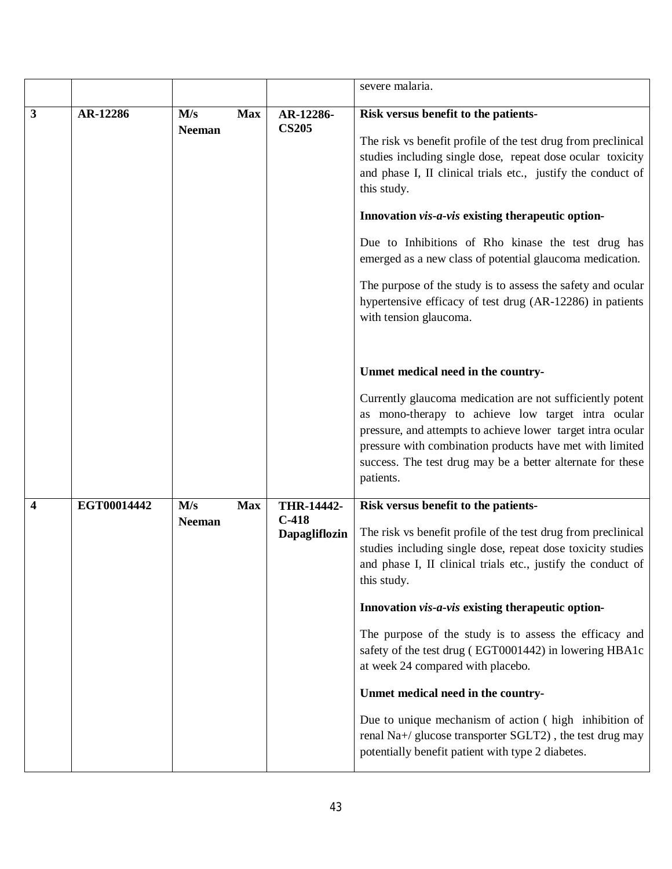|   |             |                                    |                                               | severe malaria.                                                                                                                                                                                                                                                                                                                                                                                                                                                                                                                                                                                                                                                                   |
|---|-------------|------------------------------------|-----------------------------------------------|-----------------------------------------------------------------------------------------------------------------------------------------------------------------------------------------------------------------------------------------------------------------------------------------------------------------------------------------------------------------------------------------------------------------------------------------------------------------------------------------------------------------------------------------------------------------------------------------------------------------------------------------------------------------------------------|
| 3 | AR-12286    | M/s<br><b>Max</b><br><b>Neeman</b> | AR-12286-<br><b>CS205</b>                     | Risk versus benefit to the patients-<br>The risk vs benefit profile of the test drug from preclinical<br>studies including single dose, repeat dose ocular toxicity<br>and phase I, II clinical trials etc., justify the conduct of<br>this study.<br>Innovation vis-a-vis existing therapeutic option-<br>Due to Inhibitions of Rho kinase the test drug has<br>emerged as a new class of potential glaucoma medication.<br>The purpose of the study is to assess the safety and ocular<br>hypertensive efficacy of test drug (AR-12286) in patients<br>with tension glaucoma.                                                                                                   |
|   |             |                                    |                                               | Unmet medical need in the country-<br>Currently glaucoma medication are not sufficiently potent<br>as mono-therapy to achieve low target intra ocular<br>pressure, and attempts to achieve lower target intra ocular<br>pressure with combination products have met with limited<br>success. The test drug may be a better alternate for these<br>patients.                                                                                                                                                                                                                                                                                                                       |
| 4 | EGT00014442 | M/s<br><b>Max</b><br><b>Neeman</b> | THR-14442-<br>$C-418$<br><b>Dapagliflozin</b> | Risk versus benefit to the patients-<br>The risk vs benefit profile of the test drug from preclinical<br>studies including single dose, repeat dose toxicity studies<br>and phase I, II clinical trials etc., justify the conduct of<br>this study.<br>Innovation vis-a-vis existing therapeutic option-<br>The purpose of the study is to assess the efficacy and<br>safety of the test drug (EGT0001442) in lowering HBA1c<br>at week 24 compared with placebo.<br>Unmet medical need in the country-<br>Due to unique mechanism of action (high inhibition of<br>renal Na+/ glucose transporter SGLT2), the test drug may<br>potentially benefit patient with type 2 diabetes. |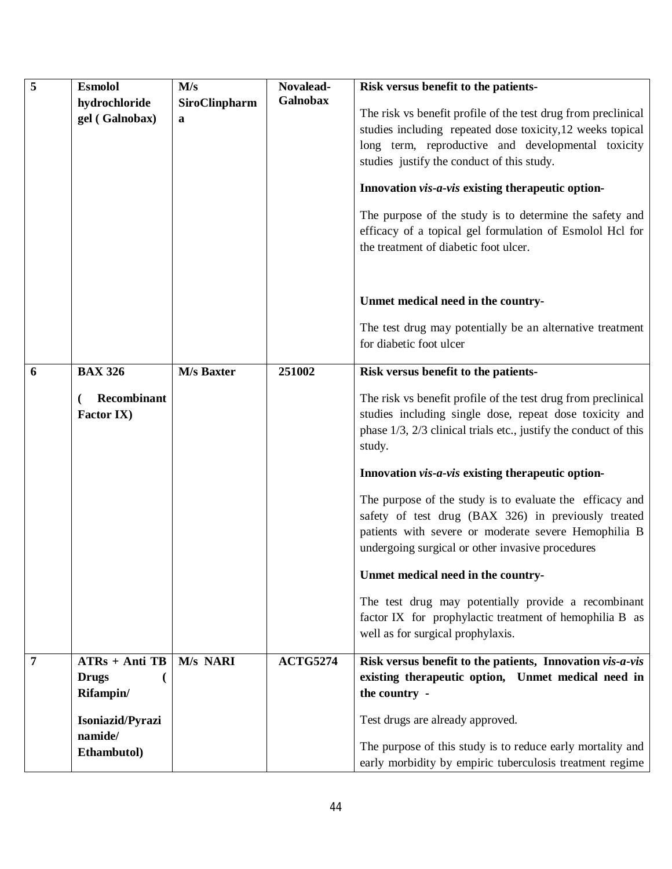| 5 | Esmolol<br>hydrochloride<br>gel (Galnobax)                                                  | M/s<br>SiroClinpharm<br>a | Novalead-<br><b>Galnobax</b> | Risk versus benefit to the patients-<br>The risk vs benefit profile of the test drug from preclinical<br>studies including repeated dose toxicity, 12 weeks topical<br>long term, reproductive and developmental toxicity<br>studies justify the conduct of this study.<br>Innovation vis-a-vis existing therapeutic option-<br>The purpose of the study is to determine the safety and<br>efficacy of a topical gel formulation of Esmolol Hcl for<br>the treatment of diabetic foot ulcer.                                                                                                                                                                                                                                    |
|---|---------------------------------------------------------------------------------------------|---------------------------|------------------------------|---------------------------------------------------------------------------------------------------------------------------------------------------------------------------------------------------------------------------------------------------------------------------------------------------------------------------------------------------------------------------------------------------------------------------------------------------------------------------------------------------------------------------------------------------------------------------------------------------------------------------------------------------------------------------------------------------------------------------------|
|   |                                                                                             |                           |                              | Unmet medical need in the country-<br>The test drug may potentially be an alternative treatment<br>for diabetic foot ulcer                                                                                                                                                                                                                                                                                                                                                                                                                                                                                                                                                                                                      |
| 6 | <b>BAX 326</b><br>Recombinant<br>Factor IX)                                                 | <b>M/s Baxter</b>         | 251002                       | Risk versus benefit to the patients-<br>The risk vs benefit profile of the test drug from preclinical<br>studies including single dose, repeat dose toxicity and<br>phase 1/3, 2/3 clinical trials etc., justify the conduct of this<br>study.<br>Innovation vis-a-vis existing therapeutic option-<br>The purpose of the study is to evaluate the efficacy and<br>safety of test drug (BAX 326) in previously treated<br>patients with severe or moderate severe Hemophilia B<br>undergoing surgical or other invasive procedures<br>Unmet medical need in the country-<br>The test drug may potentially provide a recombinant<br>factor IX for prophylactic treatment of hemophilia B as<br>well as for surgical prophylaxis. |
| 7 | $ATRs + Anti TB$<br><b>Drugs</b><br>Rifampin/<br>Isoniazid/Pyrazi<br>namide/<br>Ethambutol) | M/s NARI                  | <b>ACTG5274</b>              | Risk versus benefit to the patients, Innovation vis-a-vis<br>existing therapeutic option, Unmet medical need in<br>the country -<br>Test drugs are already approved.<br>The purpose of this study is to reduce early mortality and<br>early morbidity by empiric tuberculosis treatment regime                                                                                                                                                                                                                                                                                                                                                                                                                                  |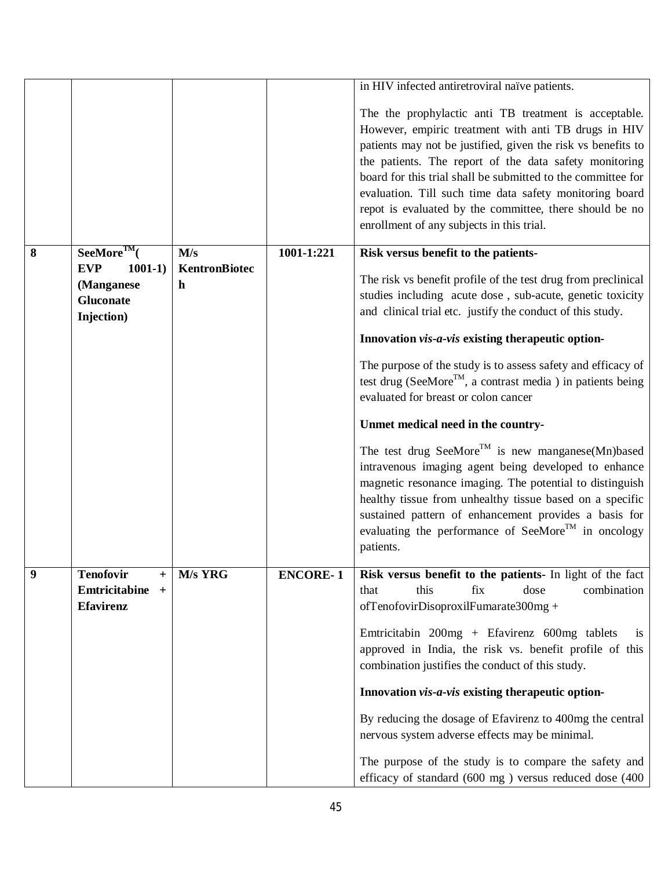|   |                                                                  |                    |                 | in HIV infected antiretroviral naïve patients.                                                                                                                                                                                                                                                                                                                                                                                                                             |
|---|------------------------------------------------------------------|--------------------|-----------------|----------------------------------------------------------------------------------------------------------------------------------------------------------------------------------------------------------------------------------------------------------------------------------------------------------------------------------------------------------------------------------------------------------------------------------------------------------------------------|
|   |                                                                  |                    |                 | The the prophylactic anti TB treatment is acceptable.<br>However, empiric treatment with anti TB drugs in HIV<br>patients may not be justified, given the risk vs benefits to<br>the patients. The report of the data safety monitoring<br>board for this trial shall be submitted to the committee for<br>evaluation. Till such time data safety monitoring board<br>repot is evaluated by the committee, there should be no<br>enrollment of any subjects in this trial. |
| 8 | $See$ More <sup>TM</sup> $($                                     | M/s                | 1001-1:221      | Risk versus benefit to the patients-                                                                                                                                                                                                                                                                                                                                                                                                                                       |
|   | <b>EVP</b><br>$1001-1)$<br>(Manganese<br>Gluconate<br>Injection) | KentronBiotec<br>h |                 | The risk vs benefit profile of the test drug from preclinical<br>studies including acute dose, sub-acute, genetic toxicity<br>and clinical trial etc. justify the conduct of this study.                                                                                                                                                                                                                                                                                   |
|   |                                                                  |                    |                 | Innovation vis-a-vis existing therapeutic option-                                                                                                                                                                                                                                                                                                                                                                                                                          |
|   |                                                                  |                    |                 | The purpose of the study is to assess safety and efficacy of<br>test drug (SeeMore <sup>TM</sup> , a contrast media ) in patients being<br>evaluated for breast or colon cancer                                                                                                                                                                                                                                                                                            |
|   |                                                                  |                    |                 | Unmet medical need in the country-                                                                                                                                                                                                                                                                                                                                                                                                                                         |
|   |                                                                  |                    |                 | The test drug SeeMore <sup>TM</sup> is new manganese(Mn)based<br>intravenous imaging agent being developed to enhance<br>magnetic resonance imaging. The potential to distinguish<br>healthy tissue from unhealthy tissue based on a specific<br>sustained pattern of enhancement provides a basis for<br>evaluating the performance of SeeMore <sup>TM</sup> in oncology<br>patients.                                                                                     |
| 9 | <b>Tenofovir</b><br>$^{+}$                                       | M/s YRG            | <b>ENCORE-1</b> | Risk versus benefit to the patients- In light of the fact                                                                                                                                                                                                                                                                                                                                                                                                                  |
|   | Emtricitabine<br>$+$<br><b>Efavirenz</b>                         |                    |                 | combination<br>this<br>dose<br>that<br>fix<br>ofTenofovirDisoproxilFumarate300mg +<br>Emtricitabin 200mg + Efavirenz 600mg tablets<br><b>1S</b>                                                                                                                                                                                                                                                                                                                            |
|   |                                                                  |                    |                 | approved in India, the risk vs. benefit profile of this<br>combination justifies the conduct of this study.                                                                                                                                                                                                                                                                                                                                                                |
|   |                                                                  |                    |                 | Innovation vis-a-vis existing therapeutic option-                                                                                                                                                                                                                                                                                                                                                                                                                          |
|   |                                                                  |                    |                 | By reducing the dosage of Efavirenz to 400mg the central<br>nervous system adverse effects may be minimal.                                                                                                                                                                                                                                                                                                                                                                 |
|   |                                                                  |                    |                 | The purpose of the study is to compare the safety and<br>efficacy of standard (600 mg) versus reduced dose (400                                                                                                                                                                                                                                                                                                                                                            |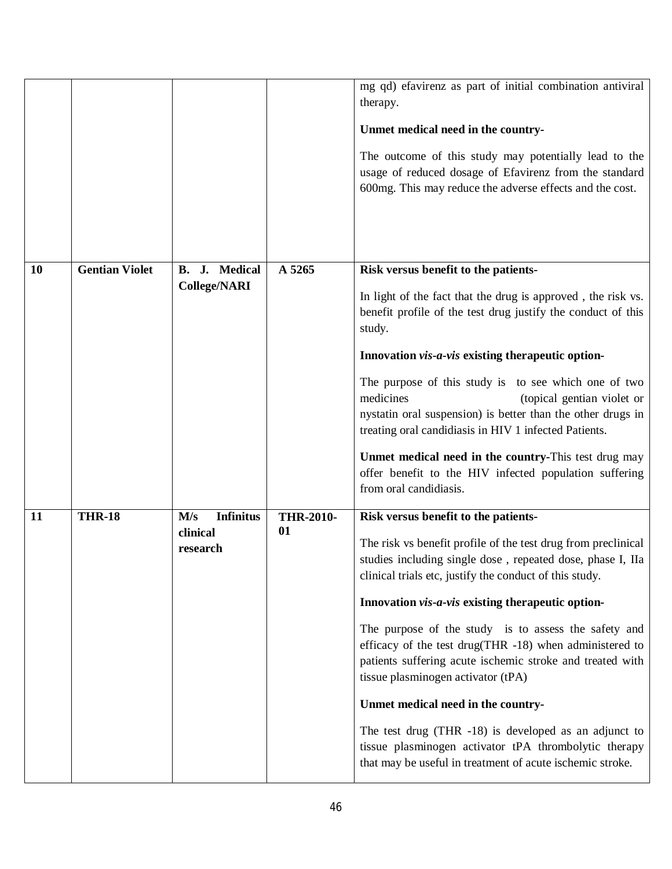|           |                       |                                                 |                        | mg qd) efavirenz as part of initial combination antiviral<br>therapy.<br>Unmet medical need in the country-<br>The outcome of this study may potentially lead to the<br>usage of reduced dosage of Efavirenz from the standard<br>600mg. This may reduce the adverse effects and the cost.                                                                                                                                                                                                                                                                                                                                                                                                                                     |
|-----------|-----------------------|-------------------------------------------------|------------------------|--------------------------------------------------------------------------------------------------------------------------------------------------------------------------------------------------------------------------------------------------------------------------------------------------------------------------------------------------------------------------------------------------------------------------------------------------------------------------------------------------------------------------------------------------------------------------------------------------------------------------------------------------------------------------------------------------------------------------------|
| <b>10</b> | <b>Gentian Violet</b> | B. J. Medical<br><b>College/NARI</b>            | A 5265                 | Risk versus benefit to the patients-<br>In light of the fact that the drug is approved, the risk vs.<br>benefit profile of the test drug justify the conduct of this<br>study.<br>Innovation vis-a-vis existing therapeutic option-<br>The purpose of this study is to see which one of two<br>medicines<br>(topical gentian violet or<br>nystatin oral suspension) is better than the other drugs in<br>treating oral candidiasis in HIV 1 infected Patients.<br>Unmet medical need in the country-This test drug may<br>offer benefit to the HIV infected population suffering<br>from oral candidiasis.                                                                                                                     |
| 11        | <b>THR-18</b>         | <b>Infinitus</b><br>M/s<br>clinical<br>research | <b>THR-2010-</b><br>01 | Risk versus benefit to the patients-<br>The risk vs benefit profile of the test drug from preclinical<br>studies including single dose, repeated dose, phase I, IIa<br>clinical trials etc, justify the conduct of this study.<br>Innovation vis-a-vis existing therapeutic option-<br>The purpose of the study is to assess the safety and<br>efficacy of the test drug(THR -18) when administered to<br>patients suffering acute ischemic stroke and treated with<br>tissue plasminogen activator (tPA)<br>Unmet medical need in the country-<br>The test drug (THR -18) is developed as an adjunct to<br>tissue plasminogen activator tPA thrombolytic therapy<br>that may be useful in treatment of acute ischemic stroke. |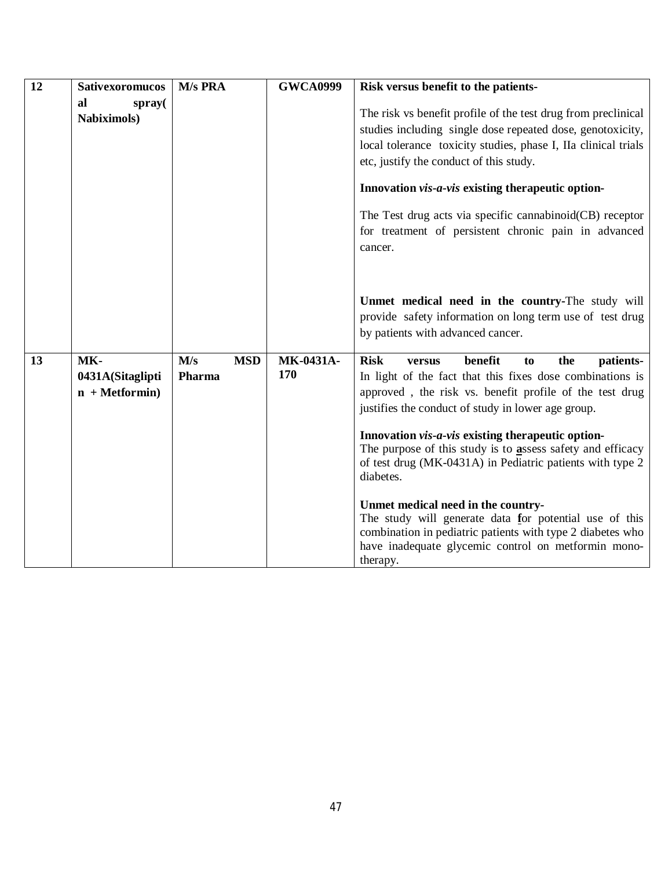| 12 | <b>Sativexoromucos</b>                      | M/s PRA                     | <b>GWCA0999</b>  | Risk versus benefit to the patients-                                                                                                                                                                                                     |
|----|---------------------------------------------|-----------------------------|------------------|------------------------------------------------------------------------------------------------------------------------------------------------------------------------------------------------------------------------------------------|
|    | al<br>spray(<br><b>Nabiximols</b> )         |                             |                  | The risk vs benefit profile of the test drug from preclinical<br>studies including single dose repeated dose, genotoxicity,<br>local tolerance toxicity studies, phase I, IIa clinical trials<br>etc, justify the conduct of this study. |
|    |                                             |                             |                  | Innovation vis-a-vis existing therapeutic option-                                                                                                                                                                                        |
|    |                                             |                             |                  | The Test drug acts via specific cannabinoid(CB) receptor<br>for treatment of persistent chronic pain in advanced<br>cancer.                                                                                                              |
|    |                                             |                             |                  | Unmet medical need in the country-The study will<br>provide safety information on long term use of test drug<br>by patients with advanced cancer.                                                                                        |
| 13 | MK-<br>0431A(Sitaglipti<br>$n + Metformin)$ | M/s<br><b>MSD</b><br>Pharma | MK-0431A-<br>170 | <b>Risk</b><br>benefit<br>the<br>patients-<br>to<br>versus<br>In light of the fact that this fixes dose combinations is<br>approved, the risk vs. benefit profile of the test drug<br>justifies the conduct of study in lower age group. |
|    |                                             |                             |                  | Innovation <i>vis-a-vis</i> existing therapeutic option-<br>The purpose of this study is to assess safety and efficacy<br>of test drug (MK-0431A) in Pediatric patients with type 2<br>diabetes.                                         |
|    |                                             |                             |                  | Unmet medical need in the country-<br>The study will generate data for potential use of this<br>combination in pediatric patients with type 2 diabetes who<br>have inadequate glycemic control on metformin mono-<br>therapy.            |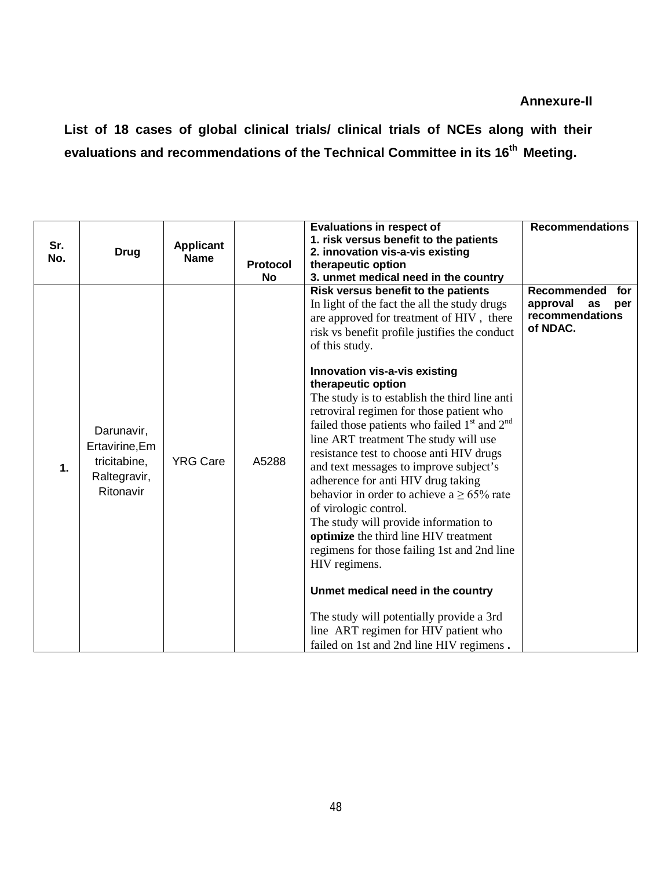**List of 18 cases of global clinical trials/ clinical trials of NCEs along with their evaluations and recommendations of the Technical Committee in its 16 th Meeting.**

|     |                                                                           |                  |          | <b>Evaluations in respect of</b>                                                                                                                                                                                                                                                                                                                                                                                                                                                                                                                                                                                                                                                                                                                                                                                                                                                                                                                                                   | <b>Recommendations</b>                                                     |
|-----|---------------------------------------------------------------------------|------------------|----------|------------------------------------------------------------------------------------------------------------------------------------------------------------------------------------------------------------------------------------------------------------------------------------------------------------------------------------------------------------------------------------------------------------------------------------------------------------------------------------------------------------------------------------------------------------------------------------------------------------------------------------------------------------------------------------------------------------------------------------------------------------------------------------------------------------------------------------------------------------------------------------------------------------------------------------------------------------------------------------|----------------------------------------------------------------------------|
| Sr. |                                                                           | <b>Applicant</b> |          | 1. risk versus benefit to the patients                                                                                                                                                                                                                                                                                                                                                                                                                                                                                                                                                                                                                                                                                                                                                                                                                                                                                                                                             |                                                                            |
| No. | <b>Drug</b>                                                               | <b>Name</b>      |          | 2. innovation vis-a-vis existing                                                                                                                                                                                                                                                                                                                                                                                                                                                                                                                                                                                                                                                                                                                                                                                                                                                                                                                                                   |                                                                            |
|     |                                                                           |                  | Protocol | therapeutic option                                                                                                                                                                                                                                                                                                                                                                                                                                                                                                                                                                                                                                                                                                                                                                                                                                                                                                                                                                 |                                                                            |
|     |                                                                           |                  | No       | 3. unmet medical need in the country                                                                                                                                                                                                                                                                                                                                                                                                                                                                                                                                                                                                                                                                                                                                                                                                                                                                                                                                               |                                                                            |
| 1.  | Darunavir,<br>Ertavirine, Em<br>tricitabine,<br>Raltegravir,<br>Ritonavir | <b>YRG Care</b>  | A5288    | Risk versus benefit to the patients<br>In light of the fact the all the study drugs<br>are approved for treatment of HIV, there<br>risk vs benefit profile justifies the conduct<br>of this study.<br>Innovation vis-a-vis existing<br>therapeutic option<br>The study is to establish the third line anti<br>retroviral regimen for those patient who<br>failed those patients who failed $1st$ and $2nd$<br>line ART treatment The study will use<br>resistance test to choose anti HIV drugs<br>and text messages to improve subject's<br>adherence for anti HIV drug taking<br>behavior in order to achieve a $\geq 65\%$ rate<br>of virologic control.<br>The study will provide information to<br>optimize the third line HIV treatment<br>regimens for those failing 1st and 2nd line<br>HIV regimens.<br>Unmet medical need in the country<br>The study will potentially provide a 3rd<br>line ART regimen for HIV patient who<br>failed on 1st and 2nd line HIV regimens. | Recommended<br>for<br>approval<br>as<br>per<br>recommendations<br>of NDAC. |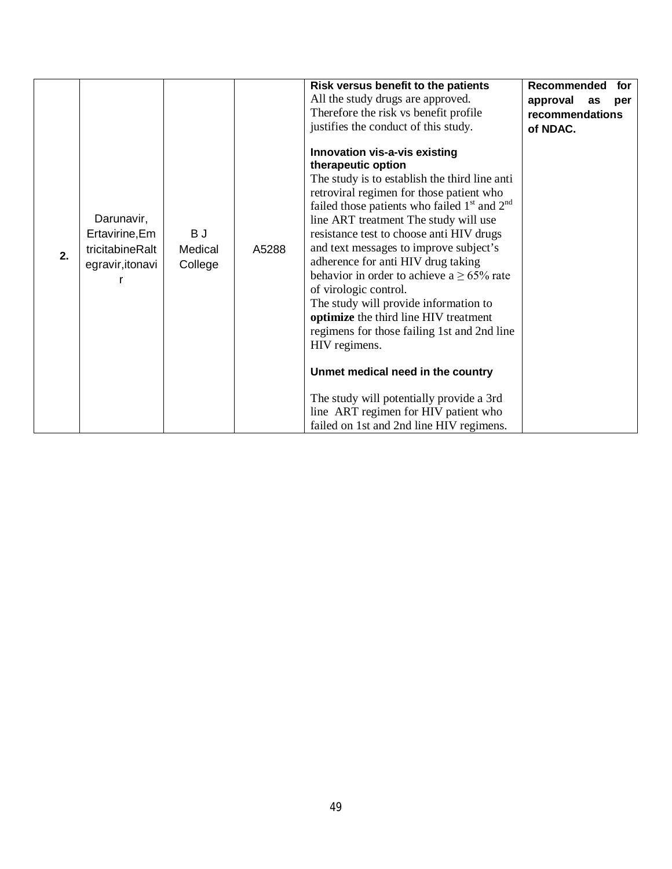| 2. | Darunavir,<br>Ertavirine, Em<br>tricitabineRalt<br>egravir, itonavi | B J<br>Medical<br>College | A5288 | Risk versus benefit to the patients<br>All the study drugs are approved.<br>Therefore the risk vs benefit profile<br>justifies the conduct of this study.<br>Innovation vis-a-vis existing<br>therapeutic option<br>The study is to establish the third line anti<br>retroviral regimen for those patient who<br>failed those patients who failed $1st$ and $2nd$<br>line ART treatment The study will use<br>resistance test to choose anti HIV drugs<br>and text messages to improve subject's<br>adherence for anti HIV drug taking<br>behavior in order to achieve a $\geq$ 65% rate<br>of virologic control.<br>The study will provide information to<br>optimize the third line HIV treatment<br>regimens for those failing 1st and 2nd line<br>HIV regimens.<br>Unmet medical need in the country | Recommended<br>for<br>approval<br>as<br>per<br>recommendations<br>of NDAC. |
|----|---------------------------------------------------------------------|---------------------------|-------|----------------------------------------------------------------------------------------------------------------------------------------------------------------------------------------------------------------------------------------------------------------------------------------------------------------------------------------------------------------------------------------------------------------------------------------------------------------------------------------------------------------------------------------------------------------------------------------------------------------------------------------------------------------------------------------------------------------------------------------------------------------------------------------------------------|----------------------------------------------------------------------------|
|    |                                                                     |                           |       | The study will potentially provide a 3rd<br>line ART regimen for HIV patient who<br>failed on 1st and 2nd line HIV regimens.                                                                                                                                                                                                                                                                                                                                                                                                                                                                                                                                                                                                                                                                             |                                                                            |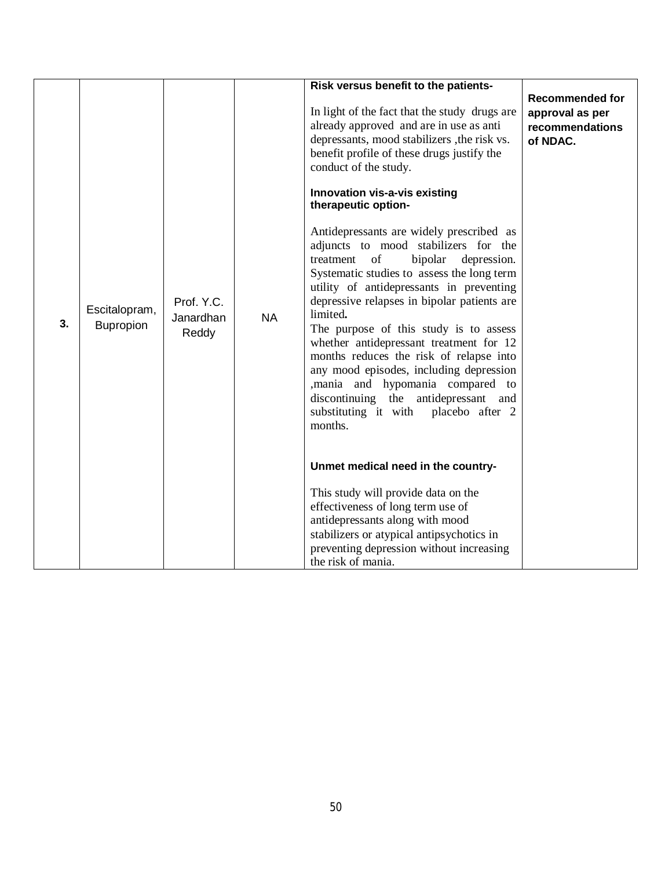| 3. | Escitalopram,<br>Bupropion | Prof. Y.C.<br>Janardhan<br>Reddy | <b>NA</b> | Risk versus benefit to the patients-<br>In light of the fact that the study drugs are<br>already approved and are in use as anti<br>depressants, mood stabilizers , the risk vs.<br>benefit profile of these drugs justify the<br>conduct of the study.<br>Innovation vis-a-vis existing<br>therapeutic option-<br>Antidepressants are widely prescribed as<br>adjuncts to mood stabilizers for the<br>treatment of<br>bipolar<br>depression.<br>Systematic studies to assess the long term<br>utility of antidepressants in preventing<br>depressive relapses in bipolar patients are<br>limited.<br>The purpose of this study is to assess<br>whether antidepressant treatment for 12<br>months reduces the risk of relapse into | <b>Recommended for</b><br>approval as per<br>recommendations<br>of NDAC. |
|----|----------------------------|----------------------------------|-----------|------------------------------------------------------------------------------------------------------------------------------------------------------------------------------------------------------------------------------------------------------------------------------------------------------------------------------------------------------------------------------------------------------------------------------------------------------------------------------------------------------------------------------------------------------------------------------------------------------------------------------------------------------------------------------------------------------------------------------------|--------------------------------------------------------------------------|
|    |                            |                                  |           | any mood episodes, including depression<br>,mania and hypomania compared to<br>discontinuing the antidepressant and<br>substituting it with placebo after 2<br>months.<br>Unmet medical need in the country-<br>This study will provide data on the<br>effectiveness of long term use of<br>antidepressants along with mood<br>stabilizers or atypical antipsychotics in<br>preventing depression without increasing<br>the risk of mania.                                                                                                                                                                                                                                                                                         |                                                                          |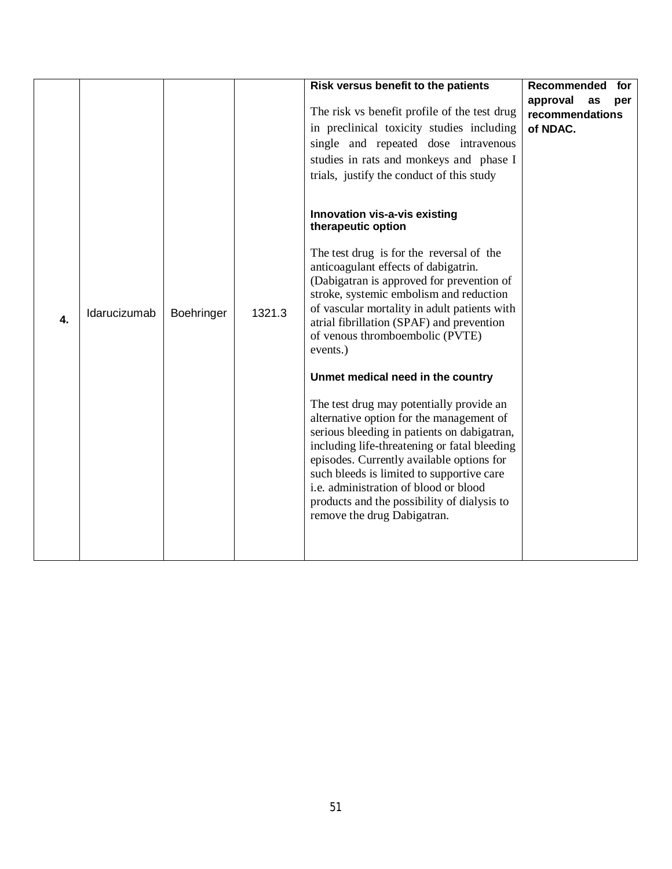|    |              |            |        | Risk versus benefit to the patients<br>The risk vs benefit profile of the test drug<br>in preclinical toxicity studies including<br>single and repeated dose intravenous<br>studies in rats and monkeys and phase I<br>trials, justify the conduct of this study<br>Innovation vis-a-vis existing<br>therapeutic option                                                                                                                                                                          | Recommended<br>for<br>approval<br>as<br>per<br>recommendations<br>of NDAC. |
|----|--------------|------------|--------|--------------------------------------------------------------------------------------------------------------------------------------------------------------------------------------------------------------------------------------------------------------------------------------------------------------------------------------------------------------------------------------------------------------------------------------------------------------------------------------------------|----------------------------------------------------------------------------|
| 4. | Idarucizumab | Boehringer | 1321.3 | The test drug is for the reversal of the<br>anticoagulant effects of dabigatrin.<br>(Dabigatran is approved for prevention of<br>stroke, systemic embolism and reduction<br>of vascular mortality in adult patients with<br>atrial fibrillation (SPAF) and prevention<br>of venous thromboembolic (PVTE)<br>events.)<br>Unmet medical need in the country<br>The test drug may potentially provide an<br>alternative option for the management of<br>serious bleeding in patients on dabigatran, |                                                                            |
|    |              |            |        | including life-threatening or fatal bleeding<br>episodes. Currently available options for<br>such bleeds is limited to supportive care<br>i.e. administration of blood or blood<br>products and the possibility of dialysis to<br>remove the drug Dabigatran.                                                                                                                                                                                                                                    |                                                                            |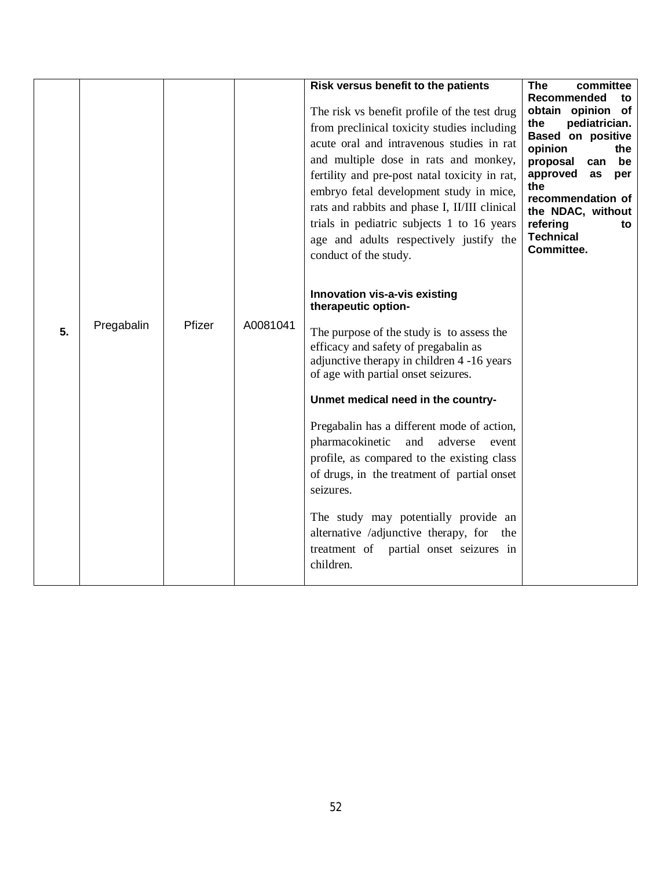| 5. | Pregabalin | Pfizer | A0081041 | Risk versus benefit to the patients<br>The risk vs benefit profile of the test drug<br>from preclinical toxicity studies including<br>acute oral and intravenous studies in rat<br>and multiple dose in rats and monkey,<br>fertility and pre-post natal toxicity in rat,<br>embryo fetal development study in mice,<br>rats and rabbits and phase I, II/III clinical<br>trials in pediatric subjects 1 to 16 years<br>age and adults respectively justify the<br>conduct of the study.<br>Innovation vis-a-vis existing<br>therapeutic option-<br>The purpose of the study is to assess the<br>efficacy and safety of pregabalin as<br>adjunctive therapy in children 4 -16 years<br>of age with partial onset seizures.<br>Unmet medical need in the country-<br>Pregabalin has a different mode of action,<br>pharmacokinetic<br>and<br>adverse<br>event<br>profile, as compared to the existing class<br>of drugs, in the treatment of partial onset<br>seizures.<br>The study may potentially provide an<br>alternative /adjunctive therapy, for the<br>treatment of<br>partial onset seizures in<br>children. | <b>The</b><br>committee<br>Recommended<br>to<br>obtain opinion of<br>the<br>pediatrician.<br><b>Based on positive</b><br>opinion<br>the<br>proposal<br>be<br>can<br>approved<br>as<br>per<br>the<br>recommendation of<br>the NDAC, without<br>refering<br>to<br><b>Technical</b><br>Committee. |
|----|------------|--------|----------|---------------------------------------------------------------------------------------------------------------------------------------------------------------------------------------------------------------------------------------------------------------------------------------------------------------------------------------------------------------------------------------------------------------------------------------------------------------------------------------------------------------------------------------------------------------------------------------------------------------------------------------------------------------------------------------------------------------------------------------------------------------------------------------------------------------------------------------------------------------------------------------------------------------------------------------------------------------------------------------------------------------------------------------------------------------------------------------------------------------------|------------------------------------------------------------------------------------------------------------------------------------------------------------------------------------------------------------------------------------------------------------------------------------------------|
|----|------------|--------|----------|---------------------------------------------------------------------------------------------------------------------------------------------------------------------------------------------------------------------------------------------------------------------------------------------------------------------------------------------------------------------------------------------------------------------------------------------------------------------------------------------------------------------------------------------------------------------------------------------------------------------------------------------------------------------------------------------------------------------------------------------------------------------------------------------------------------------------------------------------------------------------------------------------------------------------------------------------------------------------------------------------------------------------------------------------------------------------------------------------------------------|------------------------------------------------------------------------------------------------------------------------------------------------------------------------------------------------------------------------------------------------------------------------------------------------|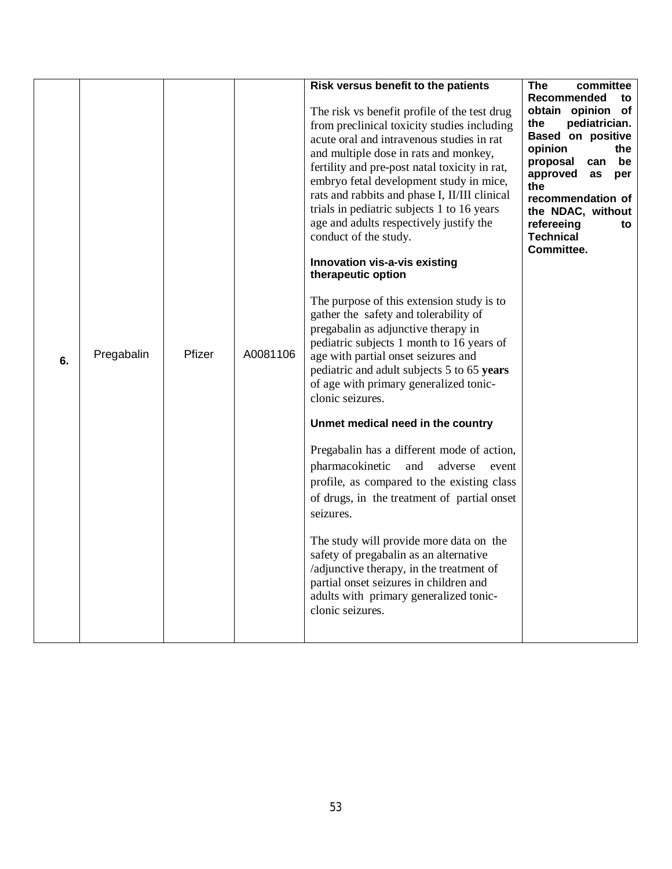|    |            |        |          | Risk versus benefit to the patients                                                         | <b>The</b><br>committee                        |
|----|------------|--------|----------|---------------------------------------------------------------------------------------------|------------------------------------------------|
|    |            |        |          |                                                                                             | Recommended<br>to                              |
|    |            |        |          | The risk vs benefit profile of the test drug<br>from preclinical toxicity studies including | obtain opinion of<br>pediatrician.<br>the      |
|    |            |        |          | acute oral and intravenous studies in rat                                                   | Based on positive                              |
|    |            |        |          | and multiple dose in rats and monkey,                                                       | opinion<br>the                                 |
|    |            |        |          | fertility and pre-post natal toxicity in rat,                                               | proposal<br>can<br>be<br>approved<br>as<br>per |
|    |            |        |          | embryo fetal development study in mice,                                                     | the                                            |
|    |            |        |          | rats and rabbits and phase I, II/III clinical<br>trials in pediatric subjects 1 to 16 years | recommendation of                              |
|    |            |        |          | age and adults respectively justify the                                                     | the NDAC, without<br>refereeing<br>to          |
|    |            |        |          | conduct of the study.                                                                       | <b>Technical</b>                               |
|    |            |        |          |                                                                                             | Committee.                                     |
|    |            |        |          | Innovation vis-a-vis existing<br>therapeutic option                                         |                                                |
|    |            |        |          |                                                                                             |                                                |
|    |            |        |          | The purpose of this extension study is to<br>gather the safety and tolerability of          |                                                |
|    |            |        |          | pregabalin as adjunctive therapy in                                                         |                                                |
|    |            |        |          | pediatric subjects 1 month to 16 years of                                                   |                                                |
| 6. | Pregabalin | Pfizer | A0081106 | age with partial onset seizures and                                                         |                                                |
|    |            |        |          | pediatric and adult subjects 5 to 65 years                                                  |                                                |
|    |            |        |          | of age with primary generalized tonic-<br>clonic seizures.                                  |                                                |
|    |            |        |          |                                                                                             |                                                |
|    |            |        |          | Unmet medical need in the country                                                           |                                                |
|    |            |        |          | Pregabalin has a different mode of action,                                                  |                                                |
|    |            |        |          | pharmacokinetic<br>and<br>adverse<br>event                                                  |                                                |
|    |            |        |          | profile, as compared to the existing class                                                  |                                                |
|    |            |        |          | of drugs, in the treatment of partial onset                                                 |                                                |
|    |            |        |          | seizures.                                                                                   |                                                |
|    |            |        |          | The study will provide more data on the                                                     |                                                |
|    |            |        |          | safety of pregabalin as an alternative                                                      |                                                |
|    |            |        |          | /adjunctive therapy, in the treatment of                                                    |                                                |
|    |            |        |          | partial onset seizures in children and<br>adults with primary generalized tonic-            |                                                |
|    |            |        |          | clonic seizures.                                                                            |                                                |
|    |            |        |          |                                                                                             |                                                |
|    |            |        |          |                                                                                             |                                                |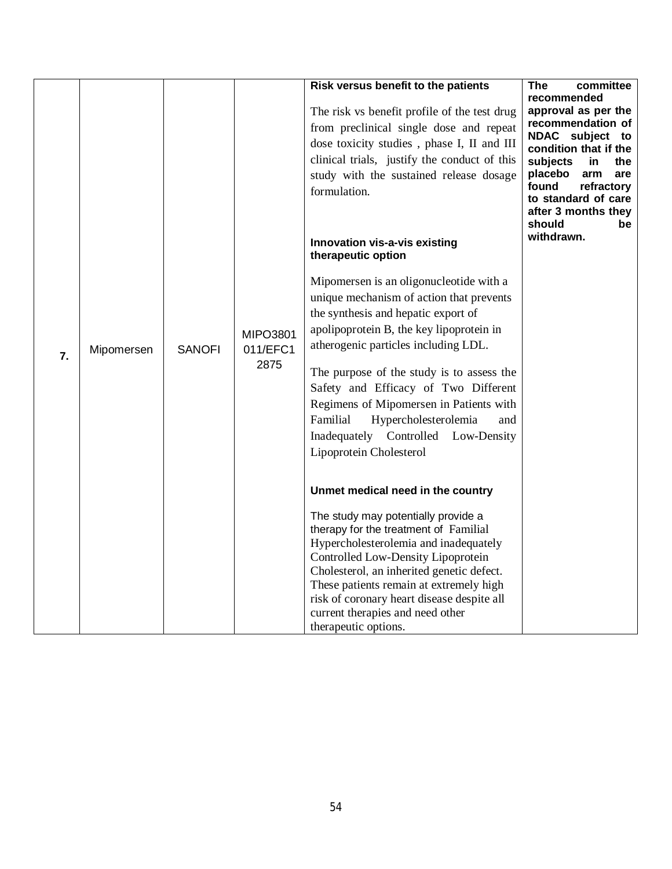| $\overline{7}$ . | Mipomersen | <b>SANOFI</b> | <b>MIPO3801</b><br>011/EFC1<br>2875 | Risk versus benefit to the patients<br>The risk vs benefit profile of the test drug<br>from preclinical single dose and repeat<br>dose toxicity studies, phase I, II and III<br>clinical trials, justify the conduct of this<br>study with the sustained release dosage<br>formulation.<br>Innovation vis-a-vis existing<br>therapeutic option<br>Mipomersen is an oligonucleotide with a<br>unique mechanism of action that prevents<br>the synthesis and hepatic export of<br>apolipoprotein B, the key lipoprotein in<br>atherogenic particles including LDL.<br>The purpose of the study is to assess the<br>Safety and Efficacy of Two Different<br>Regimens of Mipomersen in Patients with<br>Familial<br>Hypercholesterolemia<br>and<br>Inadequately Controlled Low-Density<br>Lipoprotein Cholesterol<br>Unmet medical need in the country<br>The study may potentially provide a<br>therapy for the treatment of Familial<br>Hypercholesterolemia and inadequately<br>Controlled Low-Density Lipoprotein<br>Cholesterol, an inherited genetic defect. | The<br>committee<br>recommended<br>approval as per the<br>recommendation of<br>NDAC subject<br>to<br>condition that if the<br>subjects<br>the<br>in.<br>placebo<br>arm<br>are<br>found<br>refractory<br>to standard of care<br>after 3 months they<br>should<br>be<br>withdrawn. |
|------------------|------------|---------------|-------------------------------------|----------------------------------------------------------------------------------------------------------------------------------------------------------------------------------------------------------------------------------------------------------------------------------------------------------------------------------------------------------------------------------------------------------------------------------------------------------------------------------------------------------------------------------------------------------------------------------------------------------------------------------------------------------------------------------------------------------------------------------------------------------------------------------------------------------------------------------------------------------------------------------------------------------------------------------------------------------------------------------------------------------------------------------------------------------------|----------------------------------------------------------------------------------------------------------------------------------------------------------------------------------------------------------------------------------------------------------------------------------|
|                  |            |               |                                     | These patients remain at extremely high<br>risk of coronary heart disease despite all<br>current therapies and need other<br>therapeutic options.                                                                                                                                                                                                                                                                                                                                                                                                                                                                                                                                                                                                                                                                                                                                                                                                                                                                                                              |                                                                                                                                                                                                                                                                                  |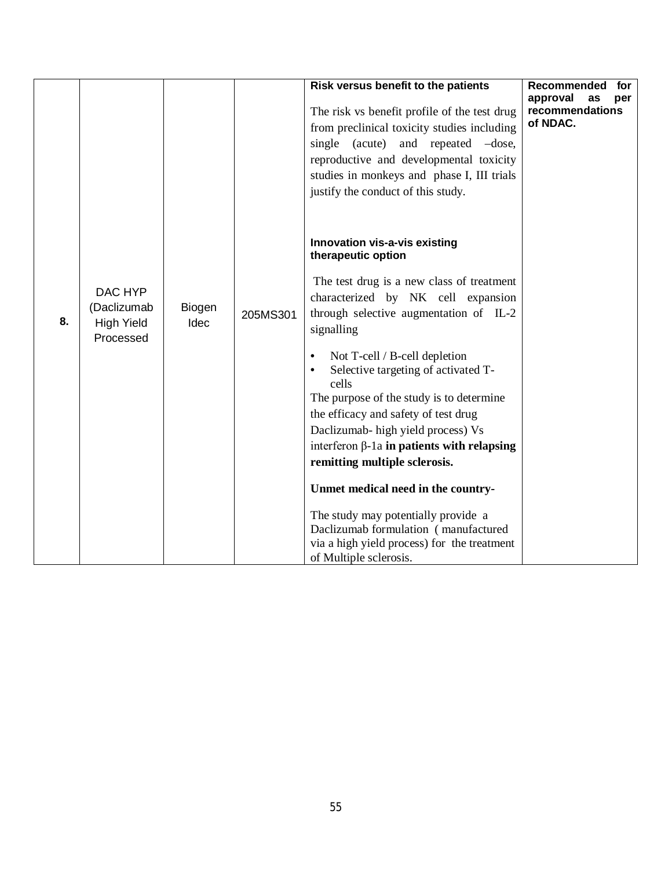|    |                                                          |                |          | Risk versus benefit to the patients<br>The risk vs benefit profile of the test drug<br>from preclinical toxicity studies including<br>single (acute) and repeated -dose,<br>reproductive and developmental toxicity<br>studies in monkeys and phase I, III trials<br>justify the conduct of this study.<br>Innovation vis-a-vis existing<br>therapeutic option                                                                                                                                                                                  | Recommended<br>for<br>approval<br>as<br>per<br>recommendations<br>of NDAC. |
|----|----------------------------------------------------------|----------------|----------|-------------------------------------------------------------------------------------------------------------------------------------------------------------------------------------------------------------------------------------------------------------------------------------------------------------------------------------------------------------------------------------------------------------------------------------------------------------------------------------------------------------------------------------------------|----------------------------------------------------------------------------|
| 8. | DAC HYP<br>(Daclizumab<br><b>High Yield</b><br>Processed | Biogen<br>Idec | 205MS301 | The test drug is a new class of treatment<br>characterized by NK cell expansion<br>through selective augmentation of IL-2<br>signalling<br>Not T-cell / B-cell depletion<br>$\bullet$<br>Selective targeting of activated T-<br>$\bullet$<br>cells<br>The purpose of the study is to determine<br>the efficacy and safety of test drug<br>Daclizumab- high yield process) Vs<br>interferon $\beta$ -1a in patients with relapsing<br>remitting multiple sclerosis.<br>Unmet medical need in the country-<br>The study may potentially provide a |                                                                            |
|    |                                                          |                |          | Daclizumab formulation (manufactured<br>via a high yield process) for the treatment<br>of Multiple sclerosis.                                                                                                                                                                                                                                                                                                                                                                                                                                   |                                                                            |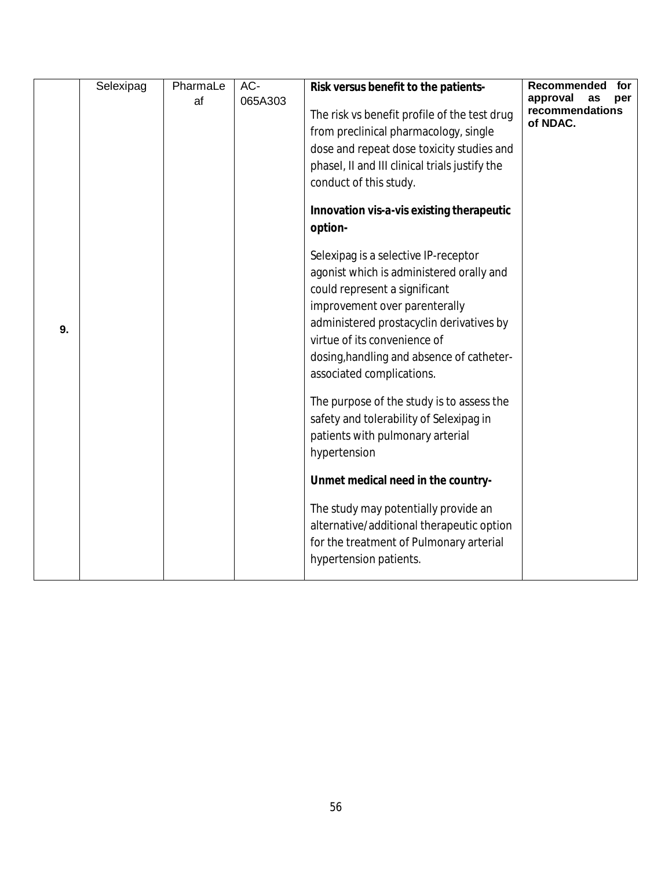|    | Selexipag | PharmaLe | AC-     | Risk versus benefit to the patients-                                                                                                                                                                                                                                                                                                                                                                                                                 | Recommended<br>for                                   |
|----|-----------|----------|---------|------------------------------------------------------------------------------------------------------------------------------------------------------------------------------------------------------------------------------------------------------------------------------------------------------------------------------------------------------------------------------------------------------------------------------------------------------|------------------------------------------------------|
|    |           | af       | 065A303 | The risk vs benefit profile of the test drug<br>from preclinical pharmacology, single<br>dose and repeat dose toxicity studies and<br>phasel, II and III clinical trials justify the<br>conduct of this study.                                                                                                                                                                                                                                       | approval<br>per<br>as<br>recommendations<br>of NDAC. |
|    |           |          |         | Innovation vis-a-vis existing therapeutic<br>option-                                                                                                                                                                                                                                                                                                                                                                                                 |                                                      |
| 9. |           |          |         | Selexipag is a selective IP-receptor<br>agonist which is administered orally and<br>could represent a significant<br>improvement over parenterally<br>administered prostacyclin derivatives by<br>virtue of its convenience of<br>dosing, handling and absence of catheter-<br>associated complications.<br>The purpose of the study is to assess the<br>safety and tolerability of Selexipag in<br>patients with pulmonary arterial<br>hypertension |                                                      |
|    |           |          |         | Unmet medical need in the country-                                                                                                                                                                                                                                                                                                                                                                                                                   |                                                      |
|    |           |          |         | The study may potentially provide an<br>alternative/additional therapeutic option<br>for the treatment of Pulmonary arterial<br>hypertension patients.                                                                                                                                                                                                                                                                                               |                                                      |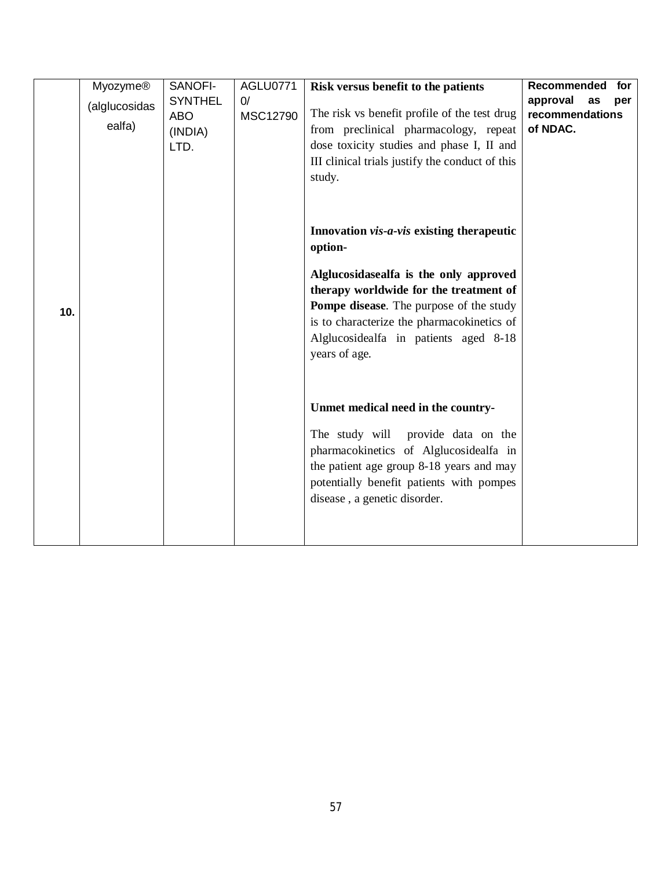| <b>Myozyme®</b><br>(alglucosidas<br>ealfa) | SANOFI-<br><b>SYNTHEL</b><br><b>ABO</b><br>(INDIA)<br>LTD. | AGLU0771<br>0/<br>MSC12790 | Risk versus benefit to the patients<br>The risk vs benefit profile of the test drug<br>from preclinical pharmacology, repeat<br>dose toxicity studies and phase I, II and<br>III clinical trials justify the conduct of this<br>study.                                                             | Recommended<br>for<br>approval<br>as<br>per<br>recommendations<br>of NDAC. |
|--------------------------------------------|------------------------------------------------------------|----------------------------|----------------------------------------------------------------------------------------------------------------------------------------------------------------------------------------------------------------------------------------------------------------------------------------------------|----------------------------------------------------------------------------|
| 10.                                        |                                                            |                            | Innovation vis-a-vis existing therapeutic<br>option-<br>Alglucosidasealfa is the only approved<br>therapy worldwide for the treatment of<br><b>Pompe disease.</b> The purpose of the study<br>is to characterize the pharmacokinetics of<br>Alglucosidealfa in patients aged 8-18<br>years of age. |                                                                            |
|                                            |                                                            |                            | Unmet medical need in the country-<br>The study will<br>provide data on the<br>pharmacokinetics of Alglucosidealfa in<br>the patient age group 8-18 years and may<br>potentially benefit patients with pompes<br>disease, a genetic disorder.                                                      |                                                                            |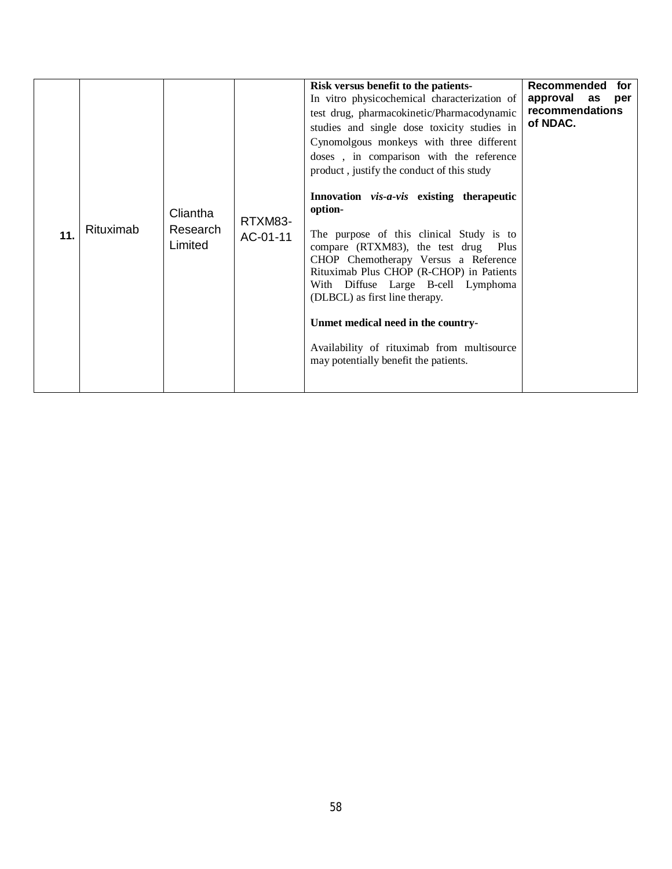| 11. | Rituximab | Cliantha<br>Research<br>Limited | RTXM83-<br>AC-01-11 | Risk versus benefit to the patients-<br>In vitro physicochemical characterization of<br>test drug, pharmacokinetic/Pharmacodynamic<br>studies and single dose toxicity studies in<br>Cynomolgous monkeys with three different<br>doses, in comparison with the reference<br>product, justify the conduct of this study<br>Innovation vis-a-vis existing therapeutic<br>option-<br>The purpose of this clinical Study is to<br>compare (RTXM83), the test drug Plus<br>CHOP Chemotherapy Versus a Reference<br>Rituximab Plus CHOP (R-CHOP) in Patients<br>With Diffuse Large B-cell Lymphoma<br>(DLBCL) as first line therapy.<br>Unmet medical need in the country-<br>Availability of rituximab from multisource<br>may potentially benefit the patients. | Recommended<br>for<br>approval as<br>per<br>recommendations<br>of NDAC. |
|-----|-----------|---------------------------------|---------------------|-------------------------------------------------------------------------------------------------------------------------------------------------------------------------------------------------------------------------------------------------------------------------------------------------------------------------------------------------------------------------------------------------------------------------------------------------------------------------------------------------------------------------------------------------------------------------------------------------------------------------------------------------------------------------------------------------------------------------------------------------------------|-------------------------------------------------------------------------|
|-----|-----------|---------------------------------|---------------------|-------------------------------------------------------------------------------------------------------------------------------------------------------------------------------------------------------------------------------------------------------------------------------------------------------------------------------------------------------------------------------------------------------------------------------------------------------------------------------------------------------------------------------------------------------------------------------------------------------------------------------------------------------------------------------------------------------------------------------------------------------------|-------------------------------------------------------------------------|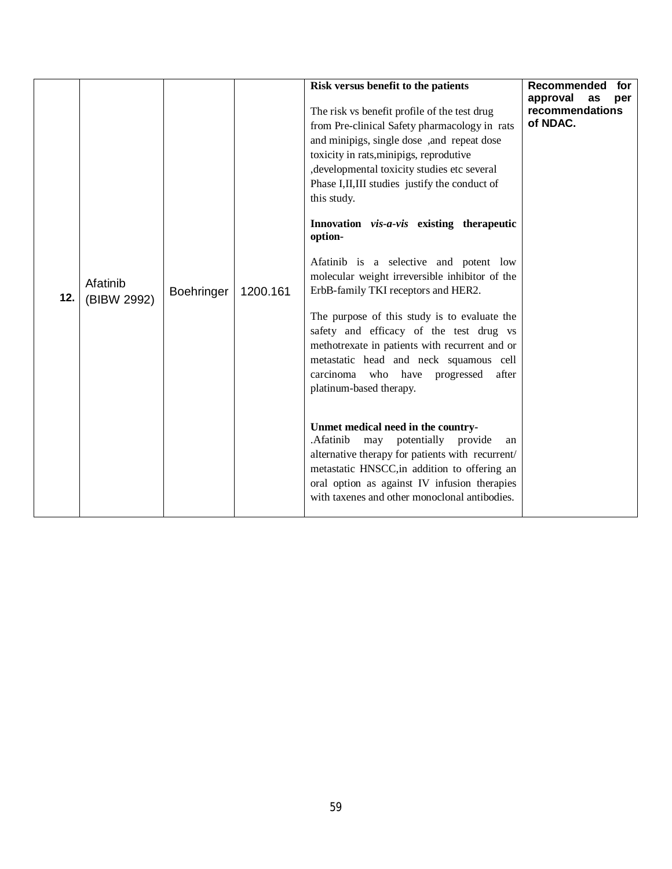| Afatinib<br><b>Boehringer</b><br>1200.161<br>12.<br>(BIBW 2992) | Risk versus benefit to the patients<br>The risk vs benefit profile of the test drug<br>from Pre-clinical Safety pharmacology in rats<br>and minipigs, single dose ,and repeat dose<br>toxicity in rats, minipigs, reprodutive<br>, developmental toxicity studies etc several<br>Phase I, II, III studies justify the conduct of<br>this study.<br>Innovation vis-a-vis existing therapeutic<br>option-<br>Afatinib is a selective and potent low<br>molecular weight irreversible inhibitor of the<br>ErbB-family TKI receptors and HER2.<br>The purpose of this study is to evaluate the<br>safety and efficacy of the test drug vs<br>methotrexate in patients with recurrent and or<br>metastatic head and neck squamous cell<br>carcinoma who have progressed<br>after<br>platinum-based therapy.<br>Unmet medical need in the country-<br>may potentially provide<br>.Afatinib<br>an<br>alternative therapy for patients with recurrent/<br>metastatic HNSCC, in addition to offering an<br>oral option as against IV infusion therapies<br>with taxenes and other monoclonal antibodies. | Recommended<br>for<br>approval<br>as<br>per<br>recommendations<br>of NDAC. |
|-----------------------------------------------------------------|-------------------------------------------------------------------------------------------------------------------------------------------------------------------------------------------------------------------------------------------------------------------------------------------------------------------------------------------------------------------------------------------------------------------------------------------------------------------------------------------------------------------------------------------------------------------------------------------------------------------------------------------------------------------------------------------------------------------------------------------------------------------------------------------------------------------------------------------------------------------------------------------------------------------------------------------------------------------------------------------------------------------------------------------------------------------------------------------------|----------------------------------------------------------------------------|
|-----------------------------------------------------------------|-------------------------------------------------------------------------------------------------------------------------------------------------------------------------------------------------------------------------------------------------------------------------------------------------------------------------------------------------------------------------------------------------------------------------------------------------------------------------------------------------------------------------------------------------------------------------------------------------------------------------------------------------------------------------------------------------------------------------------------------------------------------------------------------------------------------------------------------------------------------------------------------------------------------------------------------------------------------------------------------------------------------------------------------------------------------------------------------------|----------------------------------------------------------------------------|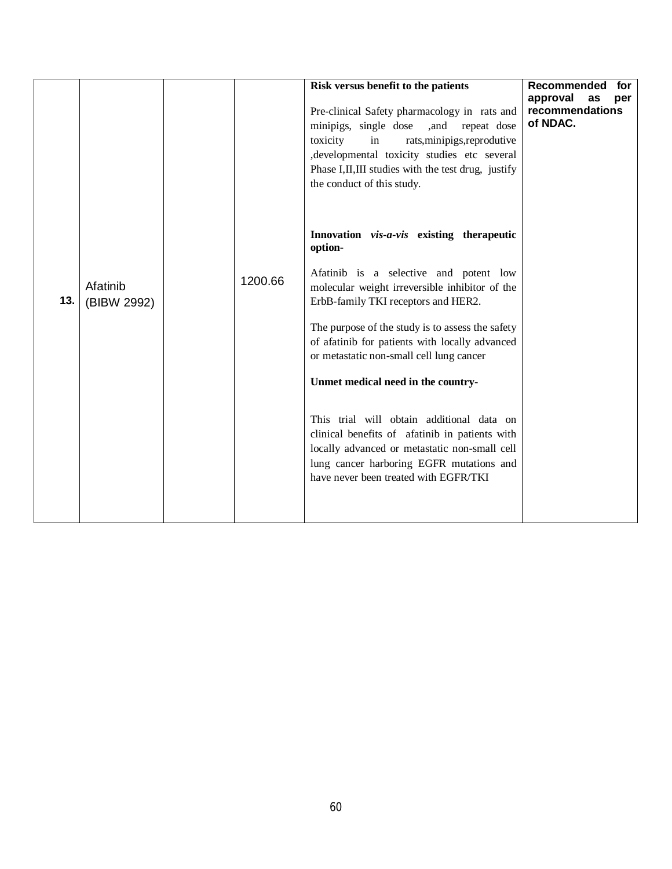|     |                         |         | Risk versus benefit to the patients<br>Pre-clinical Safety pharmacology in rats and<br>minipigs, single dose<br>,and repeat dose<br>toxicity<br>in<br>rats, minipigs, reprodutive<br>, developmental toxicity studies etc several<br>Phase I, II, III studies with the test drug, justify<br>the conduct of this study.                                                                                                                                                                                                                                                                                              | Recommended<br>for<br>approval<br>as<br>per<br>recommendations<br>of NDAC. |
|-----|-------------------------|---------|----------------------------------------------------------------------------------------------------------------------------------------------------------------------------------------------------------------------------------------------------------------------------------------------------------------------------------------------------------------------------------------------------------------------------------------------------------------------------------------------------------------------------------------------------------------------------------------------------------------------|----------------------------------------------------------------------------|
| 13. | Afatinib<br>(BIBW 2992) | 1200.66 | Innovation vis-a-vis existing therapeutic<br>option-<br>Afatinib is a selective and potent low<br>molecular weight irreversible inhibitor of the<br>ErbB-family TKI receptors and HER2.<br>The purpose of the study is to assess the safety<br>of afatinib for patients with locally advanced<br>or metastatic non-small cell lung cancer<br>Unmet medical need in the country-<br>This trial will obtain additional data on<br>clinical benefits of afatinib in patients with<br>locally advanced or metastatic non-small cell<br>lung cancer harboring EGFR mutations and<br>have never been treated with EGFR/TKI |                                                                            |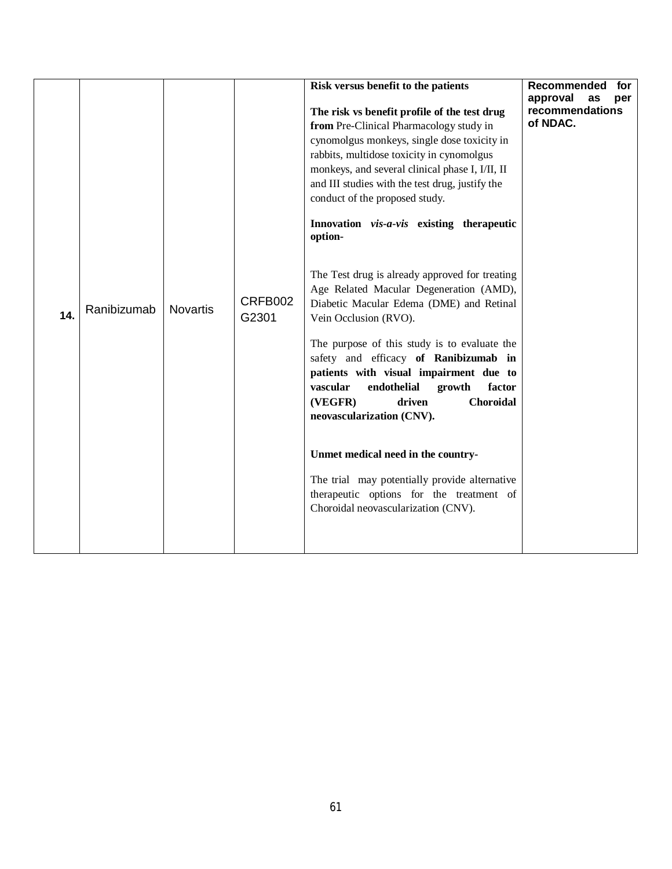| 14. | Ranibizumab | <b>Novartis</b> | CRFB002<br>G2301 | Risk versus benefit to the patients<br>The risk vs benefit profile of the test drug<br>from Pre-Clinical Pharmacology study in<br>cynomolgus monkeys, single dose toxicity in<br>rabbits, multidose toxicity in cynomolgus<br>monkeys, and several clinical phase I, I/II, II<br>and III studies with the test drug, justify the<br>conduct of the proposed study.<br>Innovation vis-a-vis existing therapeutic<br>option-<br>The Test drug is already approved for treating<br>Age Related Macular Degeneration (AMD),<br>Diabetic Macular Edema (DME) and Retinal<br>Vein Occlusion (RVO).<br>The purpose of this study is to evaluate the<br>safety and efficacy of Ranibizumab in<br>patients with visual impairment due to<br>vascular<br>endothelial<br>growth<br>factor | <b>Recommended</b><br>for<br>approval<br>as<br>per<br>recommendations<br>of NDAC. |
|-----|-------------|-----------------|------------------|--------------------------------------------------------------------------------------------------------------------------------------------------------------------------------------------------------------------------------------------------------------------------------------------------------------------------------------------------------------------------------------------------------------------------------------------------------------------------------------------------------------------------------------------------------------------------------------------------------------------------------------------------------------------------------------------------------------------------------------------------------------------------------|-----------------------------------------------------------------------------------|
|     |             |                 |                  | <b>Choroidal</b><br>(VEGFR)<br>driven<br>neovascularization (CNV).                                                                                                                                                                                                                                                                                                                                                                                                                                                                                                                                                                                                                                                                                                             |                                                                                   |
|     |             |                 |                  | Unmet medical need in the country-                                                                                                                                                                                                                                                                                                                                                                                                                                                                                                                                                                                                                                                                                                                                             |                                                                                   |
|     |             |                 |                  | The trial may potentially provide alternative<br>therapeutic options for the treatment of<br>Choroidal neovascularization (CNV).                                                                                                                                                                                                                                                                                                                                                                                                                                                                                                                                                                                                                                               |                                                                                   |
|     |             |                 |                  |                                                                                                                                                                                                                                                                                                                                                                                                                                                                                                                                                                                                                                                                                                                                                                                |                                                                                   |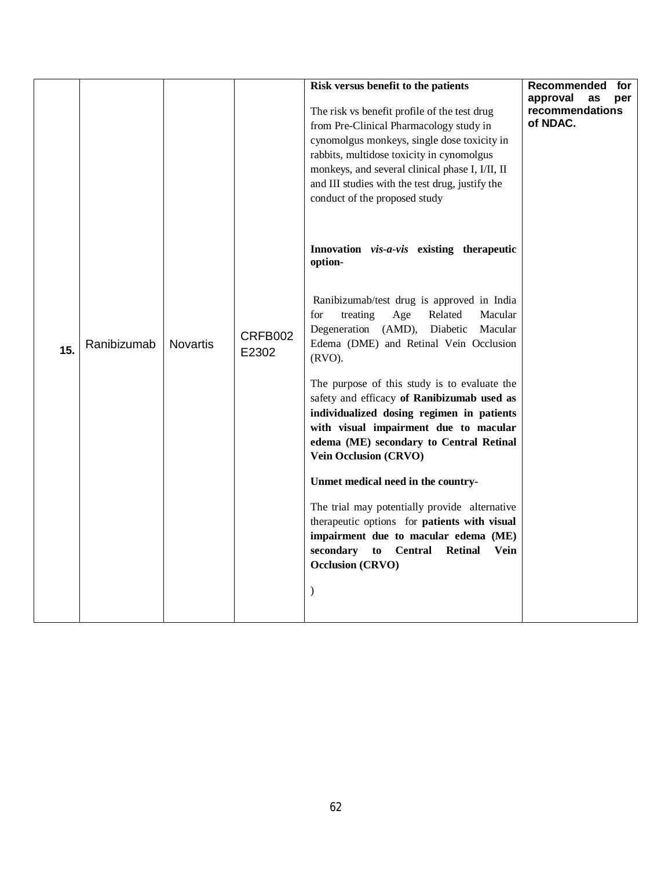|     |             |                 |                  | Risk versus benefit to the patients<br>The risk vs benefit profile of the test drug<br>from Pre-Clinical Pharmacology study in<br>cynomolgus monkeys, single dose toxicity in<br>rabbits, multidose toxicity in cynomolgus<br>monkeys, and several clinical phase I, I/II, II<br>and III studies with the test drug, justify the<br>conduct of the proposed study                                                                                                                                                                                                                                                                                                                                                                                                                     | Recommended<br>for<br>approval<br>as<br>per<br>recommendations<br>of NDAC. |
|-----|-------------|-----------------|------------------|---------------------------------------------------------------------------------------------------------------------------------------------------------------------------------------------------------------------------------------------------------------------------------------------------------------------------------------------------------------------------------------------------------------------------------------------------------------------------------------------------------------------------------------------------------------------------------------------------------------------------------------------------------------------------------------------------------------------------------------------------------------------------------------|----------------------------------------------------------------------------|
| 15. | Ranibizumab | <b>Novartis</b> | CRFB002<br>E2302 | Innovation vis-a-vis existing therapeutic<br>option-<br>Ranibizumab/test drug is approved in India<br>treating<br>for<br>Age<br>Related<br>Macular<br>Degeneration (AMD),<br>Diabetic<br>Macular<br>Edema (DME) and Retinal Vein Occlusion<br>$(RVO)$ .<br>The purpose of this study is to evaluate the<br>safety and efficacy of Ranibizumab used as<br>individualized dosing regimen in patients<br>with visual impairment due to macular<br>edema (ME) secondary to Central Retinal<br>Vein Occlusion (CRVO)<br>Unmet medical need in the country-<br>The trial may potentially provide alternative<br>therapeutic options for patients with visual<br>impairment due to macular edema (ME)<br>secondary<br>to Central Retinal<br>Vein<br><b>Occlusion (CRVO)</b><br>$\mathcal{E}$ |                                                                            |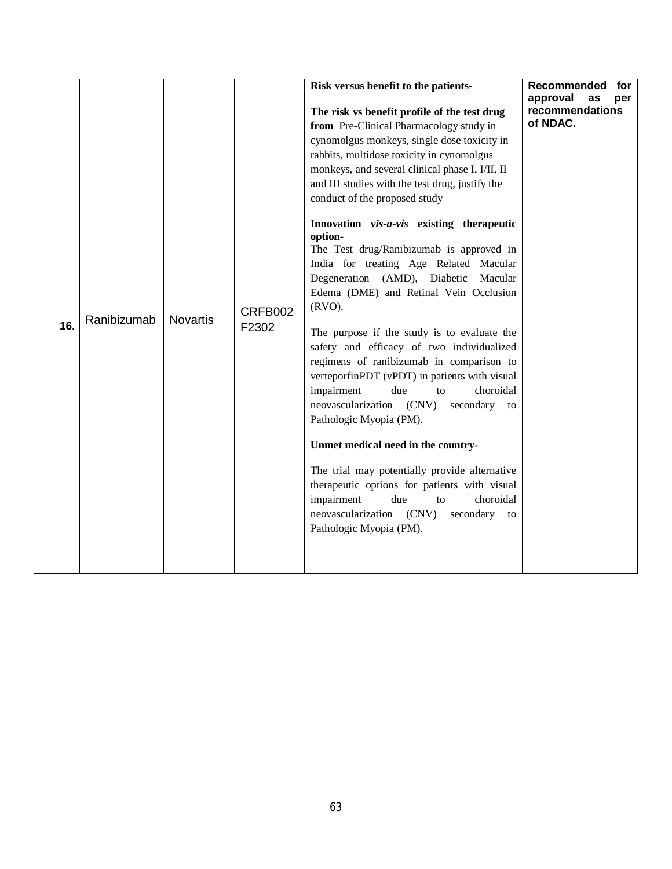| 16. | Ranibizumab | <b>Novartis</b> | CRFB002<br>F2302 | Risk versus benefit to the patients-<br>The risk vs benefit profile of the test drug<br>from Pre-Clinical Pharmacology study in<br>cynomolgus monkeys, single dose toxicity in<br>rabbits, multidose toxicity in cynomolgus<br>monkeys, and several clinical phase I, I/II, II<br>and III studies with the test drug, justify the<br>conduct of the proposed study<br>Innovation vis-a-vis existing therapeutic<br>option-<br>The Test drug/Ranibizumab is approved in<br>India for treating Age Related Macular<br>Degeneration (AMD), Diabetic<br>Macular<br>Edema (DME) and Retinal Vein Occlusion<br>$(RVO)$ .<br>The purpose if the study is to evaluate the<br>safety and efficacy of two individualized<br>regimens of ranibizumab in comparison to<br>verteporfinPDT (vPDT) in patients with visual<br>impairment<br>due<br>choroidal<br>to<br>neovascularization (CNV)<br>secondary<br>to<br>Pathologic Myopia (PM).<br>Unmet medical need in the country-<br>The trial may potentially provide alternative<br>therapeutic options for patients with visual<br>impairment<br>choroidal<br>due<br>to<br>neovascularization (CNV)<br>secondary to<br>Pathologic Myopia (PM). | Recommended<br>for<br>approval<br>as<br>per<br>recommendations<br>of NDAC. |  |
|-----|-------------|-----------------|------------------|-------------------------------------------------------------------------------------------------------------------------------------------------------------------------------------------------------------------------------------------------------------------------------------------------------------------------------------------------------------------------------------------------------------------------------------------------------------------------------------------------------------------------------------------------------------------------------------------------------------------------------------------------------------------------------------------------------------------------------------------------------------------------------------------------------------------------------------------------------------------------------------------------------------------------------------------------------------------------------------------------------------------------------------------------------------------------------------------------------------------------------------------------------------------------------------|----------------------------------------------------------------------------|--|
|-----|-------------|-----------------|------------------|-------------------------------------------------------------------------------------------------------------------------------------------------------------------------------------------------------------------------------------------------------------------------------------------------------------------------------------------------------------------------------------------------------------------------------------------------------------------------------------------------------------------------------------------------------------------------------------------------------------------------------------------------------------------------------------------------------------------------------------------------------------------------------------------------------------------------------------------------------------------------------------------------------------------------------------------------------------------------------------------------------------------------------------------------------------------------------------------------------------------------------------------------------------------------------------|----------------------------------------------------------------------------|--|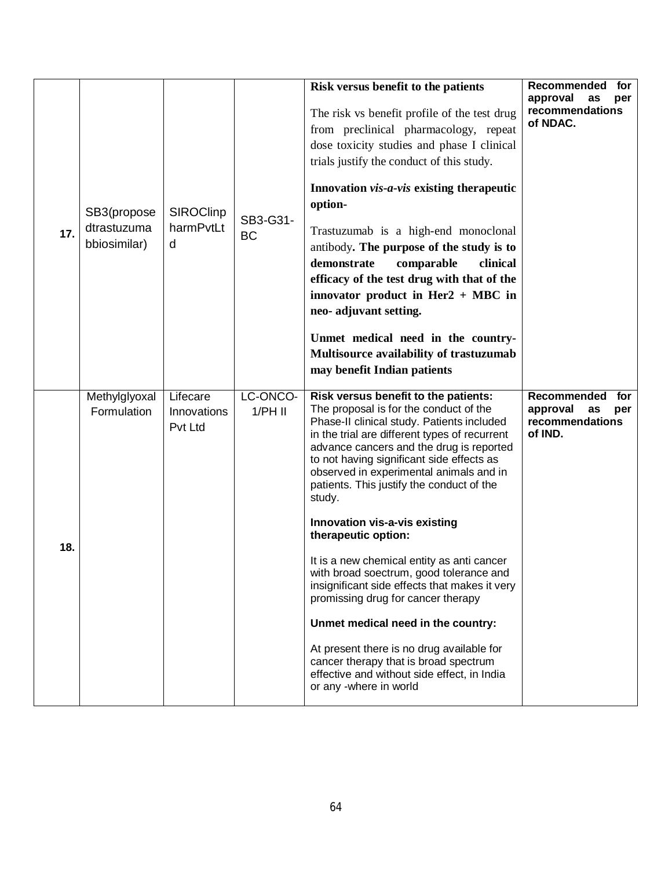| 17. | SB3(propose<br>dtrastuzuma<br>bbiosimilar) | <b>SIROClinp</b><br>harmPvtLt<br>d | SB3-G31-<br><b>BC</b> | Risk versus benefit to the patients<br>The risk vs benefit profile of the test drug<br>from preclinical pharmacology, repeat<br>dose toxicity studies and phase I clinical<br>trials justify the conduct of this study.<br>Innovation vis-a-vis existing therapeutic<br>option-<br>Trastuzumab is a high-end monoclonal<br>antibody. The purpose of the study is to<br>demonstrate<br>comparable<br>clinical<br>efficacy of the test drug with that of the<br>innovator product in Her2 $+$ MBC in<br>neo- adjuvant setting.<br>Unmet medical need in the country-<br>Multisource availability of trastuzumab<br>may benefit Indian patients                                                                                                                                                                          | Recommended<br>for<br>approval<br>as<br>per<br>recommendations<br>of NDAC. |
|-----|--------------------------------------------|------------------------------------|-----------------------|-----------------------------------------------------------------------------------------------------------------------------------------------------------------------------------------------------------------------------------------------------------------------------------------------------------------------------------------------------------------------------------------------------------------------------------------------------------------------------------------------------------------------------------------------------------------------------------------------------------------------------------------------------------------------------------------------------------------------------------------------------------------------------------------------------------------------|----------------------------------------------------------------------------|
| 18. | Methylglyoxal<br>Formulation               | Lifecare<br>Innovations<br>Pvt Ltd | LC-ONCO-<br>$1/PH$ II | Risk versus benefit to the patients:<br>The proposal is for the conduct of the<br>Phase-II clinical study. Patients included<br>in the trial are different types of recurrent<br>advance cancers and the drug is reported<br>to not having significant side effects as<br>observed in experimental animals and in<br>patients. This justify the conduct of the<br>study.<br>Innovation vis-a-vis existing<br>therapeutic option:<br>It is a new chemical entity as anti cancer<br>with broad soectrum, good tolerance and<br>insignificant side effects that makes it very<br>promissing drug for cancer therapy<br>Unmet medical need in the country:<br>At present there is no drug available for<br>cancer therapy that is broad spectrum<br>effective and without side effect, in India<br>or any -where in world | Recommended<br>for<br>approval<br>as<br>per<br>recommendations<br>of IND.  |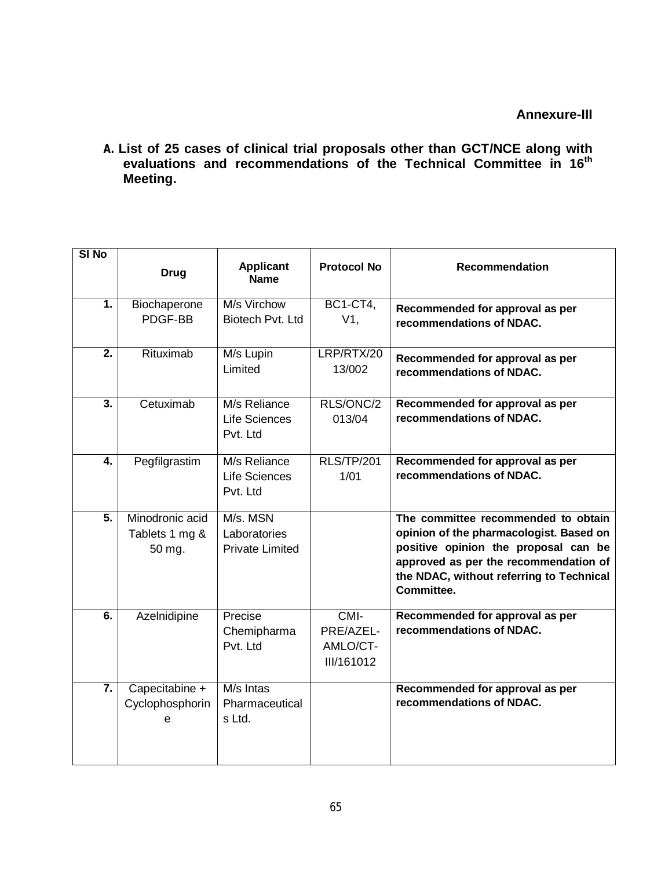**A. List of 25 cases of clinical trial proposals other than GCT/NCE along with evaluations and recommendations of the Technical Committee in 16 th Meeting.**

| SI <sub>No</sub> |                                             |                                                    |                                                |                                                                                                                                                                                                                           |
|------------------|---------------------------------------------|----------------------------------------------------|------------------------------------------------|---------------------------------------------------------------------------------------------------------------------------------------------------------------------------------------------------------------------------|
|                  | <b>Drug</b>                                 | <b>Applicant</b><br><b>Name</b>                    | <b>Protocol No</b>                             | <b>Recommendation</b>                                                                                                                                                                                                     |
| 1.               | Biochaperone<br>PDGF-BB                     | M/s Virchow<br>Biotech Pvt. Ltd                    | <b>BC1-CT4,</b><br>$V1$ ,                      | Recommended for approval as per<br>recommendations of NDAC.                                                                                                                                                               |
| $\overline{2}$ . | Rituximab                                   | M/s Lupin<br>Limited                               | LRP/RTX/20<br>13/002                           | Recommended for approval as per<br>recommendations of NDAC.                                                                                                                                                               |
| $\overline{3}$ . | Cetuximab                                   | M/s Reliance<br>Life Sciences<br>Pvt. Ltd          | RLS/ONC/2<br>013/04                            | Recommended for approval as per<br>recommendations of NDAC.                                                                                                                                                               |
| 4.               | Pegfilgrastim                               | M/s Reliance<br>Life Sciences<br>Pvt. Ltd          | <b>RLS/TP/201</b><br>1/01                      | Recommended for approval as per<br>recommendations of NDAC.                                                                                                                                                               |
| $\overline{5}$ . | Minodronic acid<br>Tablets 1 mg &<br>50 mg. | M/s. MSN<br>Laboratories<br><b>Private Limited</b> |                                                | The committee recommended to obtain<br>opinion of the pharmacologist. Based on<br>positive opinion the proposal can be<br>approved as per the recommendation of<br>the NDAC, without referring to Technical<br>Committee. |
| $\overline{6}$ . | Azelnidipine                                | Precise<br>Chemipharma<br>Pvt. Ltd                 | $CMI$ -<br>PRE/AZEL-<br>AMLO/CT-<br>III/161012 | Recommended for approval as per<br>recommendations of NDAC.                                                                                                                                                               |
| $\overline{7}$ . | Capecitabine +<br>Cyclophosphorin<br>e      | M/s Intas<br>Pharmaceutical<br>s Ltd.              |                                                | Recommended for approval as per<br>recommendations of NDAC.                                                                                                                                                               |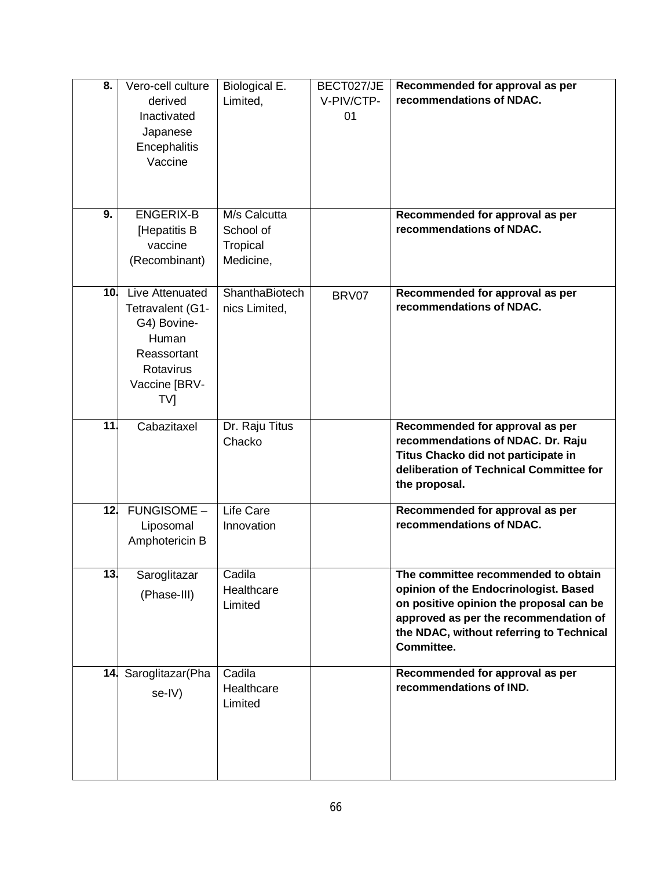| $\overline{\mathbf{8}}$ . | Vero-cell culture<br>derived<br>Inactivated<br>Japanese<br>Encephalitis<br>Vaccine                              | Biological E.<br>Limited,                          | BECT027/JE<br>V-PIV/CTP-<br>01 | Recommended for approval as per<br>recommendations of NDAC.                                                                                                                                                                |
|---------------------------|-----------------------------------------------------------------------------------------------------------------|----------------------------------------------------|--------------------------------|----------------------------------------------------------------------------------------------------------------------------------------------------------------------------------------------------------------------------|
| 9.                        | <b>ENGERIX-B</b><br>[Hepatitis B<br>vaccine<br>(Recombinant)                                                    | M/s Calcutta<br>School of<br>Tropical<br>Medicine, |                                | Recommended for approval as per<br>recommendations of NDAC.                                                                                                                                                                |
| 10 <sub>1</sub>           | Live Attenuated<br>Tetravalent (G1-<br>G4) Bovine-<br>Human<br>Reassortant<br>Rotavirus<br>Vaccine [BRV-<br>TV] | ShanthaBiotech<br>nics Limited,                    | BRV07                          | Recommended for approval as per<br>recommendations of NDAC.                                                                                                                                                                |
| $\overline{11}$           | Cabazitaxel                                                                                                     | Dr. Raju Titus<br>Chacko                           |                                | Recommended for approval as per<br>recommendations of NDAC. Dr. Raju<br>Titus Chacko did not participate in<br>deliberation of Technical Committee for<br>the proposal.                                                    |
| 12.                       | FUNGISOME -<br>Liposomal<br>Amphotericin B                                                                      | Life Care<br>Innovation                            |                                | Recommended for approval as per<br>recommendations of NDAC.                                                                                                                                                                |
| 13.                       | Saroglitazar<br>(Phase-III)                                                                                     | Cadila<br>Healthcare<br>Limited                    |                                | The committee recommended to obtain<br>opinion of the Endocrinologist. Based<br>on positive opinion the proposal can be<br>approved as per the recommendation of<br>the NDAC, without referring to Technical<br>Committee. |
|                           | 14. Saroglitazar (Pha<br>se-IV)                                                                                 | Cadila<br>Healthcare<br>Limited                    |                                | Recommended for approval as per<br>recommendations of IND.                                                                                                                                                                 |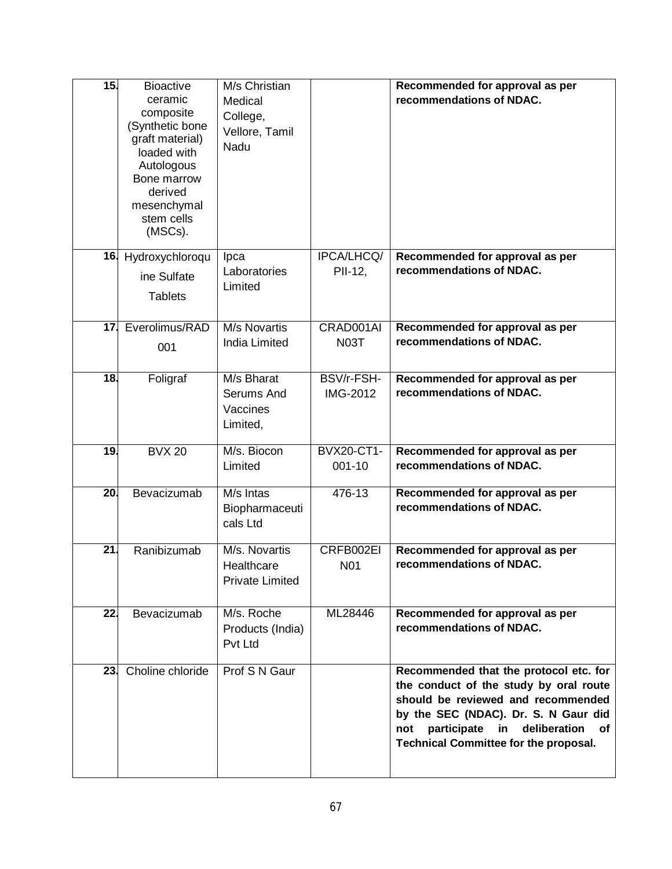| 15.             | <b>Bioactive</b><br>ceramic        | M/s Christian<br>Medical |                        | Recommended for approval as per<br>recommendations of NDAC.                             |
|-----------------|------------------------------------|--------------------------|------------------------|-----------------------------------------------------------------------------------------|
|                 | composite                          | College,                 |                        |                                                                                         |
|                 | (Synthetic bone<br>graft material) | Vellore, Tamil           |                        |                                                                                         |
|                 | loaded with                        | Nadu                     |                        |                                                                                         |
|                 | Autologous<br>Bone marrow          |                          |                        |                                                                                         |
|                 | derived                            |                          |                        |                                                                                         |
|                 | mesenchymal<br>stem cells          |                          |                        |                                                                                         |
|                 | (MSCs).                            |                          |                        |                                                                                         |
|                 | 16. Hydroxychloroqu                | Ipca                     | IPCA/LHCQ/             | Recommended for approval as per                                                         |
|                 | ine Sulfate                        | Laboratories             | PII-12,                | recommendations of NDAC.                                                                |
|                 |                                    | Limited                  |                        |                                                                                         |
|                 | <b>Tablets</b>                     |                          |                        |                                                                                         |
| 17.             | Everolimus/RAD                     | M/s Novartis             | CRAD001AI              | Recommended for approval as per                                                         |
|                 | 001                                | <b>India Limited</b>     | <b>N03T</b>            | recommendations of NDAC.                                                                |
|                 |                                    |                          |                        |                                                                                         |
| 18.             | Foligraf                           | M/s Bharat<br>Serums And | BSV/r-FSH-<br>IMG-2012 | Recommended for approval as per<br>recommendations of NDAC.                             |
|                 |                                    | Vaccines                 |                        |                                                                                         |
|                 |                                    | Limited,                 |                        |                                                                                         |
| 19.             | <b>BVX 20</b>                      | M/s. Biocon              | <b>BVX20-CT1-</b>      | Recommended for approval as per                                                         |
|                 |                                    | Limited                  | $001 - 10$             | recommendations of NDAC.                                                                |
| 20.             | Bevacizumab                        | M/s Intas                | 476-13                 | Recommended for approval as per                                                         |
|                 |                                    | Biopharmaceuti           |                        | recommendations of NDAC.                                                                |
|                 |                                    | cals Ltd                 |                        |                                                                                         |
| $\overline{21}$ | Ranibizumab                        | M/s. Novartis            | CRFB002EI              | Recommended for approval as per                                                         |
|                 |                                    | Healthcare               | N <sub>0</sub> 1       | recommendations of NDAC.                                                                |
|                 |                                    | <b>Private Limited</b>   |                        |                                                                                         |
| 22 <sub>1</sub> | Bevacizumab                        | M/s. Roche               | ML28446                | Recommended for approval as per                                                         |
|                 |                                    | Products (India)         |                        | recommendations of NDAC.                                                                |
|                 |                                    | Pvt Ltd                  |                        |                                                                                         |
| 23.             | Choline chloride                   | Prof S N Gaur            |                        | Recommended that the protocol etc. for                                                  |
|                 |                                    |                          |                        | the conduct of the study by oral route                                                  |
|                 |                                    |                          |                        | should be reviewed and recommended                                                      |
|                 |                                    |                          |                        | by the SEC (NDAC). Dr. S. N Gaur did<br>participate<br>deliberation<br>in.<br>not<br>оf |
|                 |                                    |                          |                        | <b>Technical Committee for the proposal.</b>                                            |
|                 |                                    |                          |                        |                                                                                         |
|                 |                                    |                          |                        |                                                                                         |